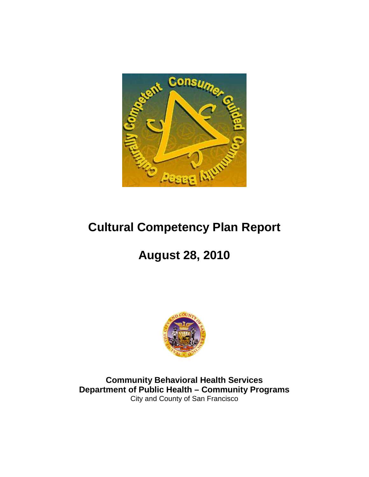

## **Cultural Competency Plan Report**

# **August 28, 2010**



**Community Behavioral Health Services Department of Public Health – Community Programs** City and County of San Francisco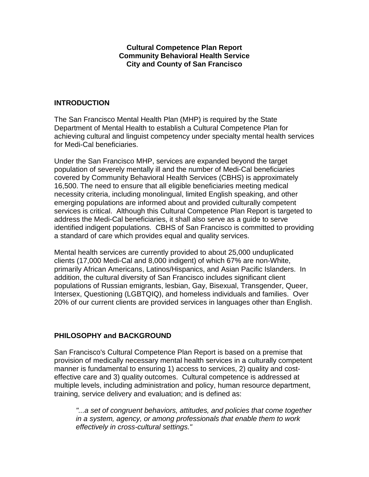#### **Cultural Competence Plan Report Community Behavioral Health Service City and County of San Francisco**

#### **INTRODUCTION**

The San Francisco Mental Health Plan (MHP) is required by the State Department of Mental Health to establish a Cultural Competence Plan for achieving cultural and linguist competency under specialty mental health services for Medi-Cal beneficiaries.

Under the San Francisco MHP, services are expanded beyond the target population of severely mentally ill and the number of Medi-Cal beneficiaries covered by Community Behavioral Health Services (CBHS) is approximately 16,500. The need to ensure that all eligible beneficiaries meeting medical necessity criteria, including monolingual, limited English speaking, and other emerging populations are informed about and provided culturally competent services is critical. Although this Cultural Competence Plan Report is targeted to address the Medi-Cal beneficiaries, it shall also serve as a guide to serve identified indigent populations. CBHS of San Francisco is committed to providing a standard of care which provides equal and quality services.

Mental health services are currently provided to about 25,000 unduplicated clients (17,000 Medi-Cal and 8,000 indigent) of which 67% are non-White, primarily African Americans, Latinos/Hispanics, and Asian Pacific Islanders. In addition, the cultural diversity of San Francisco includes significant client populations of Russian emigrants, lesbian, Gay, Bisexual, Transgender, Queer, Intersex, Questioning (LGBTQIQ), and homeless individuals and families. Over 20% of our current clients are provided services in languages other than English.

## **PHILOSOPHY and BACKGROUND**

San Francisco's Cultural Competence Plan Report is based on a premise that provision of medically necessary mental health services in a culturally competent manner is fundamental to ensuring 1) access to services, 2) quality and costeffective care and 3) quality outcomes. Cultural competence is addressed at multiple levels, including administration and policy, human resource department, training, service delivery and evaluation; and is defined as:

*"...a set of congruent behaviors, attitudes, and policies that come together in a system, agency, or among professionals that enable them to work effectively in cross-cultural settings."*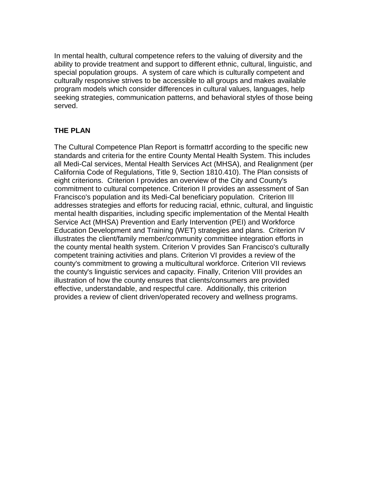In mental health, cultural competence refers to the valuing of diversity and the ability to provide treatment and support to different ethnic, cultural, linguistic, and special population groups. A system of care which is culturally competent and culturally responsive strives to be accessible to all groups and makes available program models which consider differences in cultural values, languages, help seeking strategies, communication patterns, and behavioral styles of those being served.

#### **THE PLAN**

The Cultural Competence Plan Report is formattrf according to the specific new standards and criteria for the entire County Mental Health System. This includes all Medi-Cal services, Mental Health Services Act (MHSA), and Realignment (per California Code of Regulations, Title 9, Section 1810.410). The Plan consists of eight criterions. Criterion I provides an overview of the City and County's commitment to cultural competence. Criterion II provides an assessment of San Francisco's population and its Medi-Cal beneficiary population. Criterion III addresses strategies and efforts for reducing racial, ethnic, cultural, and linguistic mental health disparities, including specific implementation of the Mental Health Service Act (MHSA) Prevention and Early Intervention (PEI) and Workforce Education Development and Training (WET) strategies and plans. Criterion IV illustrates the client/family member/community committee integration efforts in the county mental health system. Criterion V provides San Francisco's culturally competent training activities and plans. Criterion VI provides a review of the county's commitment to growing a multicultural workforce. Criterion VII reviews the county's linguistic services and capacity. Finally, Criterion VIII provides an illustration of how the county ensures that clients/consumers are provided effective, understandable, and respectful care. Additionally, this criterion provides a review of client driven/operated recovery and wellness programs.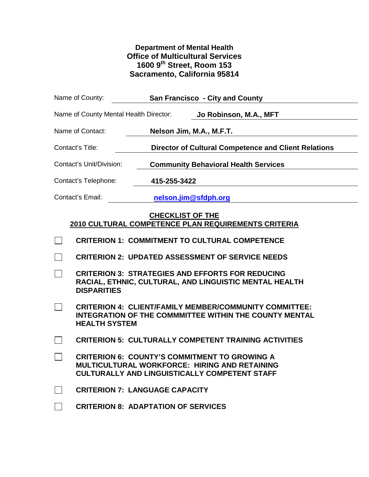## **Department of Mental Health Office of Multicultural Services 1600 9th Street, Room 153 Sacramento, California 95814**

| Name of County:                        | <b>San Francisco - City and County</b>                                                                                                                        |
|----------------------------------------|---------------------------------------------------------------------------------------------------------------------------------------------------------------|
| Name of County Mental Health Director: | Jo Robinson, M.A., MFT                                                                                                                                        |
| Name of Contact:                       | Nelson Jim, M.A., M.F.T.                                                                                                                                      |
| Contact's Title:                       | <b>Director of Cultural Competence and Client Relations</b>                                                                                                   |
| Contact's Unit/Division:               | <b>Community Behavioral Health Services</b>                                                                                                                   |
| Contact's Telephone:                   | 415-255-3422                                                                                                                                                  |
| Contact's Email:                       | nelson.jim@sfdph.org                                                                                                                                          |
|                                        | <b>CHECKLIST OF THE</b><br>2010 CULTURAL COMPETENCE PLAN REQUIREMENTS CRITERIA                                                                                |
|                                        | <b>CRITERION 1: COMMITMENT TO CULTURAL COMPETENCE</b>                                                                                                         |
|                                        | <b>CRITERION 2: UPDATED ASSESSMENT OF SERVICE NEEDS</b>                                                                                                       |
| <b>DISPARITIES</b>                     | <b>CRITERION 3: STRATEGIES AND EFFORTS FOR REDUCING</b><br>RACIAL, ETHNIC, CULTURAL, AND LINGUISTIC MENTAL HEALTH                                             |
| <b>HEALTH SYSTEM</b>                   | <b>CRITERION 4: CLIENT/FAMILY MEMBER/COMMUNITY COMMITTEE:</b><br><b>INTEGRATION OF THE COMMMITTEE WITHIN THE COUNTY MENTAL</b>                                |
|                                        | <b>CRITERION 5: CULTURALLY COMPETENT TRAINING ACTIVITIES</b>                                                                                                  |
|                                        | <b>CRITERION 6: COUNTY'S COMMITMENT TO GROWING A</b><br>MULTICULTURAL WORKFORCE: HIRING AND RETAINING<br><b>CULTURALLY AND LINGUISTICALLY COMPETENT STAFF</b> |
| <b>CRITERION 7: LANGUAGE CAPACITY</b>  |                                                                                                                                                               |
|                                        | <b>CRITERION 8: ADAPTATION OF SERVICES</b>                                                                                                                    |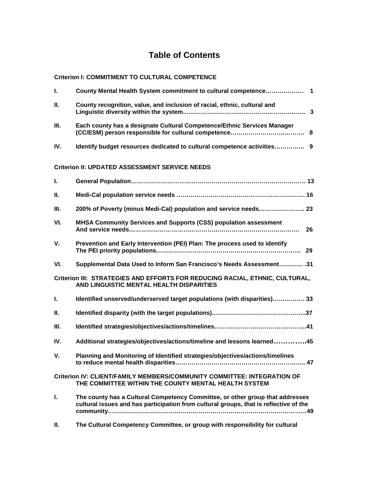## **Table of Contents**

#### **Criterion I: COMMITMENT TO CULTURAL COMPETENCE**

| L.   | County Mental Health System commitment to cultural competence 1                                                                                                        |
|------|------------------------------------------------------------------------------------------------------------------------------------------------------------------------|
| Ш.   | County recognition, value, and inclusion of racial, ethnic, cultural and                                                                                               |
| Ш.   | Each county has a designate Cultural Competence/Ethnic Services Manager                                                                                                |
| IV.  | Identify budget resources dedicated to cultural competence activities 9                                                                                                |
|      | <b>Criterion II: UPDATED ASSESSMENT SERVICE NEEDS</b>                                                                                                                  |
| L.   |                                                                                                                                                                        |
| Ш.   |                                                                                                                                                                        |
| III. | 200% of Poverty (minus Medi-Cal) population and service needs 23                                                                                                       |
| VI.  | MHSA Community Services and Supports (CSS) population assessment<br>-26                                                                                                |
| V.   | Prevention and Early Intervention (PEI) Plan: The process used to identify                                                                                             |
| VI.  | 31.  Supplemental Data Used to Inform San Francisco's Needs Assessment 31                                                                                              |
|      | Criterion III: STRATEGIES AND EFFORTS FOR REDUCING RACIAL, ETHNIC, CULTURAL,<br>AND LINGUISTIC MENTAL HEALTH DISPARITIES                                               |
| L.   | Identified unserved/underserved target populations (with disparities) 33                                                                                               |
| Ш.   |                                                                                                                                                                        |
| III. |                                                                                                                                                                        |
| IV.  | Additional strategies/objectives/actions/timeline and lessons learned45                                                                                                |
| V.   | Planning and Monitoring of Identified strategies/objectives/actions/timelines                                                                                          |
|      | Criterion IV: CLIENT/FAMILY MEMBERS/COMMUNITY COMMITTEE: INTEGRATION OF<br>THE COMMITTEE WITHIN THE COUNTY MENTAL HEALTH SYSTEM                                        |
| L.   | The county has a Cultural Competency Committee, or other group that addresses<br>cultural issues and has participation from cultural groups, that is reflective of the |
| Ш.   | The Cultural Competency Committee, or group with responsibility for cultural                                                                                           |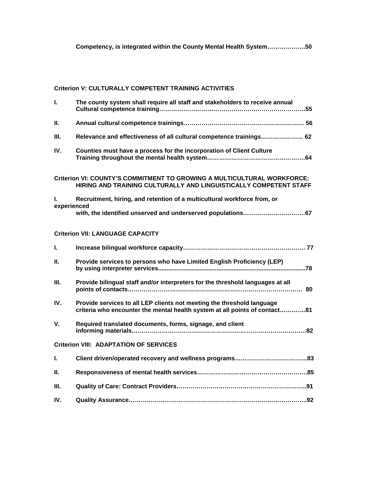#### **Criterion V: CULTURALLY COMPETENT TRAINING ACTIVITIES**

| L.                | The county system shall require all staff and stakeholders to receive annual                                                                         |
|-------------------|------------------------------------------------------------------------------------------------------------------------------------------------------|
| Ш.                |                                                                                                                                                      |
| III.              | Relevance and effectiveness of all cultural competence trainings 62                                                                                  |
| IV.               | Counties must have a process for the incorporation of Client Culture                                                                                 |
|                   | Criterion VI: COUNTY'S COMMITMENT TO GROWING A MULTICULTURAL WORKFORCE:<br>HIRING AND TRAINING CULTURALLY AND LINGUISTICALLY COMPETENT STAFF         |
| L.<br>experienced | Recruitment, hiring, and retention of a multicultural workforce from, or                                                                             |
|                   |                                                                                                                                                      |
|                   | <b>Criterion VII: LANGUAGE CAPACITY</b>                                                                                                              |
| I.                |                                                                                                                                                      |
| Ш.                | Provide services to persons who have Limited English Proficiency (LEP)                                                                               |
| Ш.                | Provide bilingual staff and/or interpreters for the threshold languages at all                                                                       |
| IV.               | Provide services to all LEP clients not meeting the threshold language<br>criteria who encounter the mental health system at all points of contact81 |
| $V_{\cdot}$       | Required translated documents, forms, signage, and client                                                                                            |
|                   | <b>Criterion VIII: ADAPTATION OF SERVICES</b>                                                                                                        |
| L.                |                                                                                                                                                      |
| Ш.                |                                                                                                                                                      |
| Ш.                |                                                                                                                                                      |
| IV.               |                                                                                                                                                      |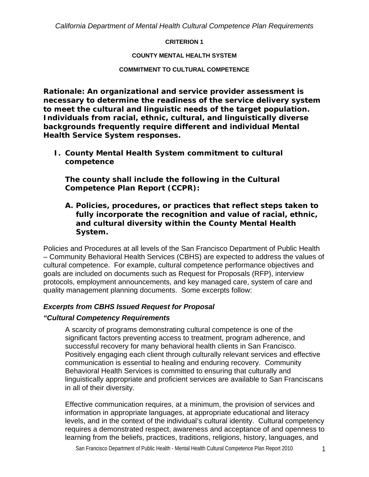#### **CRITERION 1**

#### **COUNTY MENTAL HEALTH SYSTEM**

#### **COMMITMENT TO CULTURAL COMPETENCE**

*Rationale: An organizational and service provider assessment is necessary to determine the readiness of the service delivery system to meet the cultural and linguistic needs of the target population. Individuals from racial, ethnic, cultural, and linguistically diverse backgrounds frequently require different and individual Mental Health Service System responses.* 

*I. County Mental Health System commitment to cultural competence* 

*The county shall include the following in the Cultural Competence Plan Report (CCPR):* 

*A. Policies, procedures, or practices that reflect steps taken to fully incorporate the recognition and value of racial, ethnic, and cultural diversity within the County Mental Health System.* 

Policies and Procedures at all levels of the San Francisco Department of Public Health – Community Behavioral Health Services (CBHS) are expected to address the values of cultural competence. For example, cultural competence performance objectives and goals are included on documents such as Request for Proposals (RFP), interview protocols, employment announcements, and key managed care, system of care and quality management planning documents. Some excerpts follow:

#### *Excerpts from CBHS Issued Request for Proposal*

#### *"Cultural Competency Requirements*

A scarcity of programs demonstrating cultural competence is one of the significant factors preventing access to treatment, program adherence, and successful recovery for many behavioral health clients in San Francisco. Positively engaging each client through culturally relevant services and effective communication is essential to healing and enduring recovery. Community Behavioral Health Services is committed to ensuring that culturally and linguistically appropriate and proficient services are available to San Franciscans in all of their diversity.

Effective communication requires, at a minimum, the provision of services and information in appropriate languages, at appropriate educational and literacy levels, and in the context of the individual's cultural identity. Cultural competency requires a demonstrated respect, awareness and acceptance of and openness to learning from the beliefs, practices, traditions, religions, history, languages, and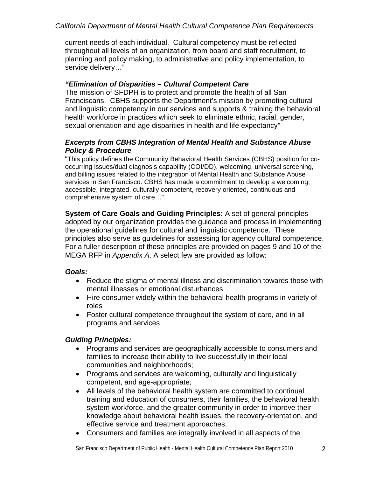current needs of each individual. Cultural competency must be reflected throughout all levels of an organization, from board and staff recruitment, to planning and policy making, to administrative and policy implementation, to service delivery…"

#### *"Elimination of Disparities – Cultural Competent Care*

The mission of SFDPH is to protect and promote the health of all San Franciscans. CBHS supports the Department's mission by promoting cultural and linguistic competency in our services and supports & training the behavioral health workforce in practices which seek to eliminate ethnic, racial, gender, sexual orientation and age disparities in health and life expectancy"

#### *Excerpts from CBHS Integration of Mental Health and Substance Abuse Policy & Procedure*

"This policy defines the Community Behavioral Health Services (CBHS) position for cooccurring issues/dual diagnosis capability (COI/DD), welcoming, universal screening, and billing issues related to the integration of Mental Health and Substance Abuse services in San Francisco. CBHS has made a commitment to develop a welcoming, accessible, integrated, culturally competent, recovery oriented, continuous and comprehensive system of care…"

**System of Care Goals and Guiding Principles:** A set of general principles adopted by our organization provides the guidance and process in implementing the operational guidelines for cultural and linguistic competence. These principles also serve as guidelines for assessing for agency cultural competence. For a fuller description of these principles are provided on pages 9 and 10 of the MEGA RFP in *Appendix A*. A select few are provided as follow:

## *Goals:*

- Reduce the stigma of mental illness and discrimination towards those with mental illnesses or emotional disturbances
- Hire consumer widely within the behavioral health programs in variety of roles
- Foster cultural competence throughout the system of care, and in all programs and services

## *Guiding Principles:*

- Programs and services are geographically accessible to consumers and families to increase their ability to live successfully in their local communities and neighborhoods;
- Programs and services are welcoming, culturally and linguistically competent, and age-appropriate;
- All levels of the behavioral health system are committed to continual training and education of consumers, their families, the behavioral health system workforce, and the greater community in order to improve their knowledge about behavioral health issues, the recovery-orientation, and effective service and treatment approaches;
- Consumers and families are integrally involved in all aspects of the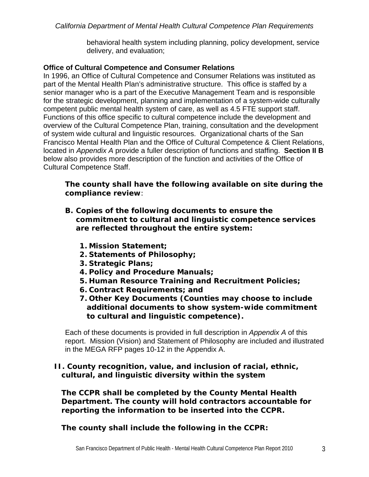behavioral health system including planning, policy development, service delivery, and evaluation;

## **Office of Cultural Competence and Consumer Relations**

In 1996, an Office of Cultural Competence and Consumer Relations was instituted as part of the Mental Health Plan's administrative structure. This office is staffed by a senior manager who is a part of the Executive Management Team and is responsible for the strategic development, planning and implementation of a system-wide culturally competent public mental health system of care, as well as 4.5 FTE support staff. Functions of this office specific to cultural competence include the development and overview of the Cultural Competence Plan, training, consultation and the development of system wide cultural and linguistic resources. Organizational charts of the San Francisco Mental Health Plan and the Office of Cultural Competence & Client Relations, located in *Appendix A* provide a fuller description of functions and staffing. **Section II B** below also provides more description of the function and activities of the Office of Cultural Competence Staff.

## *The county shall have the following available on site during the compliance review:*

- *B. Copies of the following documents to ensure the commitment to cultural and linguistic competence services are reflected throughout the entire system:* 
	- *1. Mission Statement;*
	- *2. Statements of Philosophy;*
	- *3. Strategic Plans;*
	- *4. Policy and Procedure Manuals;*
	- *5. Human Resource Training and Recruitment Policies;*
	- *6. Contract Requirements; and*
	- *7. Other Key Documents (Counties may choose to include additional documents to show system-wide commitment to cultural and linguistic competence).*

Each of these documents is provided in full description in *Appendix A* of this report. Mission (Vision) and Statement of Philosophy are included and illustrated in the MEGA RFP pages 10-12 in the Appendix A.

## *II. County recognition, value, and inclusion of racial, ethnic, cultural, and linguistic diversity within the system*

*The CCPR shall be completed by the County Mental Health Department. The county will hold contractors accountable for reporting the information to be inserted into the CCPR.* 

*The county shall include the following in the CCPR:*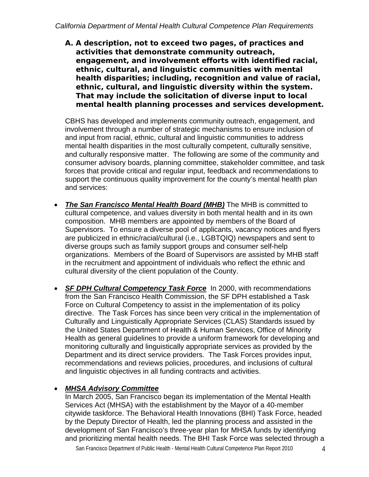*A. A description, not to exceed two pages, of practices and activities that demonstrate community outreach, engagement, and involvement efforts with identified racial, ethnic, cultural, and linguistic communities with mental health disparities; including, recognition and value of racial, ethnic, cultural, and linguistic diversity within the system. That may include the solicitation of diverse input to local mental health planning processes and services development.* 

CBHS has developed and implements community outreach, engagement, and involvement through a number of strategic mechanisms to ensure inclusion of and input from racial, ethnic, cultural and linguistic communities to address mental health disparities in the most culturally competent, culturally sensitive, and culturally responsive matter. The following are some of the community and consumer advisory boards, planning committee, stakeholder committee, and task forces that provide critical and regular input, feedback and recommendations to support the continuous quality improvement for the county's mental health plan and services:

- *The San Francisco Mental Health Board (MHB)* The MHB is committed to cultural competence, and values diversity in both mental health and in its own composition. MHB members are appointed by members of the Board of Supervisors. To ensure a diverse pool of applicants, vacancy notices and flyers are publicized in ethnic/racial/cultural (i.e., LGBTQIQ) newspapers and sent to diverse groups such as family support groups and consumer self-help organizations. Members of the Board of Supervisors are assisted by MHB staff in the recruitment and appointment of individuals who reflect the ethnic and cultural diversity of the client population of the County.
- *SF DPH Cultural Competency Task Force* In 2000, with recommendations from the San Francisco Health Commission, the SF DPH established a Task Force on Cultural Competency to assist in the implementation of its policy directive. The Task Forces has since been very critical in the implementation of Culturally and Linguistically Appropriate Services (CLAS) Standards issued by the United States Department of Health & Human Services, Office of Minority Health as general guidelines to provide a uniform framework for developing and monitoring culturally and linguistically appropriate services as provided by the Department and its direct service providers. The Task Forces provides input, recommendations and reviews policies, procedures, and inclusions of cultural and linguistic objectives in all funding contracts and activities.

## *MHSA Advisory Committee*

In March 2005, San Francisco began its implementation of the Mental Health Services Act (MHSA) with the establishment by the Mayor of a 40-member citywide taskforce. The Behavioral Health Innovations (BHI) Task Force, headed by the Deputy Director of Health, led the planning process and assisted in the development of San Francisco's three-year plan for MHSA funds by identifying and prioritizing mental health needs. The BHI Task Force was selected through a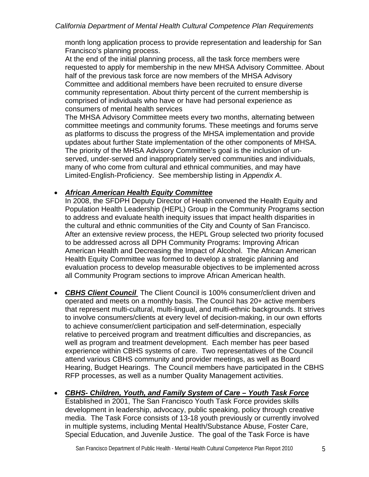month long application process to provide representation and leadership for San Francisco's planning process.

At the end of the initial planning process, all the task force members were requested to apply for membership in the new MHSA Advisory Committee. About half of the previous task force are now members of the MHSA Advisory Committee and additional members have been recruited to ensure diverse community representation. About thirty percent of the current membership is comprised of individuals who have or have had personal experience as consumers of mental health services

The MHSA Advisory Committee meets every two months, alternating between committee meetings and community forums. These meetings and forums serve as platforms to discuss the progress of the MHSA implementation and provide updates about further State implementation of the other components of MHSA. The priority of the MHSA Advisory Committee's goal is the inclusion of unserved, under-served and inappropriately served communities and individuals, many of who come from cultural and ethnical communities, and may have Limited-English-Proficiency. See membership listing in *Appendix A*.

#### *African American Health Equity Committee*

In 2008, the SFDPH Deputy Director of Health convened the Health Equity and Population Health Leadership (HEPL) Group in the Community Programs section to address and evaluate health inequity issues that impact health disparities in the cultural and ethnic communities of the City and County of San Francisco. After an extensive review process, the HEPL Group selected two priority focused to be addressed across all DPH Community Programs: Improving African American Health and Decreasing the Impact of Alcohol. The African American Health Equity Committee was formed to develop a strategic planning and evaluation process to develop measurable objectives to be implemented across all Community Program sections to improve African American health.

- *CBHS Client Council* The Client Council is 100% consumer/client driven and operated and meets on a monthly basis. The Council has 20+ active members that represent multi-cultural, multi-lingual, and multi-ethnic backgrounds. It strives to involve consumers/clients at every level of decision-making, in our own efforts to achieve consumer/client participation and self-determination, especially relative to perceived program and treatment difficulties and discrepancies, as well as program and treatment development. Each member has peer based experience within CBHS systems of care. Two representatives of the Council attend various CBHS community and provider meetings, as well as Board Hearing, Budget Hearings. The Council members have participated in the CBHS RFP processes, as well as a number Quality Management activities.
- *CBHS- Children, Youth, and Family System of Care Youth Task Force* Established in 2001, The San Francisco Youth Task Force provides skills development in leadership, advocacy, public speaking, policy through creative media. The Task Force consists of 13-18 youth previously or currently involved in multiple systems, including Mental Health/Substance Abuse, Foster Care, Special Education, and Juvenile Justice. The goal of the Task Force is have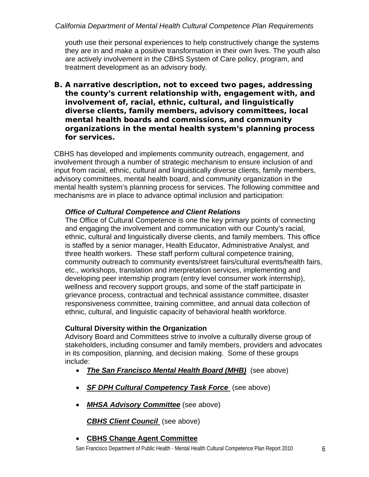youth use their personal experiences to help constructively change the systems they are in and make a positive transformation in their own lives. The youth also are actively involvement in the CBHS System of Care policy, program, and treatment development as an advisory body.

*B. A narrative description, not to exceed two pages, addressing the county's current relationship with, engagement with, and involvement of, racial, ethnic, cultural, and linguistically diverse clients, family members, advisory committees, local mental health boards and commissions, and community organizations in the mental health system's planning process for services.* 

CBHS has developed and implements community outreach, engagement, and involvement through a number of strategic mechanism to ensure inclusion of and input from racial, ethnic, cultural and linguistically diverse clients, family members, advisory committees, mental health board, and community organization in the mental health system's planning process for services. The following committee and mechanisms are in place to advance optimal inclusion and participation:

## *Office of Cultural Competence and Client Relations*

The Office of Cultural Competence is one the key primary points of connecting and engaging the involvement and communication with our County's racial, ethnic, cultural and linguistically diverse clients, and family members. This office is staffed by a senior manager, Health Educator, Administrative Analyst, and three health workers. These staff perform cultural competence training, community outreach to community events/street fairs/cultural events/health fairs, etc., workshops, translation and interpretation services, implementing and developing peer internship program (entry level consumer work internship), wellness and recovery support groups, and some of the staff participate in grievance process, contractual and technical assistance committee, disaster responsiveness committee, training committee, and annual data collection of ethnic, cultural, and linguistic capacity of behavioral health workforce.

#### **Cultural Diversity within the Organization**

Advisory Board and Committees strive to involve a culturally diverse group of stakeholders, including consumer and family members, providers and advocates in its composition, planning, and decision making. Some of these groups include:

- *The San Francisco Mental Health Board (MHB)* (see above)
- *SF DPH Cultural Competency Task Force* (see above)
- *MHSA Advisory Committee* (see above)

*CBHS Client Council* (see above)

**CBHS Change Agent Committee**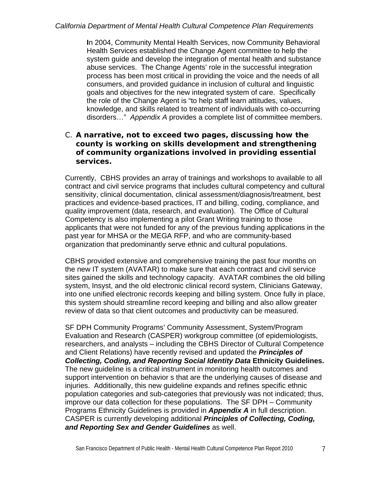**I**n 2004, Community Mental Health Services, now Community Behavioral Health Services established the Change Agent committee to help the system guide and develop the integration of mental health and substance abuse services. The Change Agents' role in the successful integration process has been most critical in providing the voice and the needs of all consumers, and provided guidance in inclusion of cultural and linguistic goals and objectives for the new integrated system of care. Specifically the role of the Change Agent is "to help staff learn attitudes, values, knowledge, and skills related to treatment of individuals with co-occurring disorders…" *Appendix A* provides a complete list of committee members.

## C. *A narrative, not to exceed two pages, discussing how the county is working on skills development and strengthening of community organizations involved in providing essential services.*

Currently, CBHS provides an array of trainings and workshops to available to all contract and civil service programs that includes cultural competency and cultural sensitivity, clinical documentation, clinical assessment/diagnosis/treatment, best practices and evidence-based practices, IT and billing, coding, compliance, and quality improvement (data, research, and evaluation). The Office of Cultural Competency is also implementing a pilot Grant Writing training to those applicants that were not funded for any of the previous funding applications in the past year for MHSA or the MEGA RFP, and who are community-based organization that predominantly serve ethnic and cultural populations.

CBHS provided extensive and comprehensive training the past four months on the new IT system (AVATAR) to make sure that each contract and civil service sites gained the skills and technology capacity. AVATAR combines the old billing system, Insyst, and the old electronic clinical record system, Clinicians Gateway, into one unified electronic records keeping and billing system. Once fully in place, this system should streamline record keeping and billing and also allow greater review of data so that client outcomes and productivity can be measured.

SF DPH Community Programs' Community Assessment, System/Program Evaluation and Research (CASPER) workgroup committee (of epidemiologists, researchers, and analysts – including the CBHS Director of Cultural Competence and Client Relations) have recently revised and updated the *Principles of Collecting, Coding, and Reporting Social Identity Data* **Ethnicity Guidelines.**  The new guideline is a critical instrument in monitoring health outcomes and support intervention on behavior s that are the underlying causes of disease and injuries. Additionally, this new guideline expands and refines specific ethnic population categories and sub-categories that previously was not indicated; thus, improve our data collection for these populations. The SF DPH – Community Programs Ethnicity Guidelines is provided in *Appendix A* in full description. CASPER is currently developing additional *Principles of Collecting, Coding, and Reporting Sex and Gender Guidelines* as well.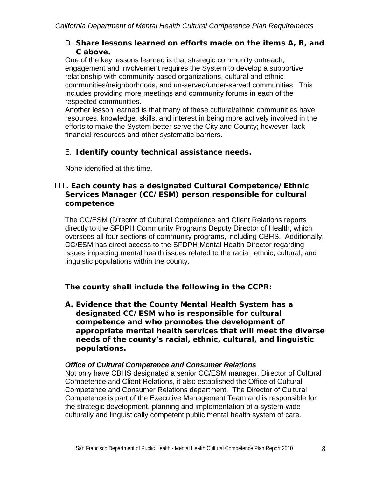## D. *Share lessons learned on efforts made on the items A, B, and C above.*

One of the key lessons learned is that strategic community outreach, engagement and involvement requires the System to develop a supportive relationship with community-based organizations, cultural and ethnic communities/neighborhoods, and un-served/under-served communities. This includes providing more meetings and community forums in each of the respected communities.

Another lesson learned is that many of these cultural/ethnic communities have resources, knowledge, skills, and interest in being more actively involved in the efforts to make the System better serve the City and County; however, lack financial resources and other systematic barriers.

## E. *Identify county technical assistance needs.*

None identified at this time.

## *III. Each county has a designated Cultural Competence/Ethnic Services Manager (CC/ESM) person responsible for cultural competence*

The CC/ESM (Director of Cultural Competence and Client Relations reports directly to the SFDPH Community Programs Deputy Director of Health, which oversees all four sections of community programs, including CBHS. Additionally, CC/ESM has direct access to the SFDPH Mental Health Director regarding issues impacting mental health issues related to the racial, ethnic, cultural, and linguistic populations within the county.

## *The county shall include the following in the CCPR:*

*A. Evidence that the County Mental Health System has a designated CC/ESM who is responsible for cultural competence and who promotes the development of appropriate mental health services that will meet the diverse needs of the county's racial, ethnic, cultural, and linguistic populations.* 

## *Office of Cultural Competence and Consumer Relations*

Not only have CBHS designated a senior CC/ESM manager, Director of Cultural Competence and Client Relations, it also established the Office of Cultural Competence and Consumer Relations department. The Director of Cultural Competence is part of the Executive Management Team and is responsible for the strategic development, planning and implementation of a system-wide culturally and linguistically competent public mental health system of care.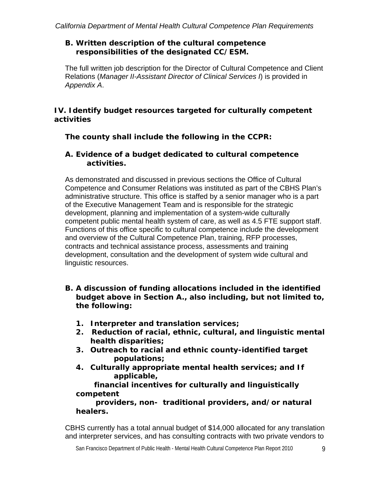## *B. Written description of the cultural competence responsibilities of the designated CC/ESM.*

The full written job description for the Director of Cultural Competence and Client Relations (*Manager II-Assistant Director of Clinical Services I*) is provided in *Appendix A*.

## *IV. Identify budget resources targeted for culturally competent activities*

*The county shall include the following in the CCPR:* 

## *A. Evidence of a budget dedicated to cultural competence activities.*

As demonstrated and discussed in previous sections the Office of Cultural Competence and Consumer Relations was instituted as part of the CBHS Plan's administrative structure. This office is staffed by a senior manager who is a part of the Executive Management Team and is responsible for the strategic development, planning and implementation of a system-wide culturally competent public mental health system of care, as well as 4.5 FTE support staff. Functions of this office specific to cultural competence include the development and overview of the Cultural Competence Plan, training, RFP processes, contracts and technical assistance process, assessments and training development, consultation and the development of system wide cultural and linguistic resources.

## *B. A discussion of funding allocations included in the identified budget above in Section A., also including, but not limited to, the following:*

- *1. Interpreter and translation services;*
- *2. Reduction of racial, ethnic, cultural, and linguistic mental health disparities;*
- *3. Outreach to racial and ethnic county-identified target populations;*
- *4. Culturally appropriate mental health services; and If applicable,*

 *financial incentives for culturally and linguistically competent* 

 *providers, non- traditional providers, and/or natural healers.* 

CBHS currently has a total annual budget of \$14,000 allocated for any translation and interpreter services, and has consulting contracts with two private vendors to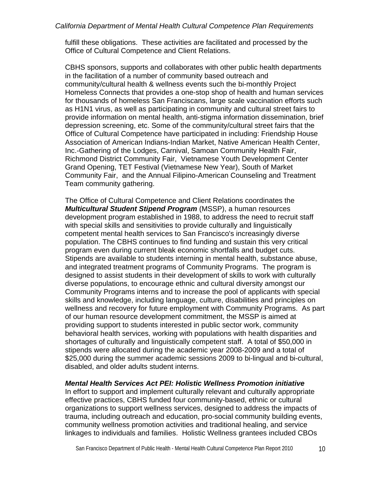fulfill these obligations. These activities are facilitated and processed by the Office of Cultural Competence and Client Relations.

CBHS sponsors, supports and collaborates with other public health departments in the facilitation of a number of community based outreach and community/cultural health & wellness events such the bi-monthly Project Homeless Connects that provides a one-stop shop of health and human services for thousands of homeless San Franciscans, large scale vaccination efforts such as H1N1 virus, as well as participating in community and cultural street fairs to provide information on mental health, anti-stigma information dissemination, brief depression screening, etc. Some of the community/cultural street fairs that the Office of Cultural Competence have participated in including: Friendship House Association of American Indians-Indian Market, Native American Health Center, Inc.-Gathering of the Lodges, Carnival, Samoan Community Health Fair, Richmond District Community Fair, Vietnamese Youth Development Center Grand Opening, TET Festival (Vietnamese New Year), South of Market Community Fair, and the Annual Filipino-American Counseling and Treatment Team community gathering.

The Office of Cultural Competence and Client Relations coordinates the *Multicultural Student Stipend Program* (MSSP), a human resources development program established in 1988, to address the need to recruit staff with special skills and sensitivities to provide culturally and linguistically competent mental health services to San Francisco's increasingly diverse population. The CBHS continues to find funding and sustain this very critical program even during current bleak economic shortfalls and budget cuts. Stipends are available to students interning in mental health, substance abuse, and integrated treatment programs of Community Programs. The program is designed to assist students in their development of skills to work with culturally diverse populations, to encourage ethnic and cultural diversity amongst our Community Programs interns and to increase the pool of applicants with special skills and knowledge, including language, culture, disabilities and principles on wellness and recovery for future employment with Community Programs. As part of our human resource development commitment, the MSSP is aimed at providing support to students interested in public sector work, community behavioral health services, working with populations with health disparities and shortages of culturally and linguistically competent staff. A total of \$50,000 in stipends were allocated during the academic year 2008-2009 and a total of \$25,000 during the summer academic sessions 2009 to bi-lingual and bi-cultural, disabled, and older adults student interns.

#### *Mental Health Services Act PEI: Holistic Wellness Promotion initiative*

In effort to support and implement culturally relevant and culturally appropriate effective practices, CBHS funded four community-based, ethnic or cultural organizations to support wellness services, designed to address the impacts of trauma, including outreach and education, pro-social community building events, community wellness promotion activities and traditional healing, and service linkages to individuals and families. Holistic Wellness grantees included CBOs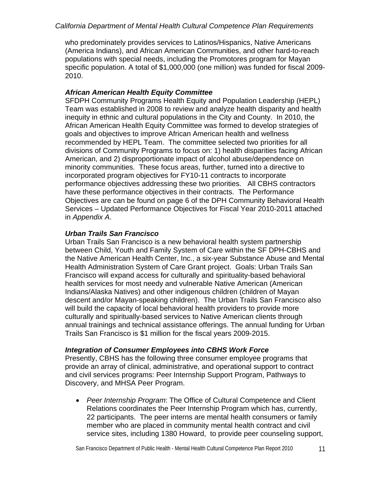who predominately provides services to Latinos/Hispanics, Native Americans (America Indians), and African American Communities, and other hard-to-reach populations with special needs, including the Promotores program for Mayan specific population. A total of \$1,000,000 (one million) was funded for fiscal 2009- 2010.

## *African American Health Equity Committee*

SFDPH Community Programs Health Equity and Population Leadership (HEPL) Team was established in 2008 to review and analyze health disparity and health inequity in ethnic and cultural populations in the City and County. In 2010, the African American Health Equity Committee was formed to develop strategies of goals and objectives to improve African American health and wellness recommended by HEPL Team. The committee selected two priorities for all divisions of Community Programs to focus on: 1) health disparities facing African American, and 2) disproportionate impact of alcohol abuse/dependence on minority communities. These focus areas, further, turned into a directive to incorporated program objectives for FY10-11 contracts to incorporate performance objectives addressing these two priorities. All CBHS contractors have these performance objectives in their contracts. The Performance Objectives are can be found on page 6 of the DPH Community Behavioral Health Services – Updated Performance Objectives for Fiscal Year 2010-2011 attached in *Appendix A*.

#### *Urban Trails San Francisco*

Urban Trails San Francisco is a new behavioral health system partnership between Child, Youth and Family System of Care within the SF DPH-CBHS and the Native American Health Center, Inc., a six-year Substance Abuse and Mental Health Administration System of Care Grant project. Goals: Urban Trails San Francisco will expand access for culturally and spirituality-based behavioral health services for most needy and vulnerable Native American (American Indians/Alaska Natives) and other indigenous children (children of Mayan descent and/or Mayan-speaking children). The Urban Trails San Francisco also will build the capacity of local behavioral health providers to provide more culturally and spiritually-based services to Native American clients through annual trainings and technical assistance offerings. The annual funding for Urban Trails San Francisco is \$1 million for the fiscal years 2009-2015.

## *Integration of Consumer Employees into CBHS Work Force*

Presently, CBHS has the following three consumer employee programs that provide an array of clinical, administrative, and operational support to contract and civil services programs: Peer Internship Support Program, Pathways to Discovery, and MHSA Peer Program.

 *Peer Internship Program*: The Office of Cultural Competence and Client Relations coordinates the Peer Internship Program which has, currently, 22 participants. The peer interns are mental health consumers or family member who are placed in community mental health contract and civil service sites, including 1380 Howard, to provide peer counseling support,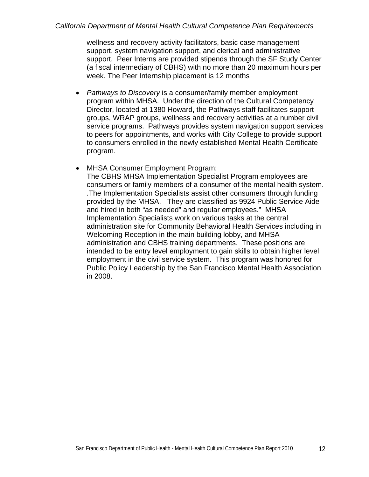wellness and recovery activity facilitators, basic case management support, system navigation support, and clerical and administrative support. Peer Interns are provided stipends through the SF Study Center (a fiscal intermediary of CBHS) with no more than 20 maximum hours per week. The Peer Internship placement is 12 months

- *Pathways to Discovery* is a consumer/family member employment program within MHSA. Under the direction of the Cultural Competency Director, located at 1380 Howard**,** the Pathways staff facilitates support groups, WRAP groups, wellness and recovery activities at a number civil service programs. Pathways provides system navigation support services to peers for appointments, and works with City College to provide support to consumers enrolled in the newly established Mental Health Certificate program.
- MHSA Consumer Employment Program:

The CBHS MHSA Implementation Specialist Program employees are consumers or family members of a consumer of the mental health system. .The Implementation Specialists assist other consumers through funding provided by the MHSA. They are classified as 9924 Public Service Aide and hired in both "as needed" and regular employees." MHSA Implementation Specialists work on various tasks at the central administration site for Community Behavioral Health Services including in Welcoming Reception in the main building lobby, and MHSA administration and CBHS training departments. These positions are intended to be entry level employment to gain skills to obtain higher level employment in the civil service system. This program was honored for Public Policy Leadership by the San Francisco Mental Health Association in 2008.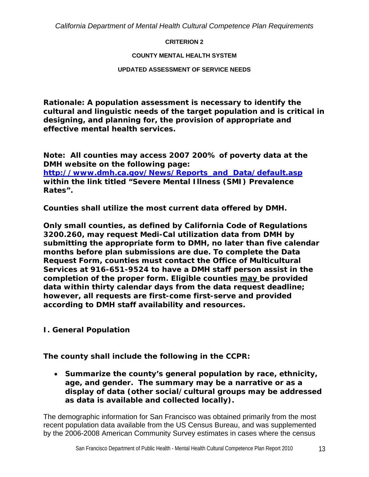#### **CRITERION 2**

#### **COUNTY MENTAL HEALTH SYSTEM**

#### **UPDATED ASSESSMENT OF SERVICE NEEDS**

**Rationale: A population assessment is necessary to identify the cultural and linguistic needs of the target population and is critical in designing, and planning for, the provision of appropriate and effective mental health services.** 

**Note: All counties may access 2007 200% of poverty data at the DMH website on the following page: [http://www.dmh.ca.gov/News/Reports\\_and\\_Data/default.asp](http://www.dmh.ca.gov/News/Reports_and_Data/default.asp) within the link titled "Severe Mental Illness (SMI) Prevalence Rates".** 

**Counties shall utilize the most current data offered by DMH.** 

**Only small counties, as defined by California Code of Regulations 3200.260, may request Medi-Cal utilization data from DMH by submitting the appropriate form to DMH, no later than five calendar months before plan submissions are due. To complete the Data Request Form, counties must contact the Office of Multicultural Services at 916-651-9524 to have a DMH staff person assist in the completion of the proper form. Eligible counties may be provided data within thirty calendar days from the data request deadline; however, all requests are first-come first-serve and provided according to DMH staff availability and resources.** 

## *I. General Population*

*The county shall include the following in the CCPR:* 

 *Summarize the county's general population by race, ethnicity, age, and gender. The summary may be a narrative or as a display of data (other social/cultural groups may be addressed as data is available and collected locally).* 

The demographic information for San Francisco was obtained primarily from the most recent population data available from the US Census Bureau, and was supplemented by the 2006-2008 American Community Survey estimates in cases where the census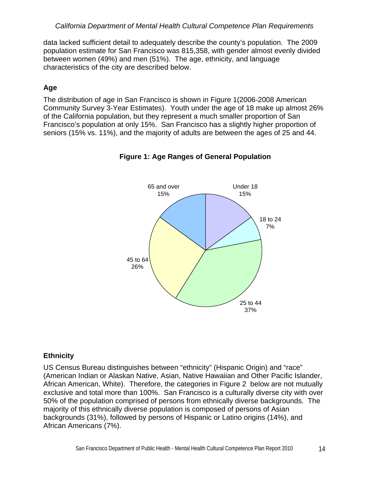data lacked sufficient detail to adequately describe the county's population. The 2009 population estimate for San Francisco was 815,358, with gender almost evenly divided between women (49%) and men (51%). The age, ethnicity, and language characteristics of the city are described below.

## **Age**

The distribution of age in San Francisco is shown in Figure 1(2006-2008 American Community Survey 3-Year Estimates). Youth under the age of 18 make up almost 26% of the California population, but they represent a much smaller proportion of San Francisco's population at only 15%. San Francisco has a slightly higher proportion of seniors (15% vs. 11%), and the majority of adults are between the ages of 25 and 44.



**Figure 1: Age Ranges of General Population** 

## **Ethnicity**

US Census Bureau distinguishes between "ethnicity" (Hispanic Origin) and "race" (American Indian or Alaskan Native, Asian, Native Hawaiian and Other Pacific Islander, African American, White). Therefore, the categories in Figure 2 below are not mutually exclusive and total more than 100%. San Francisco is a culturally diverse city with over 50% of the population comprised of persons from ethnically diverse backgrounds. The majority of this ethnically diverse population is composed of persons of Asian backgrounds (31%), followed by persons of Hispanic or Latino origins (14%), and African Americans (7%).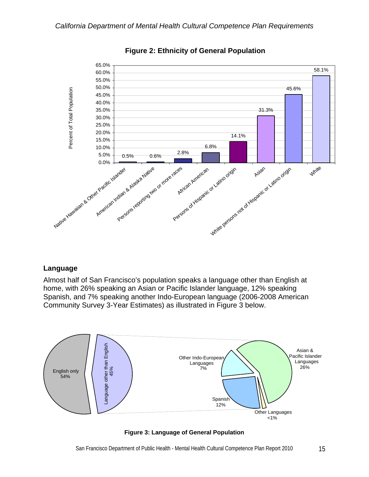

**Figure 2: Ethnicity of General Population** 

#### **Language**

Almost half of San Francisco's population speaks a language other than English at home, with 26% speaking an Asian or Pacific Islander language, 12% speaking Spanish, and 7% speaking another Indo-European language (2006-2008 American Community Survey 3-Year Estimates) as illustrated in Figure 3 below.



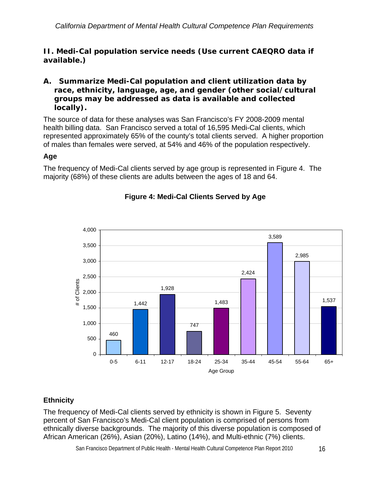## *II. Medi-Cal population service needs (Use current CAEQRO data if available.)*

## *A. Summarize Medi-Cal population and client utilization data by race, ethnicity, language, age, and gender (other social/cultural groups may be addressed as data is available and collected locally).*

The source of data for these analyses was San Francisco's FY 2008-2009 mental health billing data. San Francisco served a total of 16,595 Medi-Cal clients, which represented approximately 65% of the county's total clients served. A higher proportion of males than females were served, at 54% and 46% of the population respectively.

## **Age**

The frequency of Medi-Cal clients served by age group is represented in Figure 4. The majority (68%) of these clients are adults between the ages of 18 and 64.



## **Figure 4: Medi-Cal Clients Served by Age**

## **Ethnicity**

The frequency of Medi-Cal clients served by ethnicity is shown in Figure 5. Seventy percent of San Francisco's Medi-Cal client population is comprised of persons from ethnically diverse backgrounds. The majority of this diverse population is composed of African American (26%), Asian (20%), Latino (14%), and Multi-ethnic (7%) clients.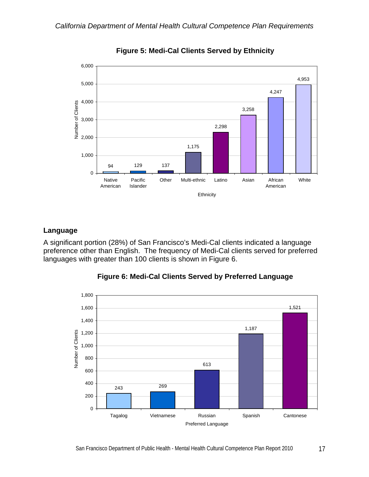

**Figure 5: Medi-Cal Clients Served by Ethnicity** 

#### **Language**

A significant portion (28%) of San Francisco's Medi-Cal clients indicated a language preference other than English. The frequency of Medi-Cal clients served for preferred languages with greater than 100 clients is shown in Figure 6.



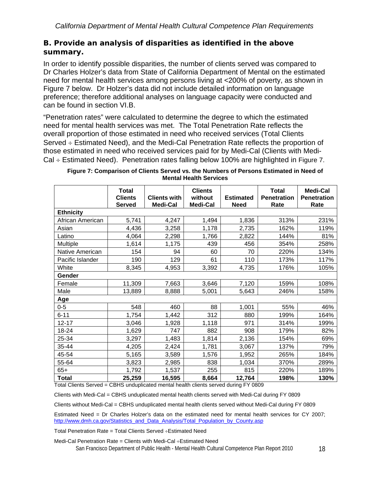## *B. Provide an analysis of disparities as identified in the above summary.*

In order to identify possible disparities, the number of clients served was compared to Dr Charles Holzer's data from State of California Department of Mental on the estimated need for mental health services among persons living at <200% of poverty, as shown in Figure 7 below. Dr Holzer's data did not include detailed information on language preference; therefore additional analyses on language capacity were conducted and can be found in section VI.B.

"Penetration rates" were calculated to determine the degree to which the estimated need for mental health services was met. The Total Penetration Rate reflects the overall proportion of those estimated in need who received services (Total Clients Served  $\div$  Estimated Need), and the Medi-Cal Penetration Rate reflects the proportion of those estimated in need who received services paid for by Medi-Cal (Clients with Medi-Cal  $\div$  Estimated Need). Penetration rates falling below 100% are highlighted in Figure 7.

|                  | <b>Total</b><br><b>Clients</b><br><b>Served</b> | <b>Clients with</b><br>Medi-Cal | <b>Clients</b><br>without<br>Medi-Cal | <b>Estimated</b><br><b>Need</b> | <b>Total</b><br><b>Penetration</b><br>Rate | <b>Medi-Cal</b><br><b>Penetration</b><br>Rate |
|------------------|-------------------------------------------------|---------------------------------|---------------------------------------|---------------------------------|--------------------------------------------|-----------------------------------------------|
| <b>Ethnicity</b> |                                                 |                                 |                                       |                                 |                                            |                                               |
| African American | 5,741                                           | 4,247                           | 1,494                                 | 1,836                           | 313%                                       | 231%                                          |
| Asian            | 4,436                                           | 3,258                           | 1,178                                 | 2,735                           | 162%                                       | 119%                                          |
| Latino           | 4,064                                           | 2,298                           | 1,766                                 | 2,822                           | 144%                                       | 81%                                           |
| Multiple         | 1,614                                           | 1,175                           | 439                                   | 456                             | 354%                                       | 258%                                          |
| Native American  | 154                                             | 94                              | 60                                    | 70                              | 220%                                       | 134%                                          |
| Pacific Islander | 190                                             | 129                             | 61                                    | 110                             | 173%                                       | 117%                                          |
| White            | 8,345                                           | 4,953                           | 3,392                                 | 4,735                           | 176%                                       | 105%                                          |
| Gender           |                                                 |                                 |                                       |                                 |                                            |                                               |
| Female           | 11,309                                          | 7,663                           | 3,646                                 | 7,120                           | 159%                                       | 108%                                          |
| Male             | 13,889                                          | 8,888                           | 5,001                                 | 5,643                           | 246%                                       | 158%                                          |
| Age              |                                                 |                                 |                                       |                                 |                                            |                                               |
| $0-5$            | 548                                             | 460                             | 88                                    | 1,001                           | 55%                                        | 46%                                           |
| $6 - 11$         | 1,754                                           | 1,442                           | 312                                   | 880                             | 199%                                       | 164%                                          |
| $12 - 17$        | 3,046                                           | 1,928                           | 1,118                                 | 971                             | 314%                                       | 199%                                          |
| 18-24            | 1,629                                           | 747                             | 882                                   | 908                             | 179%                                       | 82%                                           |
| 25-34            | 3,297                                           | 1,483                           | 1,814                                 | 2,136                           | 154%                                       | 69%                                           |
| 35-44            | 4,205                                           | 2,424                           | 1,781                                 | 3,067                           | 137%                                       | 79%                                           |
| 45-54            | 5,165                                           | 3,589                           | 1,576                                 | 1,952                           | 265%                                       | 184%                                          |
| 55-64            | 3,823                                           | 2,985                           | 838                                   | 1,034                           | 370%                                       | 289%                                          |
| $65+$            | 1,792                                           | 1,537                           | 255                                   | 815                             | 220%                                       | 189%                                          |
| <b>Total</b>     | 25,259                                          | 16,595                          | 8,664                                 | 12,764                          | 198%                                       | 130%                                          |

| Figure 7: Comparison of Clients Served vs. the Numbers of Persons Estimated in Need of |                               |  |  |
|----------------------------------------------------------------------------------------|-------------------------------|--|--|
|                                                                                        | <b>Mental Health Services</b> |  |  |

Total Clients Served = CBHS unduplicated mental health clients served during FY 0809

Clients with Medi-Cal = CBHS unduplicated mental health clients served with Medi-Cal during FY 0809

Clients without Medi-Cal = CBHS unduplicated mental health clients served without Medi-Cal during FY 0809

Estimated Need = Dr Charles Holzer's data on the estimated need for mental health services for CY 2007; [http://www.dmh.ca.gov/Statistics\\_and\\_Data\\_Analysis/Total\\_Population\\_by\\_County.asp](http://www.dmh.ca.gov/Statistics_and_Data_Analysis/Total_Population_by_County.asp)

Total Penetration Rate = Total Clients Served  $\div$ Estimated Need

Medi-Cal Penetration Rate = Clients with Medi-Cal  $\div$ Estimated Need

San Francisco Department of Public Health - Mental Health Cultural Competence Plan Report 2010 18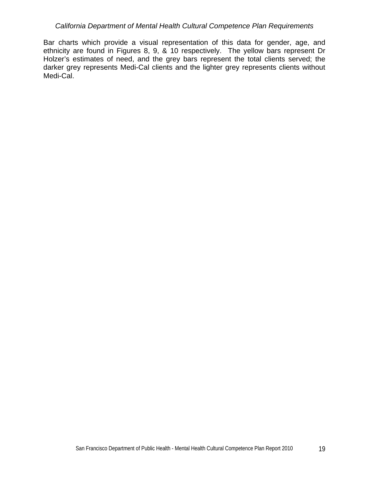Bar charts which provide a visual representation of this data for gender, age, and ethnicity are found in Figures 8, 9, & 10 respectively. The yellow bars represent Dr Holzer's estimates of need, and the grey bars represent the total clients served; the darker grey represents Medi-Cal clients and the lighter grey represents clients without Medi-Cal.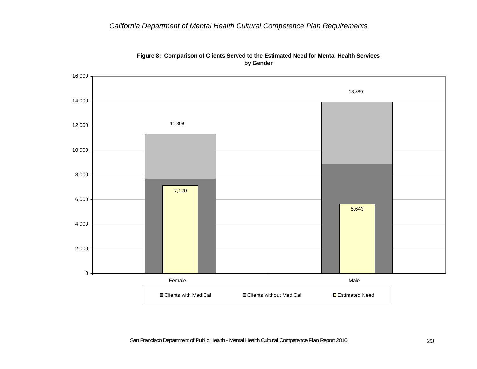

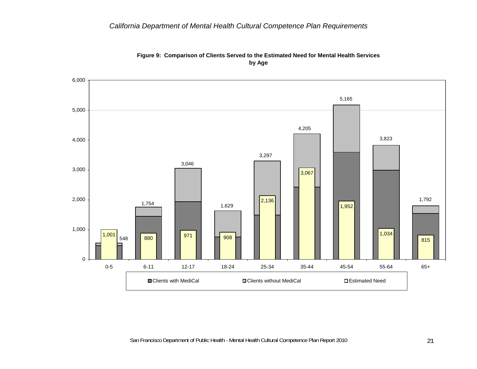

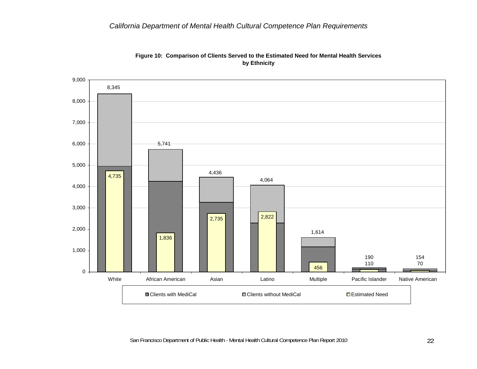

#### **Figure 10: Comparison of Clients Served to the Estimated Need for Mental Health Services by Ethnicity**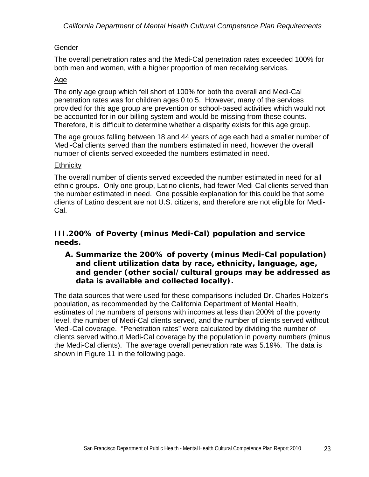## Gender

The overall penetration rates and the Medi-Cal penetration rates exceeded 100% for both men and women, with a higher proportion of men receiving services.

## Age

The only age group which fell short of 100% for both the overall and Medi-Cal penetration rates was for children ages 0 to 5. However, many of the services provided for this age group are prevention or school-based activities which would not be accounted for in our billing system and would be missing from these counts. Therefore, it is difficult to determine whether a disparity exists for this age group.

The age groups falling between 18 and 44 years of age each had a smaller number of Medi-Cal clients served than the numbers estimated in need, however the overall number of clients served exceeded the numbers estimated in need.

## **Ethnicity**

The overall number of clients served exceeded the number estimated in need for all ethnic groups. Only one group, Latino clients, had fewer Medi-Cal clients served than the number estimated in need. One possible explanation for this could be that some clients of Latino descent are not U.S. citizens, and therefore are not eligible for Medi-Cal.

## *III.200% of Poverty (minus Medi-Cal) population and service needs.*

## *A. Summarize the 200% of poverty (minus Medi-Cal population) and client utilization data by race, ethnicity, language, age, and gender (other social/cultural groups may be addressed as data is available and collected locally).*

The data sources that were used for these comparisons included Dr. Charles Holzer's population, as recommended by the California Department of Mental Health, estimates of the numbers of persons with incomes at less than 200% of the poverty level, the number of Medi-Cal clients served, and the number of clients served without Medi-Cal coverage. "Penetration rates" were calculated by dividing the number of clients served without Medi-Cal coverage by the population in poverty numbers (minus the Medi-Cal clients). The average overall penetration rate was 5.19%. The data is shown in Figure 11 in the following page.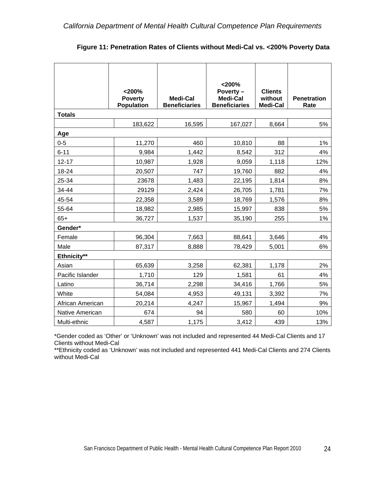|                  | $<$ 200%<br><b>Poverty</b><br><b>Population</b> | <b>Medi-Cal</b><br><b>Beneficiaries</b> | $<$ 200%<br>Poverty-<br><b>Medi-Cal</b><br><b>Beneficiaries</b> | <b>Clients</b><br>without<br>Medi-Cal | <b>Penetration</b><br>Rate |
|------------------|-------------------------------------------------|-----------------------------------------|-----------------------------------------------------------------|---------------------------------------|----------------------------|
| <b>Totals</b>    |                                                 |                                         |                                                                 |                                       |                            |
|                  | 183,622                                         | 16,595                                  | 167,027                                                         | 8,664                                 | 5%                         |
| Age              |                                                 |                                         |                                                                 |                                       |                            |
| $0 - 5$          | 11,270                                          | 460                                     | 10,810                                                          | 88                                    | 1%                         |
| $6 - 11$         | 9,984                                           | 1,442                                   | 8,542                                                           | 312                                   | 4%                         |
| $12 - 17$        | 10,987                                          | 1,928                                   | 9,059                                                           | 1,118                                 | 12%                        |
| 18-24            | 20,507                                          | 747                                     | 19,760                                                          | 882                                   | 4%                         |
| 25-34            | 23678                                           | 1,483                                   | 22,195                                                          | 1,814                                 | 8%                         |
| 34-44            | 29129                                           | 2,424                                   | 26,705                                                          | 1,781                                 | 7%                         |
| 45-54            | 22,358                                          | 3,589                                   | 18,769                                                          | 1,576                                 | 8%                         |
| 55-64            | 18,982                                          | 2,985                                   | 15,997                                                          | 838                                   | 5%                         |
| $65+$            | 36,727                                          | 1,537                                   | 35,190                                                          | 255                                   | 1%                         |
| Gender*          |                                                 |                                         |                                                                 |                                       |                            |
| Female           | 96,304                                          | 7,663                                   | 88,641                                                          | 3,646                                 | 4%                         |
| Male             | 87,317                                          | 8,888                                   | 78,429                                                          | 5,001                                 | 6%                         |
| Ethnicity**      |                                                 |                                         |                                                                 |                                       |                            |
| Asian            | 65,639                                          | 3,258                                   | 62,381                                                          | 1,178                                 | 2%                         |
| Pacific Islander | 1,710                                           | 129                                     | 1,581                                                           | 61                                    | 4%                         |
| Latino           | 36,714                                          | 2,298                                   | 34,416                                                          | 1,766                                 | 5%                         |
| White            | 54,084                                          | 4,953                                   | 49,131                                                          | 3,392                                 | 7%                         |
| African American | 20,214                                          | 4,247                                   | 15,967                                                          | 1,494                                 | 9%                         |
| Native American  | 674                                             | 94                                      | 580                                                             | 60                                    | 10%                        |
| Multi-ethnic     | 4,587                                           | 1,175                                   | 3,412                                                           | 439                                   | 13%                        |

| Figure 11: Penetration Rates of Clients without Medi-Cal vs. < 200% Poverty Data |  |
|----------------------------------------------------------------------------------|--|
|----------------------------------------------------------------------------------|--|

\*Gender coded as 'Other' or 'Unknown' was not included and represented 44 Medi-Cal Clients and 17 Clients without Medi-Cal

\*\*Ethnicity coded as 'Unknown' was not included and represented 441 Medi-Cal Clients and 274 Clients without Medi-Cal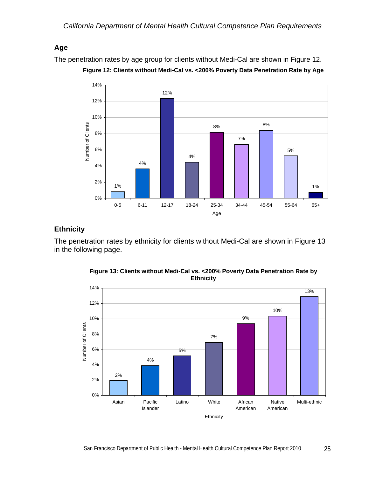## **Age**

The penetration rates by age group for clients without Medi-Cal are shown in Figure 12.





## **Ethnicity**

The penetration rates by ethnicity for clients without Medi-Cal are shown in Figure 13 in the following page.



**Figure 13: Clients without Medi-Cal vs. <200% Poverty Data Penetration Rate by Ethnicity**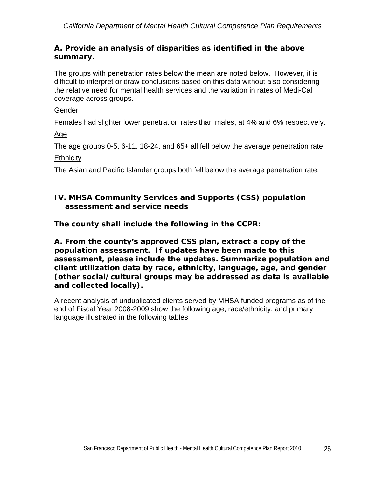## *A. Provide an analysis of disparities as identified in the above summary.*

The groups with penetration rates below the mean are noted below. However, it is difficult to interpret or draw conclusions based on this data without also considering the relative need for mental health services and the variation in rates of Medi-Cal coverage across groups.

## Gender

Females had slighter lower penetration rates than males, at 4% and 6% respectively.

Age

The age groups 0-5, 6-11, 18-24, and 65+ all fell below the average penetration rate.

**Ethnicity** 

The Asian and Pacific Islander groups both fell below the average penetration rate.

## *IV. MHSA Community Services and Supports (CSS) population assessment and service needs*

*The county shall include the following in the CCPR:* 

*A. From the county's approved CSS plan, extract a copy of the population assessment. If updates have been made to this assessment, please include the updates. Summarize population and client utilization data by race, ethnicity, language, age, and gender (other social/cultural groups may be addressed as data is available and collected locally).* 

A recent analysis of unduplicated clients served by MHSA funded programs as of the end of Fiscal Year 2008-2009 show the following age, race/ethnicity, and primary language illustrated in the following tables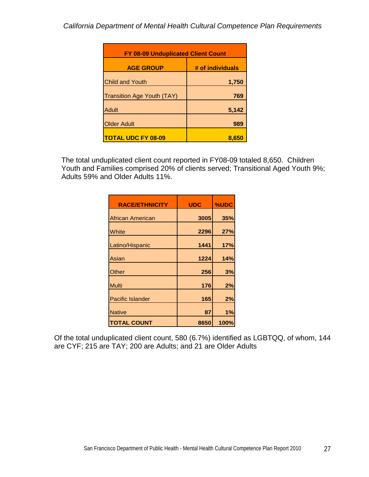| <b>FY 08-09 Unduplicated Client Count</b> |                  |  |  |  |
|-------------------------------------------|------------------|--|--|--|
| <b>AGE GROUP</b>                          | # of individuals |  |  |  |
| <b>Child and Youth</b>                    | 1,750            |  |  |  |
| <b>Transition Age Youth (TAY)</b>         | 769              |  |  |  |
| Adult                                     | 5,142            |  |  |  |
| <b>Older Adult</b>                        | 989              |  |  |  |
| <b>TOTAL UDC FY 08-09</b>                 | 8,650            |  |  |  |

The total unduplicated client count reported in FY08-09 totaled 8,650. Children Youth and Families comprised 20% of clients served; Transitional Aged Youth 9%; Adults 59% and Older Adults 11%.

| <b>RACE/ETHNICITY</b>   | <b>UDC</b> | %UDC |
|-------------------------|------------|------|
| African American        | 3005       | 35%  |
| White                   | 2296       | 27%  |
| Latino/Hispanic         | 1441       | 17%  |
| Asian                   | 1224       | 14%  |
| Other                   | 256        | 3%   |
| <b>Multi</b>            | 176        | 2%   |
| <b>Pacific Islander</b> | 165        | 2%   |
| <b>Native</b>           | 87         | 1%   |
| <b>TOTAL COUNT</b>      | 8650       | 100% |

Of the total unduplicated client count, 580 (6.7%) identified as LGBTQQ, of whom, 144 are CYF; 215 are TAY; 200 are Adults; and 21 are Older Adults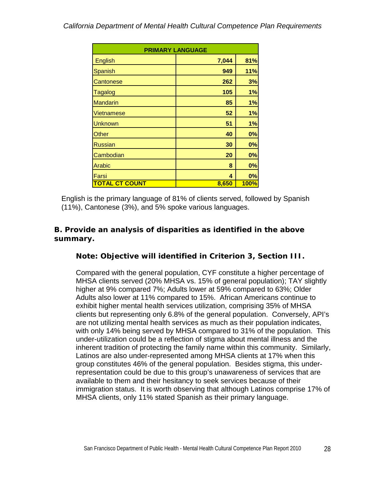| <b>PRIMARY LANGUAGE</b> |       |             |  |  |
|-------------------------|-------|-------------|--|--|
| English                 | 7,044 | 81%         |  |  |
| <b>Spanish</b>          | 949   | 11%         |  |  |
| Cantonese               | 262   | 3%          |  |  |
| <b>Tagalog</b>          | 105   | 1%          |  |  |
| <b>Mandarin</b>         | 85    | 1%          |  |  |
| Vietnamese              | 52    | 1%          |  |  |
| <b>Unknown</b>          | 51    | 1%          |  |  |
| Other                   | 40    | 0%          |  |  |
| <b>Russian</b>          | 30    | 0%          |  |  |
| Cambodian               | 20    | 0%          |  |  |
| Arabic                  | 8     | 0%          |  |  |
| Farsi                   | 4     | 0%          |  |  |
| <b>TOTAL CT COUNT</b>   | 8,650 | <b>100%</b> |  |  |

English is the primary language of 81% of clients served, followed by Spanish (11%), Cantonese (3%), and 5% spoke various languages.

## *B. Provide an analysis of disparities as identified in the above summary.*

## *Note: Objective will identified in Criterion 3, Section III.*

Compared with the general population, CYF constitute a higher percentage of MHSA clients served (20% MHSA vs. 15% of general population); TAY slightly higher at 9% compared 7%; Adults lower at 59% compared to 63%; Older Adults also lower at 11% compared to 15%. African Americans continue to exhibit higher mental health services utilization, comprising 35% of MHSA clients but representing only 6.8% of the general population. Conversely, API's are not utilizing mental health services as much as their population indicates, with only 14% being served by MHSA compared to 31% of the population. This under-utilization could be a reflection of stigma about mental illness and the inherent tradition of protecting the family name within this community. Similarly, Latinos are also under-represented among MHSA clients at 17% when this group constitutes 46% of the general population. Besides stigma, this underrepresentation could be due to this group's unawareness of services that are available to them and their hesitancy to seek services because of their immigration status. It is worth observing that although Latinos comprise 17% of MHSA clients, only 11% stated Spanish as their primary language.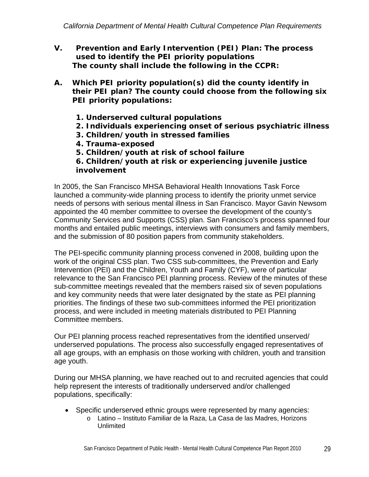- *V. Prevention and Early Intervention (PEI) Plan: The process used to identify the PEI priority populations The county shall include the following in the CCPR:*
- *A. Which PEI priority population(s) did the county identify in their PEI plan? The county could choose from the following six PEI priority populations:* 
	- *1. Underserved cultural populations*
	- *2. Individuals experiencing onset of serious psychiatric illness*
	- *3. Children/youth in stressed families*
	- *4. Trauma-exposed*
	- *5. Children/youth at risk of school failure*
	- *6. Children/youth at risk or experiencing juvenile justice involvement*

In 2005, the San Francisco MHSA Behavioral Health Innovations Task Force launched a community-wide planning process to identify the priority unmet service needs of persons with serious mental illness in San Francisco. Mayor Gavin Newsom appointed the 40 member committee to oversee the development of the county's Community Services and Supports (CSS) plan. San Francisco's process spanned four months and entailed public meetings, interviews with consumers and family members, and the submission of 80 position papers from community stakeholders.

The PEI-specific community planning process convened in 2008, building upon the work of the original CSS plan. Two CSS sub-committees, the Prevention and Early Intervention (PEI) and the Children, Youth and Family (CYF), were of particular relevance to the San Francisco PEI planning process. Review of the minutes of these sub-committee meetings revealed that the members raised six of seven populations and key community needs that were later designated by the state as PEI planning priorities. The findings of these two sub-committees informed the PEI prioritization process, and were included in meeting materials distributed to PEI Planning Committee members.

Our PEI planning process reached representatives from the identified unserved/ underserved populations. The process also successfully engaged representatives of all age groups, with an emphasis on those working with children, youth and transition age youth.

During our MHSA planning, we have reached out to and recruited agencies that could help represent the interests of traditionally underserved and/or challenged populations, specifically:

- Specific underserved ethnic groups were represented by many agencies:
	- o Latino Instituto Familiar de la Raza, La Casa de las Madres, Horizons Unlimited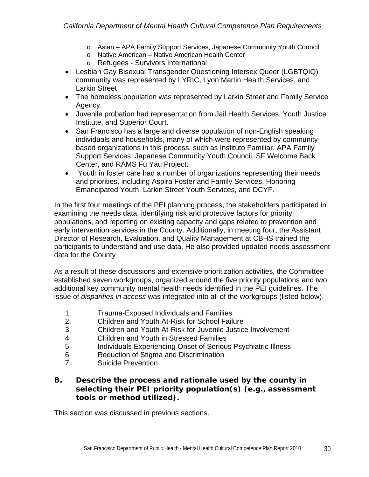- o Asian APA Family Support Services, Japanese Community Youth Council
- o Native American Native American Health Center
- o Refugees Survivors International
- Lesbian Gay Bisexual Transgender Questioning Intersex Queer (LGBTQIQ) community was represented by LYRIC, Lyon Martin Health Services, and Larkin Street
- The homeless population was represented by Larkin Street and Family Service Agency.
- Juvenile probation had representation from Jail Health Services, Youth Justice Institute, and Superior Court.
- San Francisco has a large and diverse population of non-English speaking individuals and households, many of which were represented by communitybased organizations in this process, such as Instituto Familiar, APA Family Support Services, Japanese Community Youth Council, SF Welcome Back Center, and RAMS Fu Yau Project.
- Youth in foster care had a number of organizations representing their needs and priorities, including Aspira Foster and Family Services, Honoring Emancipated Youth, Larkin Street Youth Services, and DCYF.

In the first four meetings of the PEI planning process, the stakeholders participated in examining the needs data, identifying risk and protective factors for priority populations, and reporting on existing capacity and gaps related to prevention and early intervention services in the County. Additionally, in meeting four, the Assistant Director of Research, Evaluation, and Quality Management at CBHS trained the participants to understand and use data. He also provided updated needs assessment data for the County

As a result of these discussions and extensive prioritization activities, the Committee established seven workgroups, organized around the five priority populations and two additional key community mental health needs identified in the PEI guidelines. The issue of *disparities in access* was integrated into all of the workgroups (listed below).

- 1. Trauma-Exposed Individuals and Families
- 2. Children and Youth At-Risk for School Failure
- 3. Children and Youth At-Risk for Juvenile Justice Involvement
- 4. Children and Youth in Stressed Families
- 5. Individuals Experiencing Onset of Serious Psychiatric Illness
- 6. Reduction of Stigma and Discrimination
- 7. Suicide Prevention

## *B. Describe the process and rationale used by the county in selecting their PEI priority population(s) (e.g., assessment tools or method utilized).*

This section was discussed in previous sections.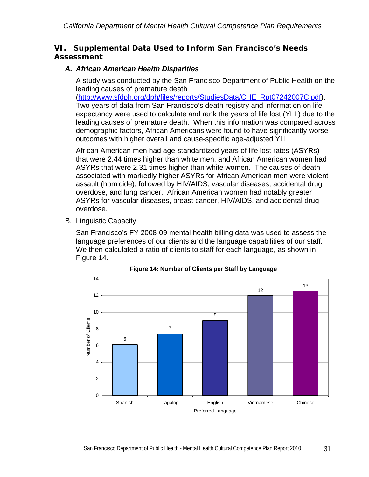### *VI. Supplemental Data Used to Inform San Francisco's Needs Assessment*

### *A. African American Health Disparities*

A study was conducted by the San Francisco Department of Public Health on the leading causes of premature death

([http://www.sfdph.org/dph/files/reports/StudiesData/CHE\\_Rpt07242007C.pdf\)](http://www.sfdph.org/dph/files/reports/StudiesData/CHE_Rpt07242007C.pdf). Two years of data from San Francisco's death registry and information on life expectancy were used to calculate and rank the years of life lost (YLL) due to the leading causes of premature death. When this information was compared across demographic factors, African Americans were found to have significantly worse outcomes with higher overall and cause-specific age-adjusted YLL.

African American men had age-standardized years of life lost rates (ASYRs) that were 2.44 times higher than white men, and African American women had ASYRs that were 2.31 times higher than white women. The causes of death associated with markedly higher ASYRs for African American men were violent assault (homicide), followed by HIV/AIDS, vascular diseases, accidental drug overdose, and lung cancer. African American women had notably greater ASYRs for vascular diseases, breast cancer, HIV/AIDS, and accidental drug overdose.

B. Linguistic Capacity

San Francisco's FY 2008-09 mental health billing data was used to assess the language preferences of our clients and the language capabilities of our staff. We then calculated a ratio of clients to staff for each language, as shown in Figure 14.



**Figure 14: Number of Clients per Staff by Language**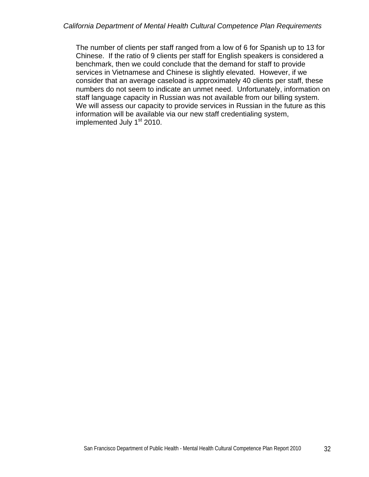The number of clients per staff ranged from a low of 6 for Spanish up to 13 for Chinese. If the ratio of 9 clients per staff for English speakers is considered a benchmark, then we could conclude that the demand for staff to provide services in Vietnamese and Chinese is slightly elevated. However, if we consider that an average caseload is approximately 40 clients per staff, these numbers do not seem to indicate an unmet need. Unfortunately, information on staff language capacity in Russian was not available from our billing system. We will assess our capacity to provide services in Russian in the future as this information will be available via our new staff credentialing system, implemented July 1<sup>st</sup> 2010.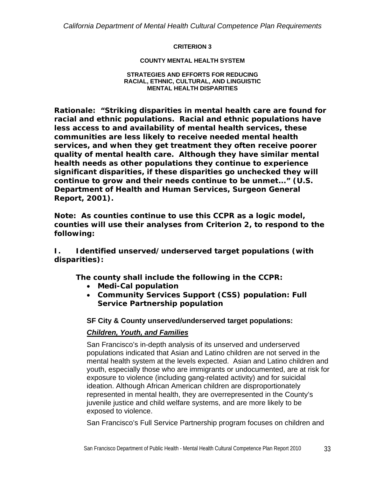*California Department of Mental Health Cultural Competence Plan Requirements* 

#### **CRITERION 3**

#### **COUNTY MENTAL HEALTH SYSTEM**

#### **STRATEGIES AND EFFORTS FOR REDUCING RACIAL, ETHNIC, CULTURAL, AND LINGUISTIC MENTAL HEALTH DISPARITIES**

*Rationale: "Striking disparities in mental health care are found for racial and ethnic populations. Racial and ethnic populations have less access to and availability of mental health services, these communities are less likely to receive needed mental health services, and when they get treatment they often receive poorer quality of mental health care. Although they have similar mental health needs as other populations they continue to experience significant disparities, if these disparities go unchecked they will continue to grow and their needs continue to be unmet..." (U.S. Department of Health and Human Services, Surgeon General Report, 2001).* 

*Note: As counties continue to use this CCPR as a logic model, counties will use their analyses from Criterion 2, to respond to the following:* 

*I. Identified unserved/underserved target populations (with disparities):* 

*The county shall include the following in the CCPR:* 

- *Medi-Cal population*
- *Community Services Support (CSS) population: Full Service Partnership population*

#### **SF City & County unserved/underserved target populations:**

### *Children, Youth, and Families*

San Francisco's in-depth analysis of its unserved and underserved populations indicated that Asian and Latino children are not served in the mental health system at the levels expected. Asian and Latino children and youth, especially those who are immigrants or undocumented, are at risk for exposure to violence (including gang-related activity) and for suicidal ideation. Although African American children are disproportionately represented in mental health, they are overrepresented in the County's juvenile justice and child welfare systems, and are more likely to be exposed to violence.

San Francisco's Full Service Partnership program focuses on children and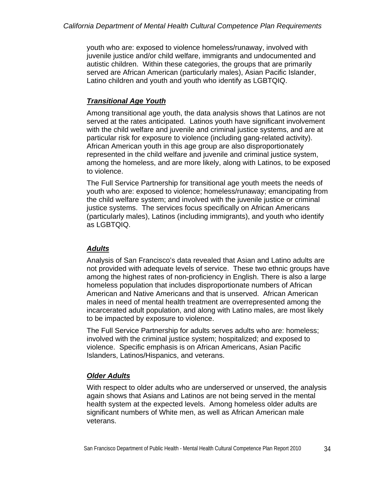youth who are: exposed to violence homeless/runaway, involved with juvenile justice and/or child welfare, immigrants and undocumented and autistic children. Within these categories, the groups that are primarily served are African American (particularly males), Asian Pacific Islander, Latino children and youth and youth who identify as LGBTQIQ.

# *Transitional Age Youth*

Among transitional age youth, the data analysis shows that Latinos are not served at the rates anticipated. Latinos youth have significant involvement with the child welfare and juvenile and criminal justice systems, and are at particular risk for exposure to violence (including gang-related activity). African American youth in this age group are also disproportionately represented in the child welfare and juvenile and criminal justice system, among the homeless, and are more likely, along with Latinos, to be exposed to violence.

The Full Service Partnership for transitional age youth meets the needs of youth who are: exposed to violence; homeless/runaway; emancipating from the child welfare system; and involved with the juvenile justice or criminal justice systems. The services focus specifically on African Americans (particularly males), Latinos (including immigrants), and youth who identify as LGBTQIQ.

## *Adults*

Analysis of San Francisco's data revealed that Asian and Latino adults are not provided with adequate levels of service. These two ethnic groups have among the highest rates of non-proficiency in English. There is also a large homeless population that includes disproportionate numbers of African American and Native Americans and that is unserved. African American males in need of mental health treatment are overrepresented among the incarcerated adult population, and along with Latino males, are most likely to be impacted by exposure to violence.

The Full Service Partnership for adults serves adults who are: homeless; involved with the criminal justice system; hospitalized; and exposed to violence. Specific emphasis is on African Americans, Asian Pacific Islanders, Latinos/Hispanics, and veterans.

# *Older Adults*

With respect to older adults who are underserved or unserved, the analysis again shows that Asians and Latinos are not being served in the mental health system at the expected levels. Among homeless older adults are significant numbers of White men, as well as African American male veterans.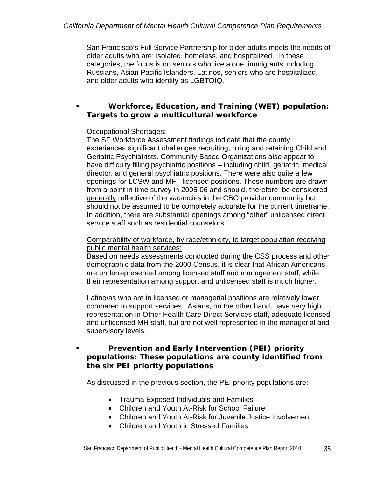San Francisco's Full Service Partnership for older adults meets the needs of older adults who are: isolated, homeless, and hospitalized. In these categories, the focus is on seniors who live alone, immigrants including Russians, Asian Pacific Islanders, Latinos, seniors who are hospitalized, and older adults who identify as LGBTQIQ.

### *Workforce, Education, and Training (WET) population: Targets to grow a multicultural workforce*

### Occupational Shortages:

The SF Workforce Assessment findings indicate that the county experiences significant challenges recruiting, hiring and retaining Child and Geriatric Psychiatrists. Community Based Organizations also appear to have difficulty filling psychiatric positions – including child, geriatric, medical director, and general psychiatric positions. There were also quite a few openings for LCSW and MFT licensed positions. These numbers are drawn from a point in time survey in 2005-06 and should, therefore, be considered generally reflective of the vacancies in the CBO provider community but should not be assumed to be completely accurate for the current timeframe. In addition, there are substantial openings among "other" unlicensed direct service staff such as residential counselors.

#### Comparability of workforce, by race/ethnicity, to target population receiving public mental health services:

Based on needs assessments conducted during the CSS process and other demographic data from the 2000 Census, it is clear that African Americans are underrepresented among licensed staff and management staff, while their representation among support and unlicensed staff is much higher.

Latino/as who are in licensed or managerial positions are relatively lower compared to support services. Asians, on the other hand, have very high representation in Other Health Care Direct Services staff, adequate licensed and unlicensed MH staff, but are not well represented in the managerial and supervisory levels.

### *Prevention and Early Intervention (PEI) priority populations: These populations are county identified from the six PEI priority populations*

As discussed in the previous section, the PEI priority populations are:

- Trauma Exposed Individuals and Families
- Children and Youth At-Risk for School Failure
- Children and Youth At-Risk for Juvenile Justice Involvement
- Children and Youth in Stressed Families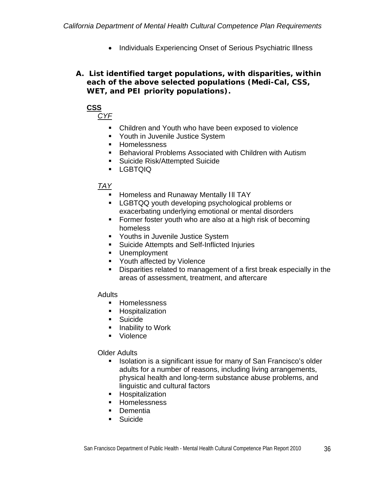• Individuals Experiencing Onset of Serious Psychiatric Illness

*A. List identified target populations, with disparities, within each of the above selected populations (Medi-Cal, CSS, WET, and PEI priority populations).* 



*CYF*

- Children and Youth who have been exposed to violence
- **Youth in Juvenile Justice System**
- **Homelessness**
- Behavioral Problems Associated with Children with Autism
- Suicide Risk/Attempted Suicide
- LGBTQIQ

### *TAY*

- **Homeless and Runaway Mentally III TAY**
- **LGBTQQ youth developing psychological problems or** exacerbating underlying emotional or mental disorders
- **Former foster youth who are also at a high risk of becoming** homeless
- **Youths in Juvenile Justice System**
- Suicide Attempts and Self-Inflicted Injuries
- **Unemployment**
- **Youth affected by Violence**
- Disparities related to management of a first break especially in the areas of assessment, treatment, and aftercare

#### **Adults**

- **Homelessness**
- **-** Hospitalization
- **Suicide**
- **Inability to Work**
- Violence

#### Older Adults

- Isolation is a significant issue for many of San Francisco's older adults for a number of reasons, including living arrangements, physical health and long-term substance abuse problems, and linguistic and cultural factors
- **-** Hospitalization
- **Homelessness**
- **Dementia**
- **Suicide**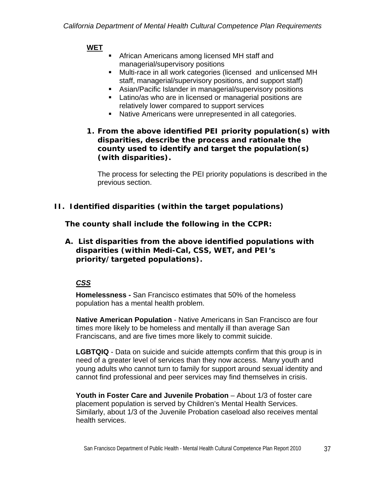# **WET**

- **F** African Americans among licensed MH staff and managerial/supervisory positions
- Multi-race in all work categories (licensed and unlicensed MH staff, managerial/supervisory positions, and support staff)
- Asian/Pacific Islander in managerial/supervisory positions
- **Latino/as who are in licensed or managerial positions are** relatively lower compared to support services
- Native Americans were unrepresented in all categories.

### *1. From the above identified PEI priority population(s) with disparities, describe the process and rationale the county used to identify and target the population(s) (with disparities).*

The process for selecting the PEI priority populations is described in the previous section.

*II. Identified disparities (within the target populations)* 

*The county shall include the following in the CCPR:* 

*A. List disparities from the above identified populations with disparities (within Medi-Cal, CSS, WET, and PEI's priority/targeted populations).* 

# *CSS*

**Homelessness -** San Francisco estimates that 50% of the homeless population has a mental health problem.

**Native American Population** - Native Americans in San Francisco are four times more likely to be homeless and mentally ill than average San Franciscans, and are five times more likely to commit suicide.

**LGBTQIQ** - Data on suicide and suicide attempts confirm that this group is in need of a greater level of services than they now access. Many youth and young adults who cannot turn to family for support around sexual identity and cannot find professional and peer services may find themselves in crisis.

**Youth in Foster Care and Juvenile Probation** – About 1/3 of foster care placement population is served by Children's Mental Health Services. Similarly, about 1/3 of the Juvenile Probation caseload also receives mental health services.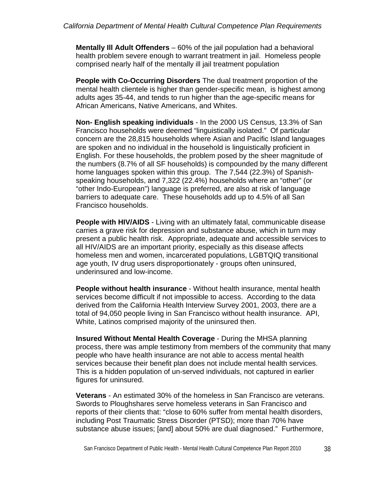**Mentally Ill Adult Offenders** – 60% of the jail population had a behavioral health problem severe enough to warrant treatment in jail. Homeless people comprised nearly half of the mentally ill jail treatment population

**People with Co-Occurring Disorders** The dual treatment proportion of the mental health clientele is higher than gender-specific mean, is highest among adults ages 35-44, and tends to run higher than the age-specific means for African Americans, Native Americans, and Whites.

**Non- English speaking individuals** - In the 2000 US Census, 13.3% of San Francisco households were deemed "linguistically isolated." Of particular concern are the 28,815 households where Asian and Pacific Island languages are spoken and no individual in the household is linguistically proficient in English. For these households, the problem posed by the sheer magnitude of the numbers (8.7% of all SF households) is compounded by the many different home languages spoken within this group. The 7,544 (22.3%) of Spanishspeaking households, and 7,322 (22.4%) households where an "other" (or "other Indo-European") language is preferred, are also at risk of language barriers to adequate care. These households add up to 4.5% of all San Francisco households.

**People with HIV/AIDS** - Living with an ultimately fatal, communicable disease carries a grave risk for depression and substance abuse, which in turn may present a public health risk. Appropriate, adequate and accessible services to all HIV/AIDS are an important priority, especially as this disease affects homeless men and women, incarcerated populations, LGBTQIQ transitional age youth, IV drug users disproportionately - groups often uninsured, underinsured and low-income.

**People without health insurance** - Without health insurance, mental health services become difficult if not impossible to access. According to the data derived from the California Health Interview Survey 2001, 2003, there are a total of 94,050 people living in San Francisco without health insurance. API, White, Latinos comprised majority of the uninsured then.

**Insured Without Mental Health Coverage** - During the MHSA planning process, there was ample testimony from members of the community that many people who have health insurance are not able to access mental health services because their benefit plan does not include mental health services. This is a hidden population of un-served individuals, not captured in earlier figures for uninsured.

**Veterans** - An estimated 30% of the homeless in San Francisco are veterans. Swords to Ploughshares serve homeless veterans in San Francisco and reports of their clients that: "close to 60% suffer from mental health disorders, including Post Traumatic Stress Disorder (PTSD); more than 70% have substance abuse issues; [and] about 50% are dual diagnosed." Furthermore,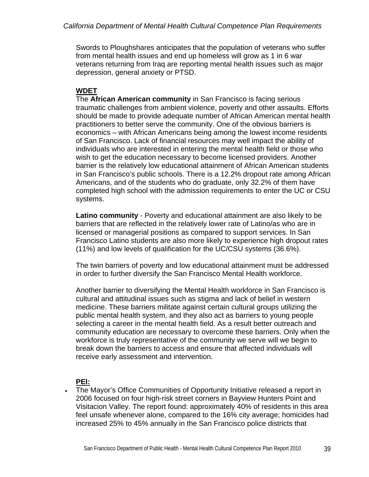Swords to Ploughshares anticipates that the population of veterans who suffer from mental health issues and end up homeless will grow as 1 in 6 war veterans returning from Iraq are reporting mental health issues such as major depression, general anxiety or PTSD.

# **WDET**

The **African American community** in San Francisco is facing serious traumatic challenges from ambient violence, poverty and other assaults. Efforts should be made to provide adequate number of African American mental health practitioners to better serve the community. One of the obvious barriers is economics – with African Americans being among the lowest income residents of San Francisco. Lack of financial resources may well impact the ability of individuals who are interested in entering the mental health field or those who wish to get the education necessary to become licensed providers. Another barrier is the relatively low educational attainment of African American students in San Francisco's public schools. There is a 12.2% dropout rate among African Americans, and of the students who do graduate, only 32.2% of them have completed high school with the admission requirements to enter the UC or CSU systems.

**Latino community** - Poverty and educational attainment are also likely to be barriers that are reflected in the relatively lower rate of Latino/as who are in licensed or managerial positions as compared to support services. In San Francisco Latino students are also more likely to experience high dropout rates (11%) and low levels of qualification for the UC/CSU systems (36.6%).

The twin barriers of poverty and low educational attainment must be addressed in order to further diversify the San Francisco Mental Health workforce.

Another barrier to diversifying the Mental Health workforce in San Francisco is cultural and attitudinal issues such as stigma and lack of belief in western medicine. These barriers militate against certain cultural groups utilizing the public mental health system, and they also act as barriers to young people selecting a career in the mental health field. As a result better outreach and community education are necessary to overcome these barriers. Only when the workforce is truly representative of the community we serve will we begin to break down the barriers to access and ensure that affected individuals will receive early assessment and intervention.

**PEI:**

 The Mayor's Office Communities of Opportunity Initiative released a report in 2006 focused on four high-risk street corners in Bayview Hunters Point and Visitacion Valley. The report found: approximately 40% of residents in this area feel unsafe whenever alone, compared to the 16% city average; homicides had increased 25% to 45% annually in the San Francisco police districts that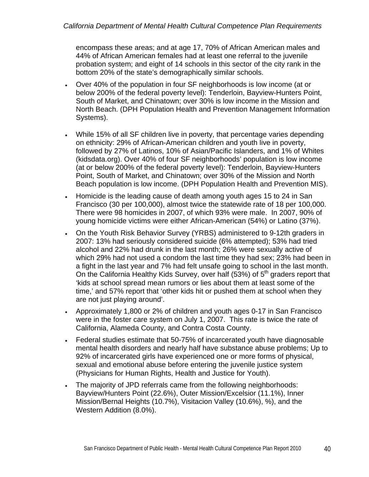encompass these areas; and at age 17, 70% of African American males and 44% of African American females had at least one referral to the juvenile probation system; and eight of 14 schools in this sector of the city rank in the bottom 20% of the state's demographically similar schools.

- Over 40% of the population in four SF neighborhoods is low income (at or below 200% of the federal poverty level): Tenderloin, Bayview-Hunters Point, South of Market, and Chinatown; over 30% is low income in the Mission and North Beach. (DPH Population Health and Prevention Management Information Systems).
- While 15% of all SF children live in poverty, that percentage varies depending on ethnicity: 29% of African-American children and youth live in poverty, followed by 27% of Latinos, 10% of Asian/Pacific Islanders, and 1% of Whites (kidsdata.org). Over 40% of four SF neighborhoods' population is low income (at or below 200% of the federal poverty level): Tenderloin, Bayview-Hunters Point, South of Market, and Chinatown; over 30% of the Mission and North Beach population is low income. (DPH Population Health and Prevention MIS).
- Homicide is the leading cause of death among youth ages 15 to 24 in San Francisco (30 per 100,000), almost twice the statewide rate of 18 per 100,000. There were 98 homicides in 2007, of which 93% were male. In 2007, 90% of young homicide victims were either African-American (54%) or Latino (37%).
- On the Youth Risk Behavior Survey (YRBS) administered to 9-12th graders in 2007: 13% had seriously considered suicide (6% attempted); 53% had tried alcohol and 22% had drunk in the last month; 26% were sexually active of which 29% had not used a condom the last time they had sex; 23% had been in a fight in the last year and 7% had felt unsafe going to school in the last month. On the California Healthy Kids Survey, over half (53%) of  $5<sup>th</sup>$  graders report that 'kids at school spread mean rumors or lies about them at least some of the time,' and 57% report that 'other kids hit or pushed them at school when they are not just playing around'.
- Approximately 1,800 or 2% of children and youth ages 0-17 in San Francisco were in the foster care system on July 1, 2007. This rate is twice the rate of California, Alameda County, and Contra Costa County.
- Federal studies estimate that 50-75% of incarcerated youth have diagnosable mental health disorders and nearly half have substance abuse problems; Up to 92% of incarcerated girls have experienced one or more forms of physical, sexual and emotional abuse before entering the juvenile justice system (Physicians for Human Rights, Health and Justice for Youth).
- The majority of JPD referrals came from the following neighborhoods: Bayview/Hunters Point (22.6%), Outer Mission/Excelsior (11.1%), Inner Mission/Bernal Heights (10.7%), Visitacion Valley (10.6%), %), and the Western Addition (8.0%).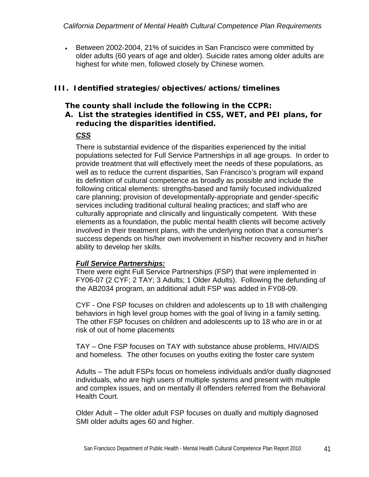Between 2002-2004, 21% of suicides in San Francisco were committed by older adults (60 years of age and older). Suicide rates among older adults are highest for white men, followed closely by Chinese women.

# *III. Identified strategies/objectives/actions/timelines*

#### *The county shall include the following in the CCPR: A. List the strategies identified in CSS, WET, and PEI plans, for reducing the disparities identified.*

# *CSS*

There is substantial evidence of the disparities experienced by the initial populations selected for Full Service Partnerships in all age groups. In order to provide treatment that will effectively meet the needs of these populations, as well as to reduce the current disparities, San Francisco's program will expand its definition of cultural competence as broadly as possible and include the following critical elements: strengths-based and family focused individualized care planning; provision of developmentally-appropriate and gender-specific services including traditional cultural healing practices; and staff who are culturally appropriate and clinically and linguistically competent. With these elements as a foundation, the public mental health clients will become actively involved in their treatment plans, with the underlying notion that a consumer's success depends on his/her own involvement in his/her recovery and in his/her ability to develop her skills.

### *Full Service Partnerships:*

There were eight Full Service Partnerships (FSP) that were implemented in FY06-07 (2 CYF; 2 TAY; 3 Adults; 1 Older Adults). Following the defunding of the AB2034 program, an additional adult FSP was added in FY08-09.

CYF - One FSP focuses on children and adolescents up to 18 with challenging behaviors in high level group homes with the goal of living in a family setting. The other FSP focuses on children and adolescents up to 18 who are in or at risk of out of home placements

TAY – One FSP focuses on TAY with substance abuse problems, HIV/AIDS and homeless. The other focuses on youths exiting the foster care system

Adults – The adult FSPs focus on homeless individuals and/or dually diagnosed individuals, who are high users of multiple systems and present with multiple and complex issues, and on mentally ill offenders referred from the Behavioral Health Court.

Older Adult – The older adult FSP focuses on dually and multiply diagnosed SMI older adults ages 60 and higher.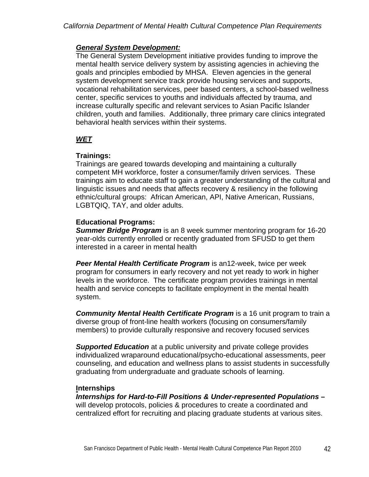#### *General System Development:*

The General System Development initiative provides funding to improve the mental health service delivery system by assisting agencies in achieving the goals and principles embodied by MHSA. Eleven agencies in the general system development service track provide housing services and supports, vocational rehabilitation services, peer based centers, a school-based wellness center, specific services to youths and individuals affected by trauma, and increase culturally specific and relevant services to Asian Pacific Islander children, youth and families. Additionally, three primary care clinics integrated behavioral health services within their systems.

## *WET*

### **Trainings:**

Trainings are geared towards developing and maintaining a culturally competent MH workforce, foster a consumer/family driven services. These trainings aim to educate staff to gain a greater understanding of the cultural and linguistic issues and needs that affects recovery & resiliency in the following ethnic/cultural groups: African American, API, Native American, Russians, LGBTQIQ, TAY, and older adults.

### **Educational Programs:**

*Summer Bridge Program* is an 8 week summer mentoring program for 16-20 year-olds currently enrolled or recently graduated from SFUSD to get them interested in a career in mental health

*Peer Mental Health Certificate Program* is an12-week, twice per week program for consumers in early recovery and not yet ready to work in higher levels in the workforce. The certificate program provides trainings in mental health and service concepts to facilitate employment in the mental health system.

*Community Mental Health Certificate Program* is a 16 unit program to train a diverse group of front-line health workers (focusing on consumers/family members) to provide culturally responsive and recovery focused services

*Supported Education* at a public university and private college provides individualized wraparound educational/psycho-educational assessments, peer counseling, and education and wellness plans to assist students in successfully graduating from undergraduate and graduate schools of learning.

### **Internships**

*Internships for Hard-to-Fill Positions & Under-represented Populations* **–**  will develop protocols, policies & procedures to create a coordinated and centralized effort for recruiting and placing graduate students at various sites.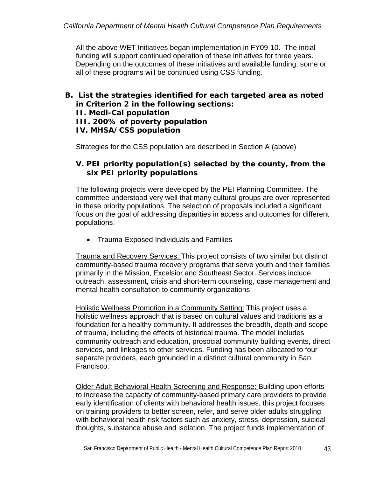All the above WET Initiatives began implementation in FY09-10. The initial funding will support continued operation of these initiatives for three years. Depending on the outcomes of these initiatives and available funding, some or all of these programs will be continued using CSS funding.

*B. List the strategies identified for each targeted area as noted in Criterion 2 in the following sections: II. Medi-Cal population III. 200% of poverty population IV. MHSA/CSS population* 

Strategies for the CSS population are described in Section A (above)

### *V. PEI priority population(s) selected by the county, from the six PEI priority populations*

The following projects were developed by the PEI Planning Committee. The committee understood very well that many cultural groups are over represented in these priority populations. The selection of proposals included a significant focus on the goal of addressing disparities in access and outcomes for different populations.

Trauma-Exposed Individuals and Families

Trauma and Recovery Services: This project consists of two similar but distinct community-based trauma recovery programs that serve youth and their families primarily in the Mission, Excelsior and Southeast Sector. Services include outreach, assessment, crisis and short-term counseling, case management and mental health consultation to community organizations

Holistic Wellness Promotion in a Community Setting: This project uses a holistic wellness approach that is based on cultural values and traditions as a foundation for a healthy community. It addresses the breadth, depth and scope of trauma, including the effects of historical trauma. The model includes community outreach and education, prosocial community building events, direct services, and linkages to other services. Funding has been allocated to four separate providers, each grounded in a distinct cultural community in San Francisco.

Older Adult Behavioral Health Screening and Response: Building upon efforts to increase the capacity of community-based primary care providers to provide early identification of clients with behavioral health issues, this project focuses on training providers to better screen, refer, and serve older adults struggling with behavioral health risk factors such as anxiety, stress, depression, suicidal thoughts, substance abuse and isolation. The project funds implementation of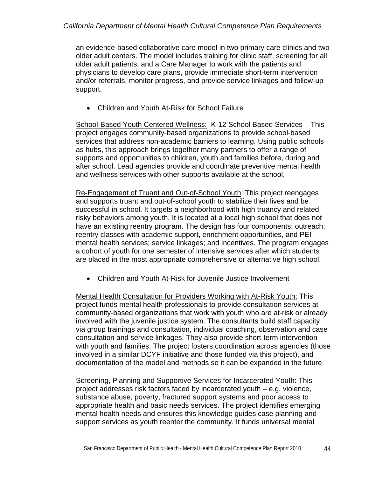#### *California Department of Mental Health Cultural Competence Plan Requirements*

an evidence-based collaborative care model in two primary care clinics and two older adult centers. The model includes training for clinic staff, screening for all older adult patients, and a Care Manager to work with the patients and physicians to develop care plans, provide immediate short-term intervention and/or referrals, monitor progress, and provide service linkages and follow-up support.

Children and Youth At-Risk for School Failure

School-Based Youth Centered Wellness: K-12 School Based Services – This project engages community-based organizations to provide school-based services that address non-academic barriers to learning. Using public schools as hubs, this approach brings together many partners to offer a range of supports and opportunities to children, youth and families before, during and after school. Lead agencies provide and coordinate preventive mental health and wellness services with other supports available at the school.

Re-Engagement of Truant and Out-of-School Youth: This project reengages and supports truant and out-of-school youth to stabilize their lives and be successful in school. It targets a neighborhood with high truancy and related risky behaviors among youth. It is located at a local high school that does not have an existing reentry program. The design has four components: outreach; reentry classes with academic support, enrichment opportunities, and PEI mental health services; service linkages; and incentives. The program engages a cohort of youth for one semester of intensive services after which students are placed in the most appropriate comprehensive or alternative high school.

Children and Youth At-Risk for Juvenile Justice Involvement

Mental Health Consultation for Providers Working with At-Risk Youth: This project funds mental health professionals to provide consultation services at community-based organizations that work with youth who are at-risk or already involved with the juvenile justice system. The consultants build staff capacity via group trainings and consultation, individual coaching, observation and case consultation and service linkages. They also provide short-term intervention with youth and families. The project fosters coordination across agencies (those involved in a similar DCYF initiative and those funded via this project), and documentation of the model and methods so it can be expanded in the future.

Screening, Planning and Supportive Services for Incarcerated Youth: This project addresses risk factors faced by incarcerated youth – e.g. violence, substance abuse, poverty, fractured support systems and poor access to appropriate health and basic needs services. The project identifies emerging mental health needs and ensures this knowledge guides case planning and support services as youth reenter the community. It funds universal mental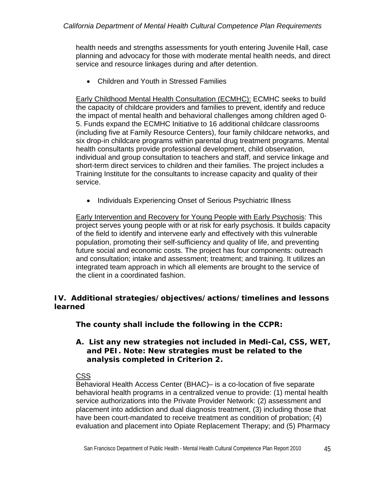health needs and strengths assessments for youth entering Juvenile Hall, case planning and advocacy for those with moderate mental health needs, and direct service and resource linkages during and after detention.

Children and Youth in Stressed Families

Early Childhood Mental Health Consultation (ECMHC): ECMHC seeks to build the capacity of childcare providers and families to prevent, identify and reduce the impact of mental health and behavioral challenges among children aged 0- 5. Funds expand the ECMHC Initiative to 16 additional childcare classrooms (including five at Family Resource Centers), four family childcare networks, and six drop-in childcare programs within parental drug treatment programs. Mental health consultants provide professional development, child observation, individual and group consultation to teachers and staff, and service linkage and short-term direct services to children and their families. The project includes a Training Institute for the consultants to increase capacity and quality of their service.

• Individuals Experiencing Onset of Serious Psychiatric Illness

Early Intervention and Recovery for Young People with Early Psychosis: This project serves young people with or at risk for early psychosis. It builds capacity of the field to identify and intervene early and effectively with this vulnerable population, promoting their self-sufficiency and quality of life, and preventing future social and economic costs. The project has four components: outreach and consultation; intake and assessment; treatment; and training. It utilizes an integrated team approach in which all elements are brought to the service of the client in a coordinated fashion.

## *IV. Additional strategies/objectives/actions/timelines and lessons learned*

## *The county shall include the following in the CCPR:*

### *A. List any new strategies not included in Medi-Cal, CSS, WET, and PEI. Note: New strategies must be related to the analysis completed in Criterion 2.*

### CSS

Behavioral Health Access Center (BHAC)– is a co-location of five separate behavioral health programs in a centralized venue to provide: (1) mental health service authorizations into the Private Provider Network: (2) assessment and placement into addiction and dual diagnosis treatment, (3) including those that have been court-mandated to receive treatment as condition of probation; (4) evaluation and placement into Opiate Replacement Therapy; and (5) Pharmacy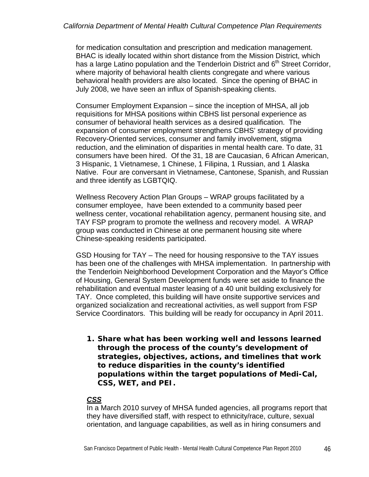for medication consultation and prescription and medication management. BHAC is ideally located within short distance from the Mission District, which has a large Latino population and the Tenderloin District and 6<sup>th</sup> Street Corridor, where majority of behavioral health clients congregate and where various behavioral health providers are also located. Since the opening of BHAC in July 2008, we have seen an influx of Spanish-speaking clients.

Consumer Employment Expansion – since the inception of MHSA, all job requisitions for MHSA positions within CBHS list personal experience as consumer of behavioral health services as a desired qualification. The expansion of consumer employment strengthens CBHS' strategy of providing Recovery-Oriented services, consumer and family involvement, stigma reduction, and the elimination of disparities in mental health care. To date, 31 consumers have been hired. Of the 31, 18 are Caucasian, 6 African American, 3 Hispanic, 1 Vietnamese, 1 Chinese, 1 Filipina, 1 Russian, and 1 Alaska Native. Four are conversant in Vietnamese, Cantonese, Spanish, and Russian and three identify as LGBTQIQ.

Wellness Recovery Action Plan Groups – WRAP groups facilitated by a consumer employee, have been extended to a community based peer wellness center, vocational rehabilitation agency, permanent housing site, and TAY FSP program to promote the wellness and recovery model. A WRAP group was conducted in Chinese at one permanent housing site where Chinese-speaking residents participated.

GSD Housing for TAY – The need for housing responsive to the TAY issues has been one of the challenges with MHSA implementation. In partnership with the Tenderloin Neighborhood Development Corporation and the Mayor's Office of Housing, General System Development funds were set aside to finance the rehabilitation and eventual master leasing of a 40 unit building exclusively for TAY. Once completed, this building will have onsite supportive services and organized socialization and recreational activities, as well support from FSP Service Coordinators. This building will be ready for occupancy in April 2011.

*1. Share what has been working well and lessons learned through the process of the county's development of strategies, objectives, actions, and timelines that work to reduce disparities in the county's identified populations within the target populations of Medi-Cal, CSS, WET, and PEI.* 

### *CSS*

In a March 2010 survey of MHSA funded agencies, all programs report that they have diversified staff, with respect to ethnicity/race, culture, sexual orientation, and language capabilities, as well as in hiring consumers and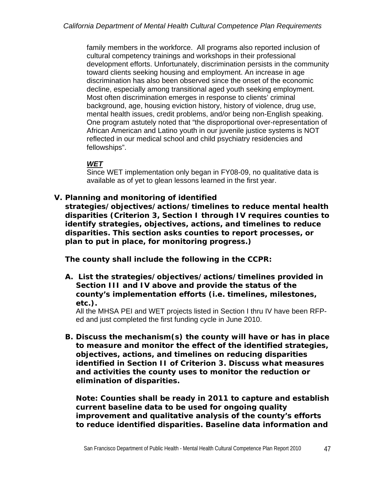family members in the workforce. All programs also reported inclusion of cultural competency trainings and workshops in their professional development efforts. Unfortunately, discrimination persists in the community toward clients seeking housing and employment. An increase in age discrimination has also been observed since the onset of the economic decline, especially among transitional aged youth seeking employment. Most often discrimination emerges in response to clients' criminal background, age, housing eviction history, history of violence, drug use, mental health issues, credit problems, and/or being non-English speaking. One program astutely noted that "the disproportional over-representation of African American and Latino youth in our juvenile justice systems is NOT reflected in our medical school and child psychiatry residencies and fellowships".

## *WET*

Since WET implementation only began in FY08-09, no qualitative data is available as of yet to glean lessons learned in the first year.

### *V. Planning and monitoring of identified*

*strategies/objectives/actions/timelines to reduce mental health disparities (Criterion 3, Section I through IV requires counties to identify strategies, objectives, actions, and timelines to reduce disparities. This section asks counties to report processes, or plan to put in place, for monitoring progress.)* 

*The county shall include the following in the CCPR:* 

*A. List the strategies/objectives/actions/timelines provided in Section III and IV above and provide the status of the county's implementation efforts (i.e. timelines, milestones, etc.).* 

All the MHSA PEI and WET projects listed in Section I thru IV have been RFPed and just completed the first funding cycle in June 2010.

*B. Discuss the mechanism(s) the county will have or has in place to measure and monitor the effect of the identified strategies, objectives, actions, and timelines on reducing disparities identified in Section II of Criterion 3. Discuss what measures and activities the county uses to monitor the reduction or elimination of disparities.* 

*Note: Counties shall be ready in 2011 to capture and establish current baseline data to be used for ongoing quality improvement and qualitative analysis of the county's efforts to reduce identified disparities. Baseline data information and*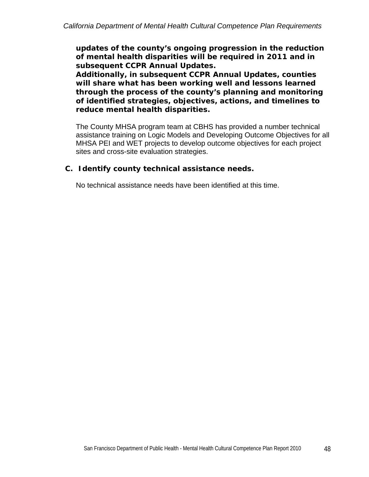*updates of the county's ongoing progression in the reduction of mental health disparities will be required in 2011 and in subsequent CCPR Annual Updates.* 

*Additionally, in subsequent CCPR Annual Updates, counties will share what has been working well and lessons learned through the process of the county's planning and monitoring of identified strategies, objectives, actions, and timelines to reduce mental health disparities.* 

The County MHSA program team at CBHS has provided a number technical assistance training on Logic Models and Developing Outcome Objectives for all MHSA PEI and WET projects to develop outcome objectives for each project sites and cross-site evaluation strategies.

### *C. Identify county technical assistance needs.*

No technical assistance needs have been identified at this time.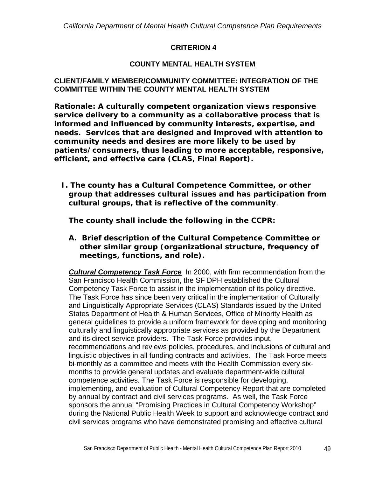### **CRITERION 4**

### **COUNTY MENTAL HEALTH SYSTEM**

#### **CLIENT/FAMILY MEMBER/COMMUNITY COMMITTEE: INTEGRATION OF THE COMMITTEE WITHIN THE COUNTY MENTAL HEALTH SYSTEM**

*Rationale: A culturally competent organization views responsive service delivery to a community as a collaborative process that is informed and influenced by community interests, expertise, and needs. Services that are designed and improved with attention to community needs and desires are more likely to be used by patients/consumers, thus leading to more acceptable, responsive, efficient, and effective care (CLAS, Final Report).* 

*I. The county has a Cultural Competence Committee, or other group that addresses cultural issues and has participation from cultural groups, that is reflective of the community.* 

*The county shall include the following in the CCPR:* 

**A.** *Brief description of the Cultural Competence Committee or other similar group (organizational structure, frequency of meetings, functions, and role).* 

*Cultural Competency Task Force* In 2000, with firm recommendation from the San Francisco Health Commission, the SF DPH established the Cultural Competency Task Force to assist in the implementation of its policy directive. The Task Force has since been very critical in the implementation of Culturally and Linguistically Appropriate Services (CLAS) Standards issued by the United States Department of Health & Human Services, Office of Minority Health as general guidelines to provide a uniform framework for developing and monitoring culturally and linguistically appropriate services as provided by the Department and its direct service providers. The Task Force provides input, recommendations and reviews policies, procedures, and inclusions of cultural and linguistic objectives in all funding contracts and activities. The Task Force meets bi-monthly as a committee and meets with the Health Commission every sixmonths to provide general updates and evaluate department-wide cultural competence activities. The Task Force is responsible for developing, implementing, and evaluation of Cultural Competency Report that are completed by annual by contract and civil services programs. As well, the Task Force sponsors the annual "Promising Practices in Cultural Competency Workshop" during the National Public Health Week to support and acknowledge contract and civil services programs who have demonstrated promising and effective cultural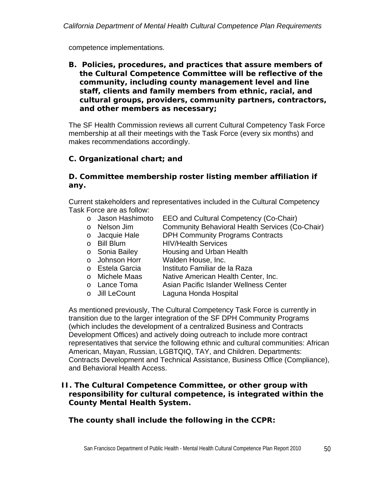competence implementations.

**B.** *Policies, procedures, and practices that assure members of the Cultural Competence Committee will be reflective of the community, including county management level and line staff, clients and family members from ethnic, racial, and cultural groups, providers, community partners, contractors, and other members as necessary;* 

The SF Health Commission reviews all current Cultural Competency Task Force membership at all their meetings with the Task Force (every six months) and makes recommendations accordingly.

# *C. Organizational chart; and*

### *D. Committee membership roster listing member affiliation if any.*

Current stakeholders and representatives included in the Cultural Competency Task Force are as follow:

- o Jason Hashimoto EEO and Cultural Competency (Co-Chair)
- o Nelson Jim Community Behavioral Health Services (Co-Chair)
- o Jacquie Hale DPH Community Programs Contracts<br>
o Bill Blum HIV/Health Services
- **HIV/Health Services**
- Sonia Bailey Housing and Urban Health<br>○ Johnson Horr Walden House, Inc.
- Walden House, Inc.
- o Estela Garcia Instituto Familiar de la Raza
- 
- o Michele Maas Native American Health Center, Inc.<br>
o Lance Toma Asian Pacific Islander Wellness Cent Asian Pacific Islander Wellness Center
- o Jill LeCount Laguna Honda Hospital

As mentioned previously, The Cultural Competency Task Force is currently in transition due to the larger integration of the SF DPH Community Programs (which includes the development of a centralized Business and Contracts Development Offices) and actively doing outreach to include more contract representatives that service the following ethnic and cultural communities: African American, Mayan, Russian, LGBTQIQ, TAY, and Children. Departments: Contracts Development and Technical Assistance, Business Office (Compliance), and Behavioral Health Access.

#### *II. The Cultural Competence Committee, or other group with responsibility for cultural competence, is integrated within the County Mental Health System.*

*The county shall include the following in the CCPR:*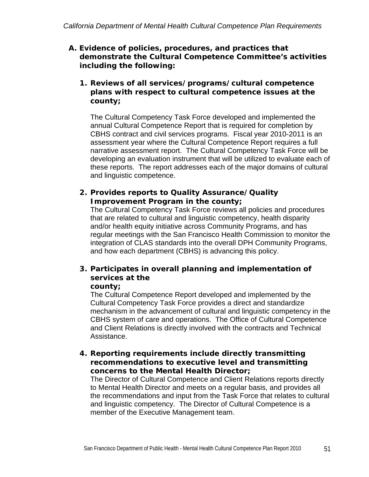### *A. Evidence of policies, procedures, and practices that demonstrate the Cultural Competence Committee's activities including the following:*

### *1. Reviews of all services/programs/cultural competence plans with respect to cultural competence issues at the county;*

The Cultural Competency Task Force developed and implemented the annual Cultural Competence Report that is required for completion by CBHS contract and civil services programs. Fiscal year 2010-2011 is an assessment year where the Cultural Competence Report requires a full narrative assessment report. The Cultural Competency Task Force will be developing an evaluation instrument that will be utilized to evaluate each of these reports. The report addresses each of the major domains of cultural and linguistic competence.

### *2. Provides reports to Quality Assurance/Quality Improvement Program in the county;*

The Cultural Competency Task Force reviews all policies and procedures that are related to cultural and linguistic competency, health disparity and/or health equity initiative across Community Programs, and has regular meetings with the San Francisco Health Commission to monitor the integration of CLAS standards into the overall DPH Community Programs, and how each department (CBHS) is advancing this policy.

# *3. Participates in overall planning and implementation of services at the*

#### *county;*

The Cultural Competence Report developed and implemented by the Cultural Competency Task Force provides a direct and standardize mechanism in the advancement of cultural and linguistic competency in the CBHS system of care and operations. The Office of Cultural Competence and Client Relations is directly involved with the contracts and Technical Assistance.

### *4. Reporting requirements include directly transmitting recommendations to executive level and transmitting concerns to the Mental Health Director;*

The Director of Cultural Competence and Client Relations reports directly to Mental Health Director and meets on a regular basis, and provides all the recommendations and input from the Task Force that relates to cultural and linguistic competency. The Director of Cultural Competence is a member of the Executive Management team.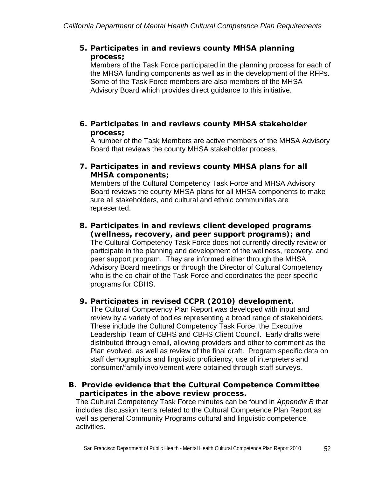### *5. Participates in and reviews county MHSA planning process;*

Members of the Task Force participated in the planning process for each of the MHSA funding components as well as in the development of the RFPs. Some of the Task Force members are also members of the MHSA Advisory Board which provides direct guidance to this initiative.

### *6. Participates in and reviews county MHSA stakeholder process;*

A number of the Task Members are active members of the MHSA Advisory Board that reviews the county MHSA stakeholder process.

### *7. Participates in and reviews county MHSA plans for all MHSA components;*

Members of the Cultural Competency Task Force and MHSA Advisory Board reviews the county MHSA plans for all MHSA components to make sure all stakeholders, and cultural and ethnic communities are represented.

#### *8. Participates in and reviews client developed programs (wellness, recovery, and peer support programs); and*

The Cultural Competency Task Force does not currently directly review or participate in the planning and development of the wellness, recovery, and peer support program. They are informed either through the MHSA Advisory Board meetings or through the Director of Cultural Competency who is the co-chair of the Task Force and coordinates the peer-specific programs for CBHS.

## *9. Participates in revised CCPR (2010) development.*

The Cultural Competency Plan Report was developed with input and review by a variety of bodies representing a broad range of stakeholders. These include the Cultural Competency Task Force, the Executive Leadership Team of CBHS and CBHS Client Council. Early drafts were distributed through email, allowing providers and other to comment as the Plan evolved, as well as review of the final draft. Program specific data on staff demographics and linguistic proficiency, use of interpreters and consumer/family involvement were obtained through staff surveys.

### *B. Provide evidence that the Cultural Competence Committee participates in the above review process.*

The Cultural Competency Task Force minutes can be found in *Appendix B* that includes discussion items related to the Cultural Competence Plan Report as well as general Community Programs cultural and linguistic competence activities.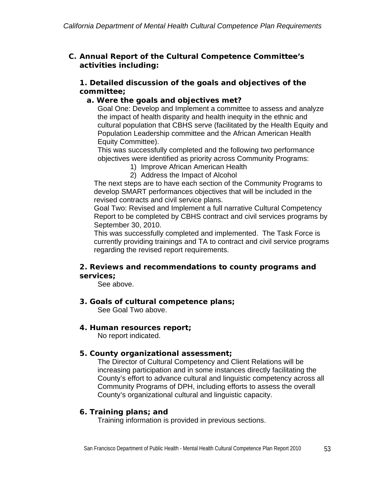### *C. Annual Report of the Cultural Competence Committee's activities including:*

### *1. Detailed discussion of the goals and objectives of the committee;*

### *a. Were the goals and objectives met?*

Goal One: Develop and Implement a committee to assess and analyze the impact of health disparity and health inequity in the ethnic and cultural population that CBHS serve (facilitated by the Health Equity and Population Leadership committee and the African American Health Equity Committee).

This was successfully completed and the following two performance objectives were identified as priority across Community Programs:

- 1) Improve African American Health
- 2) Address the Impact of Alcohol

The next steps are to have each section of the Community Programs to develop SMART performances objectives that will be included in the revised contracts and civil service plans.

Goal Two: Revised and Implement a full narrative Cultural Competency Report to be completed by CBHS contract and civil services programs by September 30, 2010.

This was successfully completed and implemented. The Task Force is currently providing trainings and TA to contract and civil service programs regarding the revised report requirements.

### *2. Reviews and recommendations to county programs and services;*

See above.

- *3. Goals of cultural competence plans;*  See Goal Two above.
- *4. Human resources report;*

No report indicated.

### *5. County organizational assessment;*

The Director of Cultural Competency and Client Relations will be increasing participation and in some instances directly facilitating the County's effort to advance cultural and linguistic competency across all Community Programs of DPH, including efforts to assess the overall County's organizational cultural and linguistic capacity.

### *6. Training plans; and*

Training information is provided in previous sections.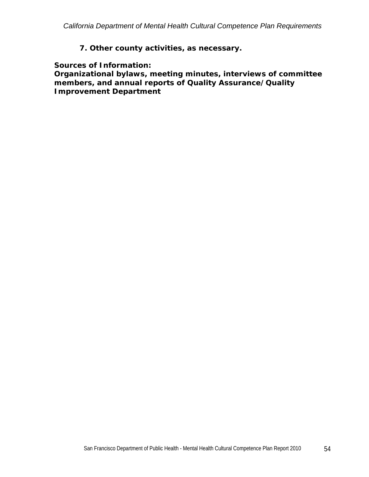### *7. Other county activities, as necessary.*

*Sources of Information:* 

*Organizational bylaws, meeting minutes, interviews of committee members, and annual reports of Quality Assurance/Quality Improvement Department*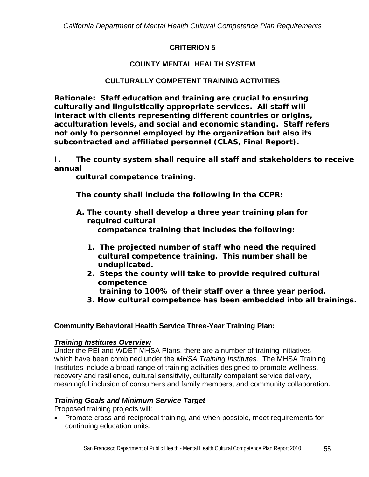### **CRITERION 5**

# **COUNTY MENTAL HEALTH SYSTEM**

## **CULTURALLY COMPETENT TRAINING ACTIVITIES**

*Rationale: Staff education and training are crucial to ensuring culturally and linguistically appropriate services. All staff will interact with clients representing different countries or origins, acculturation levels, and social and economic standing. Staff refers not only to personnel employed by the organization but also its subcontracted and affiliated personnel (CLAS, Final Report).* 

*I. The county system shall require all staff and stakeholders to receive annual* 

*cultural competence training.* 

*The county shall include the following in the CCPR:* 

- *A. The county shall develop a three year training plan for required cultural competence training that includes the following:* 
	- *1. The projected number of staff who need the required cultural competence training. This number shall be unduplicated.*
	- *2. Steps the county will take to provide required cultural competence* 
		- *training to 100% of their staff over a three year period.*
	- *3. How cultural competence has been embedded into all trainings.*

### **Community Behavioral Health Service Three-Year Training Plan:**

### *Training Institutes Overview*

Under the PEI and WDET MHSA Plans, there are a number of training initiatives which have been combined under the *MHSA Training Institutes.* The MHSA Training Institutes include a broad range of training activities designed to promote wellness, recovery and resilience, cultural sensitivity, culturally competent service delivery, meaningful inclusion of consumers and family members, and community collaboration.

### *Training Goals and Minimum Service Target*

Proposed training projects will:

• Promote cross and reciprocal training, and when possible, meet requirements for continuing education units;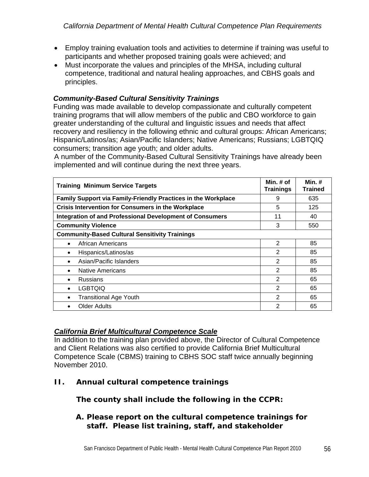- Employ training evaluation tools and activities to determine if training was useful to participants and whether proposed training goals were achieved; and
- Must incorporate the values and principles of the MHSA, including cultural competence, traditional and natural healing approaches, and CBHS goals and principles.

## *Community-Based Cultural Sensitivity Trainings*

Funding was made available to develop compassionate and culturally competent training programs that will allow members of the public and CBO workforce to gain greater understanding of the cultural and linguistic issues and needs that affect recovery and resiliency in the following ethnic and cultural groups: African Americans; Hispanic/Latinos/as; Asian/Pacific Islanders; Native Americans; Russians; LGBTQIQ consumers; transition age youth; and older adults.

A number of the Community-Based Cultural Sensitivity Trainings have already been implemented and will continue during the next three years.

| <b>Training Minimum Service Targets</b>                         | Min. $#$ of<br><b>Trainings</b> | Min. $#$<br><b>Trained</b> |
|-----------------------------------------------------------------|---------------------------------|----------------------------|
| Family Support via Family-Friendly Practices in the Workplace   | 9                               | 635                        |
| <b>Crisis Intervention for Consumers in the Workplace</b>       | 5                               | 125                        |
| <b>Integration of and Professional Development of Consumers</b> | 11                              | 40                         |
| <b>Community Violence</b>                                       | 3                               | 550                        |
| <b>Community-Based Cultural Sensitivity Trainings</b>           |                                 |                            |
| African Americans<br>$\bullet$                                  | $\overline{2}$                  | 85                         |
| Hispanics/Latinos/as<br>٠                                       | 2                               | 85                         |
| Asian/Pacific Islanders<br>$\bullet$                            | $\overline{2}$                  | 85                         |
| Native Americans<br>$\bullet$                                   | $\overline{2}$                  | 85                         |
| <b>Russians</b>                                                 | 2                               | 65                         |
| <b>LGBTOIO</b><br>$\bullet$                                     | 2                               | 65                         |
| <b>Transitional Age Youth</b><br>٠                              | 2                               | 65                         |
| <b>Older Adults</b>                                             | 2                               | 65                         |

### *California Brief Multicultural Competence Scale*

In addition to the training plan provided above, the Director of Cultural Competence and Client Relations was also certified to provide California Brief Multicultural Competence Scale (CBMS) training to CBHS SOC staff twice annually beginning November 2010.

*II. Annual cultural competence trainings*

## *The county shall include the following in the CCPR:*

### *A. Please report on the cultural competence trainings for staff. Please list training, staff, and stakeholder*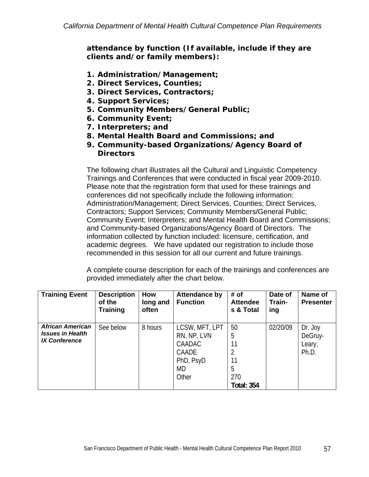*attendance by function (If available, include if they are clients and/or family members):* 

- *1. Administration/Management;*
- *2. Direct Services, Counties;*
- *3. Direct Services, Contractors;*
- *4. Support Services;*
- *5. Community Members/General Public;*
- *6. Community Event;*
- *7. Interpreters; and*
- *8. Mental Health Board and Commissions; and*
- *9. Community-based Organizations/Agency Board of Directors*

The following chart illustrates all the Cultural and Linguistic Competency Trainings and Conferences that were conducted in fiscal year 2009-2010. Please note that the registration form that used for these trainings and conferences did not specifically include the following information: Administration/Management; Direct Services, Counties; Direct Services, Contractors; Support Services; Community Members/General Public; Community Event; Interpreters; and Mental Health Board and Commissions; and Community-based Organizations/Agency Board of Directors. The information collected by function included: licensure, certification, and academic degrees. We have updated our registration to include those recommended in this session for all our current and future trainings.

A complete course description for each of the trainings and conferences are provided immediately after the chart below.

| <b>Training Event</b>                                                      | <b>Description</b><br>of the<br><b>Training</b> | How<br>long and<br>often | <b>Attendance by</b><br><b>Function</b>                                             | # of<br><b>Attendee</b><br>s & Total                 | Date of<br>Train-<br>ing | Name of<br><b>Presenter</b>           |
|----------------------------------------------------------------------------|-------------------------------------------------|--------------------------|-------------------------------------------------------------------------------------|------------------------------------------------------|--------------------------|---------------------------------------|
| <b>African American</b><br><b>Issues in Health</b><br><b>IX Conference</b> | See below                                       | 8 hours                  | LCSW, MFT, LPT<br>RN, NP, LVN<br><b>CAADAC</b><br>CAADE<br>PhD, PsyD<br>MD<br>Other | 50<br>5<br>11<br>11<br>5<br>270<br><b>Total: 354</b> | 02/20/09                 | Dr. Joy<br>DeGruy-<br>Leary,<br>Ph.D. |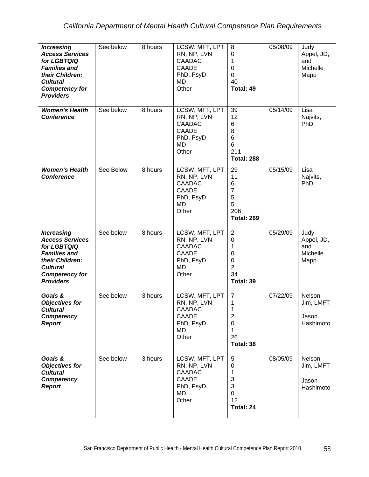| <b>Increasing</b><br><b>Access Services</b><br>for LGBTQIQ<br><b>Families and</b><br>their Children:<br><b>Cultural</b><br><b>Competency for</b><br><b>Providers</b> | See below | 8 hours              | LCSW, MFT, LPT<br>RN, NP, LVN<br><b>CAADAC</b><br><b>CAADE</b><br>PhD, PsyD<br>MD<br>Other | 8<br>$\mathbf 0$<br>1<br>$\mathbf 0$<br>0<br>40<br>Total: 49                                | 05/08/09 | Judy<br>Appel, JD,<br>and<br>Michelle<br>Mapp |
|----------------------------------------------------------------------------------------------------------------------------------------------------------------------|-----------|----------------------|--------------------------------------------------------------------------------------------|---------------------------------------------------------------------------------------------|----------|-----------------------------------------------|
| <b>Women's Health</b><br><b>Conference</b>                                                                                                                           | See below | 8 hours              | LCSW, MFT, LPT<br>RN, NP, LVN<br><b>CAADAC</b><br>CAADE<br>PhD, PsyD<br><b>MD</b><br>Other | 39<br>12<br>6<br>8<br>6<br>6<br>211<br><b>Total: 288</b>                                    | 05/14/09 | Lisa<br>Najvits,<br>PhD                       |
| <b>Women's Health</b><br><b>Conference</b>                                                                                                                           | See Below | 8 hours              | LCSW, MFT, LPT<br>RN, NP, LVN<br>CAADAC<br><b>CAADE</b><br>PhD, PsyD<br><b>MD</b><br>Other | 29<br>11<br>6<br>7<br>5<br>5<br>206<br><b>Total: 269</b>                                    | 05/15/09 | Lisa<br>Najvits,<br>PhD                       |
| <b>Increasing</b><br><b>Access Services</b><br>for LGBTQIQ<br><b>Families and</b><br>their Children:<br><b>Cultural</b><br><b>Competency for</b><br><b>Providers</b> | See below | 8 hours              | LCSW, MFT, LPT<br>RN, NP, LVN<br><b>CAADAC</b><br>CAADE<br>PhD, PsyD<br><b>MD</b><br>Other | $\overline{2}$<br>$\mathbf 0$<br>1<br>$\mathbf 0$<br>0<br>$\overline{2}$<br>34<br>Total: 39 | 05/29/09 | Judy<br>Appel, JD,<br>and<br>Michelle<br>Mapp |
| Goals &<br><b>Objectives for</b><br><b>Cultural</b><br>Competency<br><b>Report</b>                                                                                   | See below | $\overline{3}$ hours | LCSW, MFT, LPT<br>RN, NP, LVN<br><b>CAADAC</b><br>CAADE<br>PhD, PsyD<br>MD<br>Other        | $\overline{7}$<br>1<br>1<br>$\overline{c}$<br>$\mathbf 0$<br>1<br>26<br>Total: 38           | 07/22/09 | Nelson<br>Jim, LMFT<br>Jason<br>Hashimoto     |
| Goals &<br><b>Objectives for</b><br><b>Cultural</b><br>Competency<br><b>Report</b>                                                                                   | See below | 3 hours              | LCSW, MFT, LPT<br>RN, NP, LVN<br><b>CAADAC</b><br><b>CAADE</b><br>PhD, PsyD<br>MD<br>Other | 5<br>$\mathbf 0$<br>1<br>3<br>3<br>0<br>12<br>Total: 24                                     | 08/05/09 | Nelson<br>Jim, LMFT<br>Jason<br>Hashimoto     |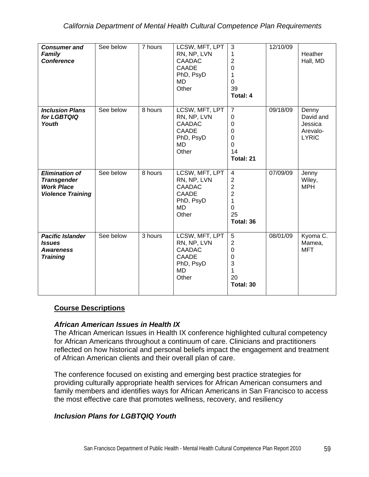| <b>Consumer and</b><br>Family<br><b>Conference</b>                                           | See below | 7 hours | LCSW, MFT, LPT<br>RN, NP, LVN<br><b>CAADAC</b><br><b>CAADE</b><br>PhD, PsyD<br>MD.<br>Other       | $\overline{3}$<br>1<br>$\overline{2}$<br>$\mathbf 0$<br>1<br>$\mathbf 0$<br>39<br>Total: 4                                   | 12/10/09 | Heather<br>Hall, MD                                       |
|----------------------------------------------------------------------------------------------|-----------|---------|---------------------------------------------------------------------------------------------------|------------------------------------------------------------------------------------------------------------------------------|----------|-----------------------------------------------------------|
| <b>Inclusion Plans</b><br>for LGBTQIQ<br>Youth                                               | See below | 8 hours | LCSW, MFT, LPT<br>RN, NP, LVN<br><b>CAADAC</b><br><b>CAADE</b><br>PhD, PsyD<br><b>MD</b><br>Other | $\overline{7}$<br>$\mathbf 0$<br>$\mathbf 0$<br>0<br>$\overline{0}$<br>$\Omega$<br>14<br>Total: 21                           | 09/18/09 | Denny<br>David and<br>Jessica<br>Arevalo-<br><b>LYRIC</b> |
| <b>Elimination of</b><br><b>Transgender</b><br><b>Work Place</b><br><b>Violence Training</b> | See below | 8 hours | LCSW, MFT, LPT<br>RN, NP, LVN<br><b>CAADAC</b><br><b>CAADE</b><br>PhD, PsyD<br><b>MD</b><br>Other | $\overline{\mathbf{4}}$<br>$\overline{2}$<br>$\overline{2}$<br>$\overline{2}$<br>$\mathbf{1}$<br>$\Omega$<br>25<br>Total: 36 | 07/09/09 | Jenny<br>Wiley,<br><b>MPH</b>                             |
| <b>Pacific Islander</b><br><b>Issues</b><br><b>Awareness</b><br><b>Training</b>              | See below | 3 hours | LCSW, MFT, LPT<br>RN, NP, LVN<br><b>CAADAC</b><br><b>CAADE</b><br>PhD, PsyD<br><b>MD</b><br>Other | 5<br>$\overline{2}$<br>$\mathbf 0$<br>0<br>3<br>1<br>20<br>Total: 30                                                         | 08/01/09 | Kyoma C.<br>Mamea,<br><b>MFT</b>                          |

### **Course Descriptions**

#### *African American Issues in Health IX*

The African American Issues in Health IX conference highlighted cultural competency for African Americans throughout a continuum of care. Clinicians and practitioners reflected on how historical and personal beliefs impact the engagement and treatment of African American clients and their overall plan of care.

The conference focused on existing and emerging best practice strategies for providing culturally appropriate health services for African American consumers and family members and identifies ways for African Americans in San Francisco to access the most effective care that promotes wellness, recovery, and resiliency

### *Inclusion Plans for LGBTQIQ Youth*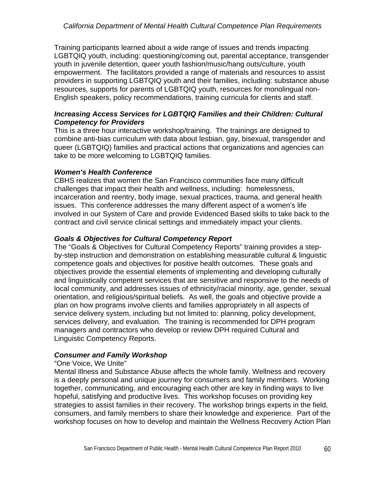Training participants learned about a wide range of issues and trends impacting LGBTQIQ youth, including: questioning/coming out, parental acceptance, transgender youth in juvenile detention, queer youth fashion/music/hang outs/culture, youth empowerment. The facilitators provided a range of materials and resources to assist providers in supporting LGBTQIQ youth and their families, including: substance abuse resources, supports for parents of LGBTQIQ youth, resources for monolingual non-English speakers, policy recommendations, training curricula for clients and staff.

#### *Increasing Access Services for LGBTQIQ Families and their Children: Cultural Competency for Providers*

This is a three hour interactive workshop/training. The trainings are designed to combine anti-bias curriculum with data about lesbian, gay, bisexual, transgender and queer (LGBTQIQ) families and practical actions that organizations and agencies can take to be more welcoming to LGBTQIQ families.

#### *Women's Health Conference*

CBHS realizes that women the San Francisco communities face many difficult challenges that impact their health and wellness, including: homelessness, incarceration and reentry, body image, sexual practices, trauma, and general health issues. This conference addresses the many different aspect of a women's life involved in our System of Care and provide Evidenced Based skills to take back to the contract and civil service clinical settings and immediately impact your clients.

#### *Goals & Objectives for Cultural Competency Report*

The "Goals & Objectives for Cultural Competency Reports" training provides a stepby-step instruction and demonstration on establishing measurable cultural & linguistic competence goals and objectives for positive health outcomes. These goals and objectives provide the essential elements of implementing and developing culturally and linguistically competent services that are sensitive and responsive to the needs of local community, and addresses issues of ethnicity/racial minority, age, gender, sexual orientation, and religious/spiritual beliefs. As well, the goals and objective provide a plan on how programs involve clients and families appropriately in all aspects of service delivery system, including but not limited to: planning, policy development, services delivery, and evaluation. The training is recommended for DPH program managers and contractors who develop or review DPH required Cultural and Linguistic Competency Reports.

### *Consumer and Family Workshop*

#### "One Voice, We Unite"

Mental Illness and Substance Abuse affects the whole family. Wellness and recovery is a deeply personal and unique journey for consumers and family members. Working together, communicating, and encouraging each other are key in finding ways to live hopeful, satisfying and productive lives. This workshop focuses on providing key strategies to assist families in their recovery. The workshop brings experts in the field, consumers, and family members to share their knowledge and experience. Part of the workshop focuses on how to develop and maintain the Wellness Recovery Action Plan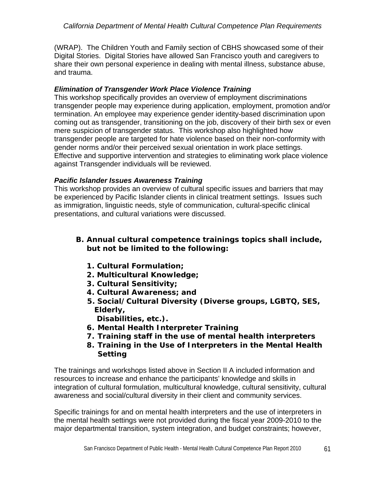(WRAP). The Children Youth and Family section of CBHS showcased some of their Digital Stories. Digital Stories have allowed San Francisco youth and caregivers to share their own personal experience in dealing with mental illness, substance abuse, and trauma.

### *Elimination of Transgender Work Place Violence Training*

This workshop specifically provides an overview of employment discriminations transgender people may experience during application, employment, promotion and/or termination. An employee may experience gender identity-based discrimination upon coming out as transgender, transitioning on the job, discovery of their birth sex or even mere suspicion of transgender status. This workshop also highlighted how transgender people are targeted for hate violence based on their non-conformity with gender norms and/or their perceived sexual orientation in work place settings. Effective and supportive intervention and strategies to eliminating work place violence against Transgender individuals will be reviewed.

## *Pacific Islander Issues Awareness Training*

This workshop provides an overview of cultural specific issues and barriers that may be experienced by Pacific Islander clients in clinical treatment settings. Issues such as immigration, linguistic needs, style of communication, cultural-specific clinical presentations, and cultural variations were discussed.

## *B. Annual cultural competence trainings topics shall include, but not be limited to the following:*

- *1. Cultural Formulation;*
- *2. Multicultural Knowledge;*
- *3. Cultural Sensitivity;*
- *4. Cultural Awareness; and*
- *5. Social/Cultural Diversity (Diverse groups, LGBTQ, SES, Elderly,*

 *Disabilities, etc.).* 

- *6. Mental Health Interpreter Training*
- *7. Training staff in the use of mental health interpreters*
- *8. Training in the Use of Interpreters in the Mental Health Setting*

The trainings and workshops listed above in Section II A included information and resources to increase and enhance the participants' knowledge and skills in integration of cultural formulation, multicultural knowledge, cultural sensitivity, cultural awareness and social/cultural diversity in their client and community services.

Specific trainings for and on mental health interpreters and the use of interpreters in the mental health settings were not provided during the fiscal year 2009-2010 to the major departmental transition, system integration, and budget constraints; however,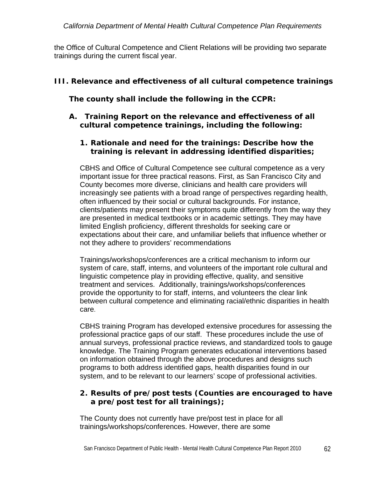the Office of Cultural Competence and Client Relations will be providing two separate trainings during the current fiscal year.

# *III. Relevance and effectiveness of all cultural competence trainings*

*The county shall include the following in the CCPR:* 

### *A. Training Report on the relevance and effectiveness of all cultural competence trainings, including the following:*

### *1. Rationale and need for the trainings: Describe how the training is relevant in addressing identified disparities;*

CBHS and Office of Cultural Competence see cultural competence as a very important issue for three practical reasons. First, as San Francisco City and County becomes more diverse, clinicians and health care providers will increasingly see patients with a broad range of perspectives regarding health, often influenced by their social or cultural backgrounds. For instance, clients/patients may present their symptoms quite differently from the way they are presented in medical textbooks or in academic settings. They may have limited English proficiency, different thresholds for seeking care or expectations about their care, and unfamiliar beliefs that influence whether or not they adhere to providers' recommendations

Trainings/workshops/conferences are a critical mechanism to inform our system of care, staff, interns, and volunteers of the important role cultural and linguistic competence play in providing effective, quality, and sensitive treatment and services. Additionally, trainings/workshops/conferences provide the opportunity to for staff, interns, and volunteers the clear link between cultural competence and eliminating racial/ethnic disparities in health care.

CBHS training Program has developed extensive procedures for assessing the professional practice gaps of our staff. These procedures include the use of annual surveys, professional practice reviews, and standardized tools to gauge knowledge. The Training Program generates educational interventions based on information obtained through the above procedures and designs such programs to both address identified gaps, health disparities found in our system, and to be relevant to our learners' scope of professional activities.

## *2. Results of pre/post tests (Counties are encouraged to have a pre/post test for all trainings);*

The County does not currently have pre/post test in place for all trainings/workshops/conferences. However, there are some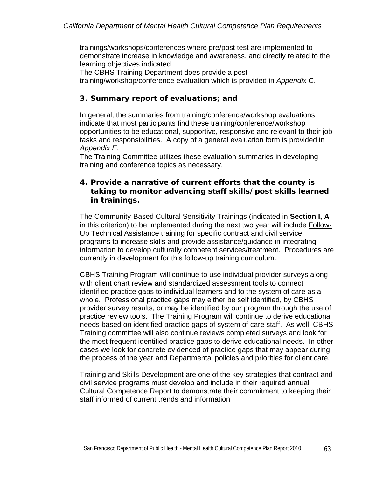trainings/workshops/conferences where pre/post test are implemented to demonstrate increase in knowledge and awareness, and directly related to the learning objectives indicated.

The CBHS Training Department does provide a post training/workshop/conference evaluation which is provided in *Appendix C*.

### *3. Summary report of evaluations; and*

In general, the summaries from training/conference/workshop evaluations indicate that most participants find these training/conference/workshop opportunities to be educational, supportive, responsive and relevant to their job tasks and responsibilities. A copy of a general evaluation form is provided in *Appendix E*.

The Training Committee utilizes these evaluation summaries in developing training and conference topics as necessary.

### *4. Provide a narrative of current efforts that the county is taking to monitor advancing staff skills/post skills learned in trainings.*

The Community-Based Cultural Sensitivity Trainings (indicated in **Section I, A** in this criterion) to be implemented during the next two year will include Follow-Up Technical Assistance training for specific contract and civil service programs to increase skills and provide assistance/guidance in integrating information to develop culturally competent services/treatment. Procedures are currently in development for this follow-up training curriculum.

CBHS Training Program will continue to use individual provider surveys along with client chart review and standardized assessment tools to connect identified practice gaps to individual learners and to the system of care as a whole. Professional practice gaps may either be self identified, by CBHS provider survey results, or may be identified by our program through the use of practice review tools. The Training Program will continue to derive educational needs based on identified practice gaps of system of care staff. As well, CBHS Training committee will also continue reviews completed surveys and look for the most frequent identified practice gaps to derive educational needs. In other cases we look for concrete evidenced of practice gaps that may appear during the process of the year and Departmental policies and priorities for client care.

Training and Skills Development are one of the key strategies that contract and civil service programs must develop and include in their required annual Cultural Competence Report to demonstrate their commitment to keeping their staff informed of current trends and information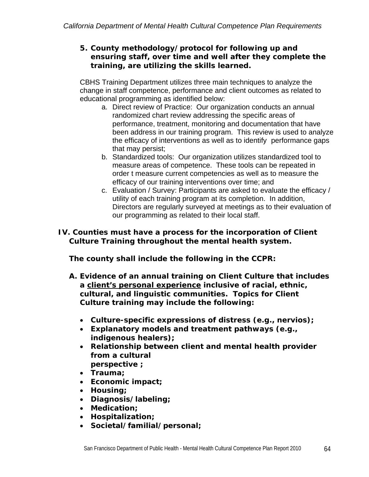### *5. County methodology/protocol for following up and ensuring staff, over time and well after they complete the training, are utilizing the skills learned.*

CBHS Training Department utilizes three main techniques to analyze the change in staff competence, performance and client outcomes as related to educational programming as identified below:

- a. Direct review of Practice: Our organization conducts an annual randomized chart review addressing the specific areas of performance, treatment, monitoring and documentation that have been address in our training program. This review is used to analyze the efficacy of interventions as well as to identify performance gaps that may persist;
- b. Standardized tools: Our organization utilizes standardized tool to measure areas of competence. These tools can be repeated in order t measure current competencies as well as to measure the efficacy of our training interventions over time; and
- c. Evaluation / Survey: Participants are asked to evaluate the efficacy / utility of each training program at its completion. In addition, Directors are regularly surveyed at meetings as to their evaluation of our programming as related to their local staff.

# *IV. Counties must have a process for the incorporation of Client Culture Training throughout the mental health system.*

*The county shall include the following in the CCPR:* 

- *A. Evidence of an annual training on Client Culture that includes a client's personal experience inclusive of racial, ethnic, cultural, and linguistic communities. Topics for Client Culture training may include the following:* 
	- *Culture-specific expressions of distress (e.g., nervios);*
	- *Explanatory models and treatment pathways (e.g., indigenous healers);*
	- *Relationship between client and mental health provider from a cultural perspective ;*
	- *Trauma;*
	- *Economic impact;*
	- *Housing;*
	- *Diagnosis/labeling;*
	- *Medication;*
	- *Hospitalization;*
	- *Societal/familial/personal;*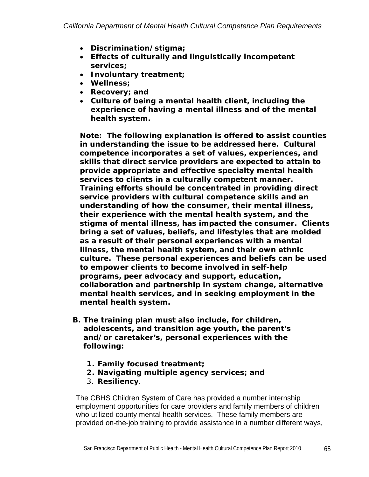- *Discrimination/stigma;*
- *Effects of culturally and linguistically incompetent services;*
- *Involuntary treatment;*
- *Wellness;*
- *Recovery; and*
- *Culture of being a mental health client, including the experience of having a mental illness and of the mental health system.*

*Note: The following explanation is offered to assist counties in understanding the issue to be addressed here. Cultural competence incorporates a set of values, experiences, and skills that direct service providers are expected to attain to provide appropriate and effective specialty mental health services to clients in a culturally competent manner. Training efforts should be concentrated in providing direct service providers with cultural competence skills and an understanding of how the consumer, their mental illness, their experience with the mental health system, and the stigma of mental illness, has impacted the consumer. Clients bring a set of values, beliefs, and lifestyles that are molded as a result of their personal experiences with a mental illness, the mental health system, and their own ethnic culture. These personal experiences and beliefs can be used to empower clients to become involved in self-help programs, peer advocacy and support, education, collaboration and partnership in system change, alternative mental health services, and in seeking employment in the mental health system.* 

- *B. The training plan must also include, for children, adolescents, and transition age youth, the parent's and/or caretaker's, personal experiences with the following:* 
	- *1. Family focused treatment;*
	- *2. Navigating multiple agency services; and*
	- *3. Resiliency.*

The CBHS Children System of Care has provided a number internship employment opportunities for care providers and family members of children who utilized county mental health services. These family members are provided on-the-job training to provide assistance in a number different ways,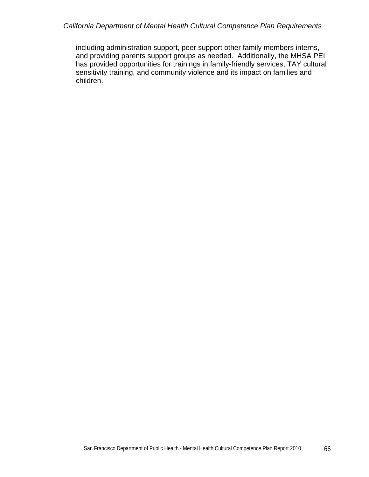#### *California Department of Mental Health Cultural Competence Plan Requirements*

including administration support, peer support other family members interns, and providing parents support groups as needed. Additionally, the MHSA PEI has provided opportunities for trainings in family-friendly services, TAY cultural sensitivity training, and community violence and its impact on families and children.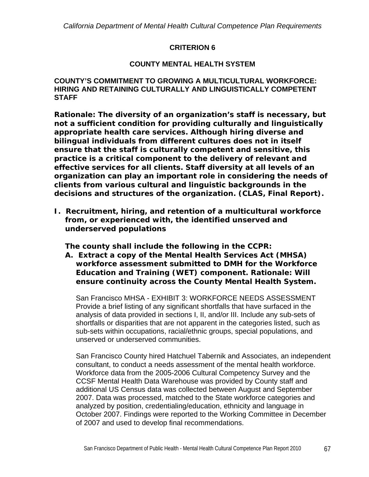#### **CRITERION 6**

#### **COUNTY MENTAL HEALTH SYSTEM**

#### **COUNTY'S COMMITMENT TO GROWING A MULTICULTURAL WORKFORCE: HIRING AND RETAINING CULTURALLY AND LINGUISTICALLY COMPETENT STAFF**

*Rationale: The diversity of an organization's staff is necessary, but not a sufficient condition for providing culturally and linguistically appropriate health care services. Although hiring diverse and bilingual individuals from different cultures does not in itself ensure that the staff is culturally competent and sensitive, this practice is a critical component to the delivery of relevant and effective services for all clients. Staff diversity at all levels of an organization can play an important role in considering the needs of clients from various cultural and linguistic backgrounds in the decisions and structures of the organization. (CLAS, Final Report).* 

*I. Recruitment, hiring, and retention of a multicultural workforce from, or experienced with, the identified unserved and underserved populations* 

*The county shall include the following in the CCPR:* 

*A. Extract a copy of the Mental Health Services Act (MHSA) workforce assessment submitted to DMH for the Workforce Education and Training (WET) component. Rationale: Will ensure continuity across the County Mental Health System.* 

San Francisco MHSA - EXHIBIT 3: WORKFORCE NEEDS ASSESSMENT Provide a brief listing of any significant shortfalls that have surfaced in the analysis of data provided in sections I, II, and/or III. Include any sub-sets of shortfalls or disparities that are not apparent in the categories listed, such as sub-sets within occupations, racial/ethnic groups, special populations, and unserved or underserved communities.

San Francisco County hired Hatchuel Tabernik and Associates, an independent consultant, to conduct a needs assessment of the mental health workforce. Workforce data from the 2005-2006 Cultural Competency Survey and the CCSF Mental Health Data Warehouse was provided by County staff and additional US Census data was collected between August and September 2007. Data was processed, matched to the State workforce categories and analyzed by position, credentialing/education, ethnicity and language in October 2007. Findings were reported to the Working Committee in December of 2007 and used to develop final recommendations.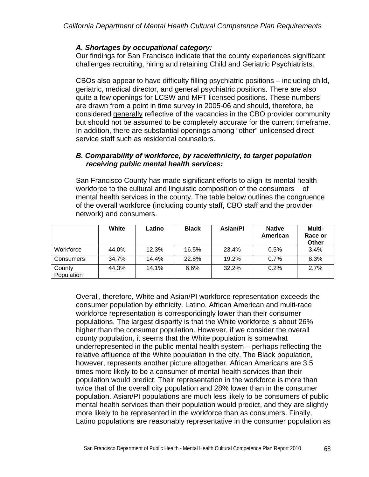## *A. Shortages by occupational category:*

Our findings for San Francisco indicate that the county experiences significant challenges recruiting, hiring and retaining Child and Geriatric Psychiatrists.

CBOs also appear to have difficulty filling psychiatric positions – including child, geriatric, medical director, and general psychiatric positions. There are also quite a few openings for LCSW and MFT licensed positions. These numbers are drawn from a point in time survey in 2005-06 and should, therefore, be considered generally reflective of the vacancies in the CBO provider community but should not be assumed to be completely accurate for the current timeframe. In addition, there are substantial openings among "other" unlicensed direct service staff such as residential counselors.

#### *B. Comparability of workforce, by race/ethnicity, to target population receiving public mental health services:*

San Francisco County has made significant efforts to align its mental health workforce to the cultural and linguistic composition of the consumers of mental health services in the county. The table below outlines the congruence of the overall workforce (including county staff, CBO staff and the provider network) and consumers.

|                      | White | Latino | <b>Black</b> | <b>Asian/PI</b> | <b>Native</b><br>American | Multi-<br>Race or<br>Other |
|----------------------|-------|--------|--------------|-----------------|---------------------------|----------------------------|
| Workforce            | 44.0% | 12.3%  | 16.5%        | 23.4%           | 0.5%                      | 3.4%                       |
| Consumers            | 34.7% | 14.4%  | 22.8%        | 19.2%           | 0.7%                      | 8.3%                       |
| County<br>Population | 44.3% | 14.1%  | 6.6%         | 32.2%           | 0.2%                      | 2.7%                       |

Overall, therefore, White and Asian/PI workforce representation exceeds the consumer population by ethnicity. Latino, African American and multi-race workforce representation is correspondingly lower than their consumer populations. The largest disparity is that the White workforce is about 26% higher than the consumer population. However, if we consider the overall county population, it seems that the White population is somewhat underrepresented in the public mental health system – perhaps reflecting the relative affluence of the White population in the city. The Black population, however, represents another picture altogether. African Americans are 3.5 times more likely to be a consumer of mental health services than their population would predict. Their representation in the workforce is more than twice that of the overall city population and 28% lower than in the consumer population. Asian/PI populations are much less likely to be consumers of public mental health services than their population would predict, and they are slightly more likely to be represented in the workforce than as consumers. Finally, Latino populations are reasonably representative in the consumer population as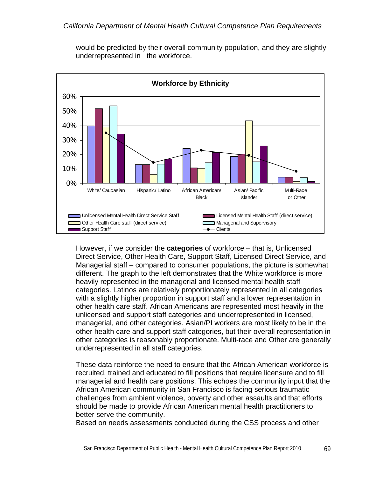

would be predicted by their overall community population, and they are slightly underrepresented in the workforce.

However, if we consider the **categories** of workforce – that is, Unlicensed Direct Service, Other Health Care, Support Staff, Licensed Direct Service, and Managerial staff – compared to consumer populations, the picture is somewhat different. The graph to the left demonstrates that the White workforce is more heavily represented in the managerial and licensed mental health staff categories. Latinos are relatively proportionately represented in all categories with a slightly higher proportion in support staff and a lower representation in other health care staff. African Americans are represented most heavily in the unlicensed and support staff categories and underrepresented in licensed, managerial, and other categories. Asian/PI workers are most likely to be in the other health care and support staff categories, but their overall representation in other categories is reasonably proportionate. Multi-race and Other are generally underrepresented in all staff categories.

These data reinforce the need to ensure that the African American workforce is recruited, trained and educated to fill positions that require licensure and to fill managerial and health care positions. This echoes the community input that the African American community in San Francisco is facing serious traumatic challenges from ambient violence, poverty and other assaults and that efforts should be made to provide African American mental health practitioners to better serve the community.

Based on needs assessments conducted during the CSS process and other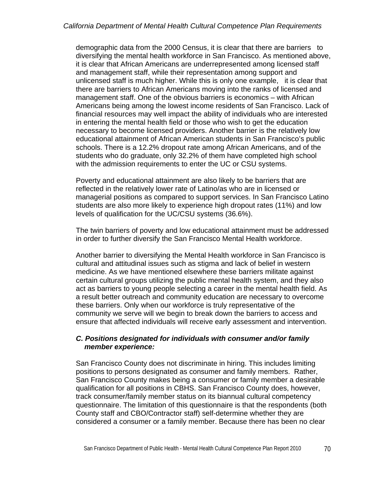demographic data from the 2000 Census, it is clear that there are barriers to diversifying the mental health workforce in San Francisco. As mentioned above, it is clear that African Americans are underrepresented among licensed staff and management staff, while their representation among support and unlicensed staff is much higher. While this is only one example, it is clear that there are barriers to African Americans moving into the ranks of licensed and management staff. One of the obvious barriers is economics – with African Americans being among the lowest income residents of San Francisco. Lack of financial resources may well impact the ability of individuals who are interested in entering the mental health field or those who wish to get the education necessary to become licensed providers. Another barrier is the relatively low educational attainment of African American students in San Francisco's public schools. There is a 12.2% dropout rate among African Americans, and of the students who do graduate, only 32.2% of them have completed high school with the admission requirements to enter the UC or CSU systems.

Poverty and educational attainment are also likely to be barriers that are reflected in the relatively lower rate of Latino/as who are in licensed or managerial positions as compared to support services. In San Francisco Latino students are also more likely to experience high dropout rates (11%) and low levels of qualification for the UC/CSU systems (36.6%).

The twin barriers of poverty and low educational attainment must be addressed in order to further diversify the San Francisco Mental Health workforce.

Another barrier to diversifying the Mental Health workforce in San Francisco is cultural and attitudinal issues such as stigma and lack of belief in western medicine. As we have mentioned elsewhere these barriers militate against certain cultural groups utilizing the public mental health system, and they also act as barriers to young people selecting a career in the mental health field. As a result better outreach and community education are necessary to overcome these barriers. Only when our workforce is truly representative of the community we serve will we begin to break down the barriers to access and ensure that affected individuals will receive early assessment and intervention.

#### *C. Positions designated for individuals with consumer and/or family member experience:*

San Francisco County does not discriminate in hiring. This includes limiting positions to persons designated as consumer and family members. Rather, San Francisco County makes being a consumer or family member a desirable qualification for all positions in CBHS. San Francisco County does, however, track consumer/family member status on its biannual cultural competency questionnaire. The limitation of this questionnaire is that the respondents (both County staff and CBO/Contractor staff) self-determine whether they are considered a consumer or a family member. Because there has been no clear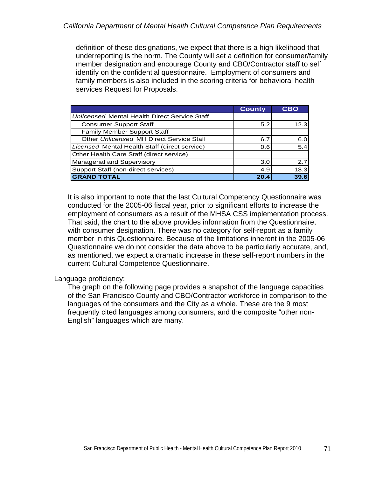definition of these designations, we expect that there is a high likelihood that underreporting is the norm. The County will set a definition for consumer/family member designation and encourage County and CBO/Contractor staff to self identify on the confidential questionnaire. Employment of consumers and family members is also included in the scoring criteria for behavioral health services Request for Proposals.

|                                                      | <b>County</b> | <b>CBO</b> |
|------------------------------------------------------|---------------|------------|
| <b>Unlicensed Mental Health Direct Service Staff</b> |               |            |
| <b>Consumer Support Staff</b>                        | 5.2           | 12.3       |
| <b>Family Member Support Staff</b>                   |               |            |
| Other Unlicensed MH Direct Service Staff             | 6.7           | 6.0        |
| Licensed Mental Health Staff (direct service)        | 0.61          | 5.4        |
| Other Health Care Staff (direct service)             |               |            |
| Managerial and Supervisory                           | 3.0           | 2.7        |
| Support Staff (non-direct services)                  | 4.9           | 13.3       |
| <b>GRAND TOTAL</b>                                   | 20.4          | 39.6       |

It is also important to note that the last Cultural Competency Questionnaire was conducted for the 2005-06 fiscal year, prior to significant efforts to increase the employment of consumers as a result of the MHSA CSS implementation process. That said, the chart to the above provides information from the Questionnaire, with consumer designation. There was no category for self-report as a family member in this Questionnaire. Because of the limitations inherent in the 2005-06 Questionnaire we do not consider the data above to be particularly accurate, and, as mentioned, we expect a dramatic increase in these self-report numbers in the current Cultural Competence Questionnaire.

## Language proficiency:

The graph on the following page provides a snapshot of the language capacities of the San Francisco County and CBO/Contractor workforce in comparison to the languages of the consumers and the City as a whole. These are the 9 most frequently cited languages among consumers, and the composite "other non-English" languages which are many.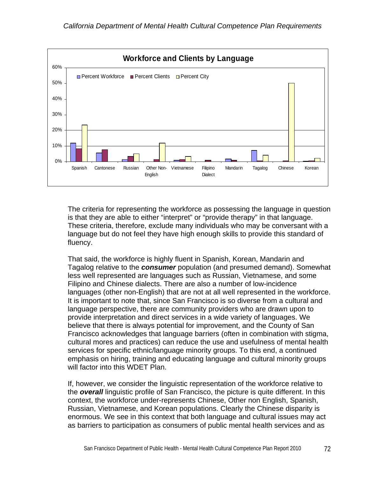

The criteria for representing the workforce as possessing the language in question is that they are able to either "interpret" or "provide therapy" in that language. These criteria, therefore, exclude many individuals who may be conversant with a language but do not feel they have high enough skills to provide this standard of fluency.

That said, the workforce is highly fluent in Spanish, Korean, Mandarin and Tagalog relative to the *consumer* population (and presumed demand). Somewhat less well represented are languages such as Russian, Vietnamese, and some Filipino and Chinese dialects. There are also a number of low-incidence languages (other non-English) that are not at all well represented in the workforce. It is important to note that, since San Francisco is so diverse from a cultural and language perspective, there are community providers who are drawn upon to provide interpretation and direct services in a wide variety of languages. We believe that there is always potential for improvement, and the County of San Francisco acknowledges that language barriers (often in combination with stigma, cultural mores and practices) can reduce the use and usefulness of mental health services for specific ethnic/language minority groups. To this end, a continued emphasis on hiring, training and educating language and cultural minority groups will factor into this WDET Plan.

If, however, we consider the linguistic representation of the workforce relative to the *overall* linguistic profile of San Francisco, the picture is quite different. In this context, the workforce under-represents Chinese, Other non English, Spanish, Russian, Vietnamese, and Korean populations. Clearly the Chinese disparity is enormous. We see in this context that both language and cultural issues may act as barriers to participation as consumers of public mental health services and as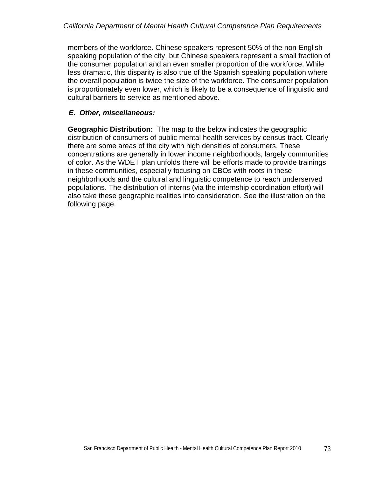members of the workforce. Chinese speakers represent 50% of the non-English speaking population of the city, but Chinese speakers represent a small fraction of the consumer population and an even smaller proportion of the workforce. While less dramatic, this disparity is also true of the Spanish speaking population where the overall population is twice the size of the workforce. The consumer population is proportionately even lower, which is likely to be a consequence of linguistic and cultural barriers to service as mentioned above.

# *E. Other, miscellaneous:*

**Geographic Distribution:** The map to the below indicates the geographic distribution of consumers of public mental health services by census tract. Clearly there are some areas of the city with high densities of consumers. These concentrations are generally in lower income neighborhoods, largely communities of color. As the WDET plan unfolds there will be efforts made to provide trainings in these communities, especially focusing on CBOs with roots in these neighborhoods and the cultural and linguistic competence to reach underserved populations. The distribution of interns (via the internship coordination effort) will also take these geographic realities into consideration. See the illustration on the following page.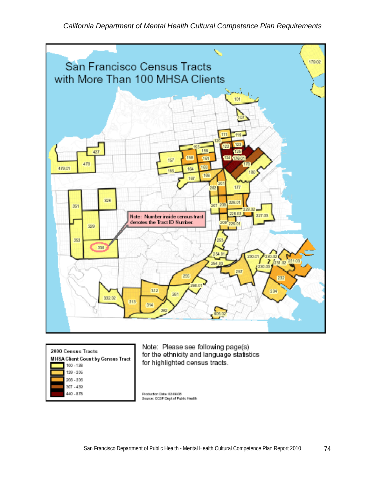*California Department of Mental Health Cultural Competence Plan Requirements* 



| 2000 Census Tracts                |
|-----------------------------------|
| MHSA Client Count by Census Tract |
| 100 - 138                         |
| 139.205                           |
| 206-306                           |
| 307 - 430                         |
| 440 - 978                         |
|                                   |

Note: Please see following page(s) for the ethnicity and language statistics for highlighted census tracts.

Production Date: 02 06/08 Source: DOSF Dept of Public Health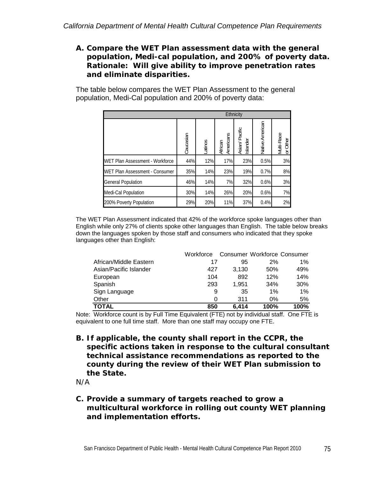## *A. Compare the WET Plan assessment data with the general population, Medi-cal population, and 200% of poverty data. Rationale: Will give ability to improve penetration rates and eliminate disparities.*

The table below compares the WET Plan Assessment to the general population, Medi-Cal population and 200% of poverty data:

|                                 | <b>Ethnicity</b> |         |                      |                            |                 |                        |
|---------------------------------|------------------|---------|----------------------|----------------------------|-----------------|------------------------|
|                                 | Caucasian        | Latinos | Americans<br>African | Asian/ Pacific<br>Islander | Native American | Multi-Race<br>or Other |
| WET Plan Assessment - Workforce | 44%              | 12%     | 17%                  | 23%                        | 0.5%            | 3%                     |
| WET Plan Assessment - Consumer  | 35%              | 14%     | 23%                  | 19%                        | 0.7%            | 8%                     |
| <b>General Population</b>       | 46%              | 14%     | 7%                   | 32%                        | 0.6%            | 3%                     |
| Medi-Cal Population             | 30%              | 14%     | 26%                  | 20%                        | 0.6%            | 7%                     |
| 200% Poverty Population         | 29%              | 20%     | 11%                  | 37%                        | 0.4%            | 2%                     |

The WET Plan Assessment indicated that 42% of the workforce spoke languages other than English while only 27% of clients spoke other languages than English. The table below breaks down the languages spoken by those staff and consumers who indicated that they spoke languages other than English:

|                        | Workforce |       | Consumer Workforce Consumer |      |
|------------------------|-----------|-------|-----------------------------|------|
| African/Middle Eastern | 17        | 95    | 2%                          | 1%   |
| Asian/Pacific Islander | 427       | 3.130 | 50%                         | 49%  |
| European               | 104       | 892   | 12%                         | 14%  |
| Spanish                | 293       | 1.951 | 34%                         | 30%  |
| Sign Language          | 9         | 35    | 1%                          | 1%   |
| Other                  | 0         | 311   | $0\%$                       | 5%   |
| TOTAL                  | 850       | 6.414 | 100%                        | 100% |

Note: Workforce count is by Full Time Equivalent (FTE) not by individual staff. One FTE is equivalent to one full time staff. More than one staff may occupy one FTE.

*B. If applicable, the county shall report in the CCPR, the specific actions taken in response to the cultural consultant technical assistance recommendations as reported to the county during the review of their WET Plan submission to the State.* 

*N/A* 

## *C. Provide a summary of targets reached to grow a multicultural workforce in rolling out county WET planning and implementation efforts.*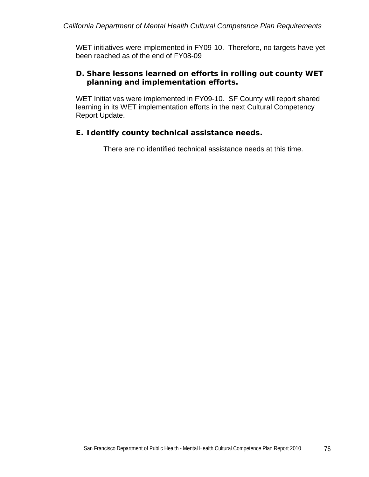WET initiatives were implemented in FY09-10. Therefore, no targets have yet been reached as of the end of FY08-09

# *D. Share lessons learned on efforts in rolling out county WET planning and implementation efforts.*

WET Initiatives were implemented in FY09-10. SF County will report shared learning in its WET implementation efforts in the next Cultural Competency Report Update.

# *E. Identify county technical assistance needs.*

There are no identified technical assistance needs at this time.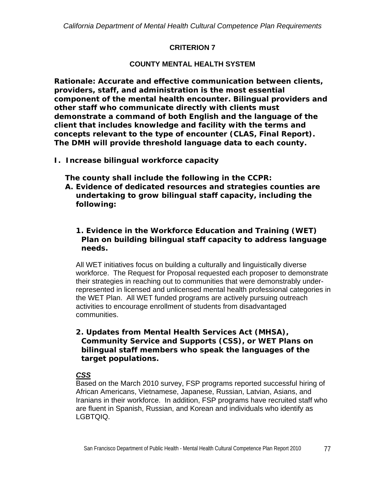# **CRITERION 7**

# **COUNTY MENTAL HEALTH SYSTEM**

*Rationale: Accurate and effective communication between clients, providers, staff, and administration is the most essential component of the mental health encounter. Bilingual providers and other staff who communicate directly with clients must demonstrate a command of both English and the language of the client that includes knowledge and facility with the terms and concepts relevant to the type of encounter (CLAS, Final Report). The DMH will provide threshold language data to each county.* 

*I. Increase bilingual workforce capacity* 

*The county shall include the following in the CCPR:* 

*A. Evidence of dedicated resources and strategies counties are undertaking to grow bilingual staff capacity, including the following:* 

## *1. Evidence in the Workforce Education and Training (WET) Plan on building bilingual staff capacity to address language needs.*

All WET initiatives focus on building a culturally and linguistically diverse workforce. The Request for Proposal requested each proposer to demonstrate their strategies in reaching out to communities that were demonstrably underrepresented in licensed and unlicensed mental health professional categories in the WET Plan. All WET funded programs are actively pursuing outreach activities to encourage enrollment of students from disadvantaged communities.

## *2. Updates from Mental Health Services Act (MHSA), Community Service and Supports (CSS), or WET Plans on bilingual staff members who speak the languages of the target populations.*

## *CSS*

Based on the March 2010 survey, FSP programs reported successful hiring of African Americans, Vietnamese, Japanese, Russian, Latvian, Asians, and Iranians in their workforce. In addition, FSP programs have recruited staff who are fluent in Spanish, Russian, and Korean and individuals who identify as LGBTQIQ.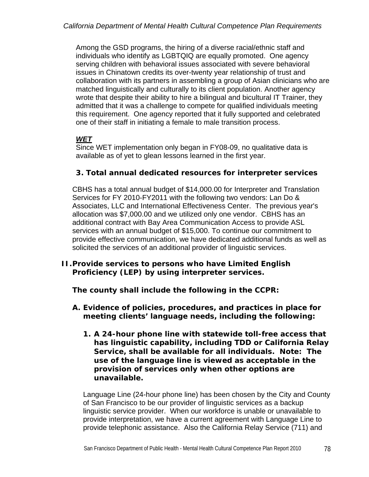Among the GSD programs, the hiring of a diverse racial/ethnic staff and individuals who identify as LGBTQIQ are equally promoted. One agency serving children with behavioral issues associated with severe behavioral issues in Chinatown credits its over-twenty year relationship of trust and collaboration with its partners in assembling a group of Asian clinicians who are matched linguistically and culturally to its client population. Another agency wrote that despite their ability to hire a bilingual and bicultural IT Trainer, they admitted that it was a challenge to compete for qualified individuals meeting this requirement. One agency reported that it fully supported and celebrated one of their staff in initiating a female to male transition process.

# *WET*

Since WET implementation only began in FY08-09, no qualitative data is available as of yet to glean lessons learned in the first year.

# *3. Total annual dedicated resources for interpreter services*

CBHS has a total annual budget of \$14,000.00 for Interpreter and Translation Services for FY 2010-FY2011 with the following two vendors: Lan Do & Associates, LLC and International Effectiveness Center. The previous year's allocation was \$7,000.00 and we utilized only one vendor. CBHS has an additional contract with Bay Area Communication Access to provide ASL services with an annual budget of \$15,000. To continue our commitment to provide effective communication, we have dedicated additional funds as well as solicited the services of an additional provider of linguistic services.

## *II. Provide services to persons who have Limited English Proficiency (LEP) by using interpreter services.*

*The county shall include the following in the CCPR:* 

- *A. Evidence of policies, procedures, and practices in place for meeting clients' language needs, including the following:* 
	- *1. A 24-hour phone line with statewide toll-free access that has linguistic capability, including TDD or California Relay Service, shall be available for all individuals. Note: The use of the language line is viewed as acceptable in the provision of services only when other options are unavailable.*

Language Line (24-hour phone line) has been chosen by the City and County of San Francisco to be our provider of linguistic services as a backup linguistic service provider. When our workforce is unable or unavailable to provide interpretation, we have a current agreement with Language Line to provide telephonic assistance. Also the California Relay Service (711) and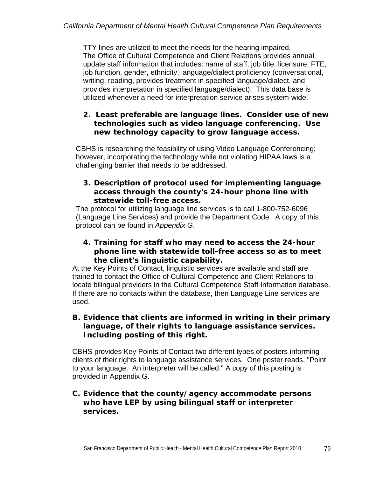TTY lines are utilized to meet the needs for the hearing impaired. The Office of Cultural Competence and Client Relations provides annual update staff information that includes: name of staff, job title, licensure, FTE, job function, gender, ethnicity, language/dialect proficiency (conversational, writing, reading, provides treatment in specified language/dialect, and provides interpretation in specified language/dialect). This data base is utilized whenever a need for interpretation service arises system-wide.

## *2. Least preferable are language lines. Consider use of new technologies such as video language conferencing. Use new technology capacity to grow language access.*

CBHS is researching the feasibility of using Video Language Conferencing; however, incorporating the technology while not violating HIPAA laws is a challenging barrier that needs to be addressed.

#### *3. Description of protocol used for implementing language access through the county's 24-hour phone line with statewide toll-free access.*

The protocol for utilizing language line services is to call 1-800-752-6096 (Language Line Services) and provide the Department Code. A copy of this protocol can be found in *Appendix G*.

## *4. Training for staff who may need to access the 24-hour phone line with statewide toll-free access so as to meet the client's linguistic capability.*

At the Key Points of Contact, linguistic services are available and staff are trained to contact the Office of Cultural Competence and Client Relations to locate bilingual providers in the Cultural Competence Staff Information database. If there are no contacts within the database, then Language Line services are used.

## *B. Evidence that clients are informed in writing in their primary language, of their rights to language assistance services. Including posting of this right.*

CBHS provides Key Points of Contact two different types of posters informing clients of their rights to language assistance services. One poster reads, "Point to your language. An interpreter will be called." A copy of this posting is provided in Appendix G.

## **C.** *Evidence that the county/agency accommodate persons who have LEP by using bilingual staff or interpreter services.*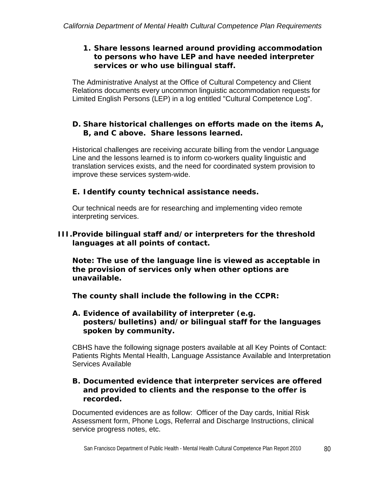## *1. Share lessons learned around providing accommodation to persons who have LEP and have needed interpreter services or who use bilingual staff.*

The Administrative Analyst at the Office of Cultural Competency and Client Relations documents every uncommon linguistic accommodation requests for Limited English Persons (LEP) in a log entitled "Cultural Competence Log".

## *D. Share historical challenges on efforts made on the items A, B, and C above. Share lessons learned.*

Historical challenges are receiving accurate billing from the vendor Language Line and the lessons learned is to inform co-workers quality linguistic and translation services exists, and the need for coordinated system provision to improve these services system-wide.

# *E. Identify county technical assistance needs.*

Our technical needs are for researching and implementing video remote interpreting services.

# *III.Provide bilingual staff and/or interpreters for the threshold languages at all points of contact.*

*Note: The use of the language line is viewed as acceptable in the provision of services only when other options are unavailable.* 

*The county shall include the following in the CCPR:* 

## *A. Evidence of availability of interpreter (e.g. posters/bulletins) and/or bilingual staff for the languages spoken by community.*

CBHS have the following signage posters available at all Key Points of Contact: Patients Rights Mental Health, Language Assistance Available and Interpretation Services Available

#### *B. Documented evidence that interpreter services are offered and provided to clients and the response to the offer is recorded.*

Documented evidences are as follow: Officer of the Day cards, Initial Risk Assessment form, Phone Logs, Referral and Discharge Instructions, clinical service progress notes, etc.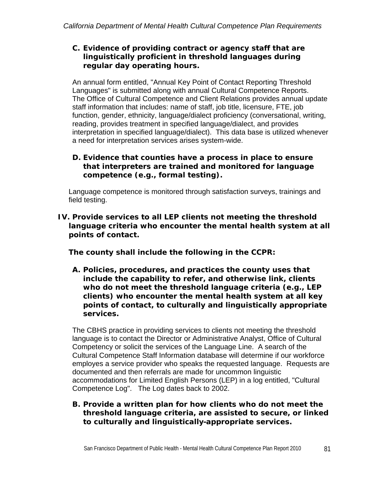## *C. Evidence of providing contract or agency staff that are linguistically proficient in threshold languages during regular day operating hours.*

An annual form entitled, "Annual Key Point of Contact Reporting Threshold Languages" is submitted along with annual Cultural Competence Reports. The Office of Cultural Competence and Client Relations provides annual update staff information that includes: name of staff, job title, licensure, FTE, job function, gender, ethnicity, language/dialect proficiency (conversational, writing, reading, provides treatment in specified language/dialect, and provides interpretation in specified language/dialect). This data base is utilized whenever a need for interpretation services arises system-wide.

## *D. Evidence that counties have a process in place to ensure that interpreters are trained and monitored for language competence (e.g., formal testing).*

Language competence is monitored through satisfaction surveys, trainings and field testing.

*IV. Provide services to all LEP clients not meeting the threshold language criteria who encounter the mental health system at all points of contact.*

*The county shall include the following in the CCPR:* 

*A. Policies, procedures, and practices the county uses that include the capability to refer, and otherwise link, clients who do not meet the threshold language criteria (e.g., LEP clients) who encounter the mental health system at all key points of contact, to culturally and linguistically appropriate services.* 

The CBHS practice in providing services to clients not meeting the threshold language is to contact the Director or Administrative Analyst, Office of Cultural Competency or solicit the services of the Language Line. A search of the Cultural Competence Staff Information database will determine if our workforce employes a service provider who speaks the requested language. Requests are documented and then referrals are made for uncommon linguistic accommodations for Limited English Persons (LEP) in a log entitled, "Cultural Competence Log". The Log dates back to 2002.

## *B. Provide a written plan for how clients who do not meet the threshold language criteria, are assisted to secure, or linked to culturally and linguistically appropriate services.*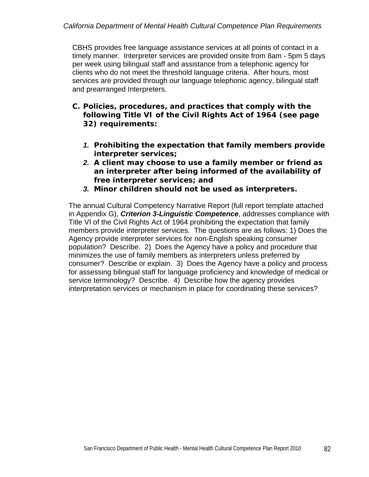CBHS provides free language assistance services at all points of contact in a timely manner. Interpreter services are provided onsite from 8am - 5pm 5 days per week using bilingual staff and assistance from a telephonic agency for clients who do not meet the threshold language criteria. After hours, most services are provided through our language telephonic agency, bilingual staff and prearranged Interpreters.

- *C. Policies, procedures, and practices that comply with the following Title VI of the Civil Rights Act of 1964 (see page 32) requirements:* 
	- *1. Prohibiting the expectation that family members provide interpreter services;*
	- *2. A client may choose to use a family member or friend as an interpreter after being informed of the availability of free interpreter services; and*
	- *3. Minor children should not be used as interpreters.*

The annual Cultural Competency Narrative Report (full report template attached in Appendix G), *Criterion 3-Linguistic Competence*, addresses compliance with Title VI of the Civil Rights Act of 1964 prohibiting the expectation that family members provide interpreter services. The questions are as follows: 1) Does the Agency provide interpreter services for non-English speaking consumer population? Describe. 2) Does the Agency have a policy and procedure that minimizes the use of family members as interpreters unless preferred by consumer? Describe or explain. 3) Does the Agency have a policy and process for assessing bilingual staff for language proficiency and knowledge of medical or service terminology? Describe. 4) Describe how the agency provides interpretation services or mechanism in place for coordinating these services?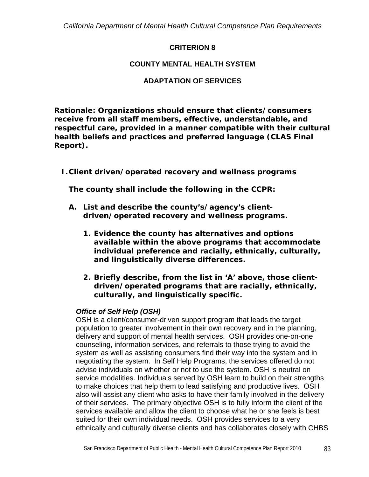## **CRITERION 8**

# **COUNTY MENTAL HEALTH SYSTEM**

# **ADAPTATION OF SERVICES**

*Rationale: Organizations should ensure that clients/consumers receive from all staff members, effective, understandable, and respectful care, provided in a manner compatible with their cultural health beliefs and practices and preferred language (CLAS Final Report).* 

# *I.Client driven/operated recovery and wellness programs*

*The county shall include the following in the CCPR:* 

- *A. List and describe the county's/agency's clientdriven/operated recovery and wellness programs.* 
	- *1. Evidence the county has alternatives and options available within the above programs that accommodate individual preference and racially, ethnically, culturally, and linguistically diverse differences.*
	- *2. Briefly describe, from the list in 'A' above, those clientdriven/operated programs that are racially, ethnically, culturally, and linguistically specific.*

# *Office of Self Help (OSH)*

OSH is a client/consumer-driven support program that leads the target population to greater involvement in their own recovery and in the planning, delivery and support of mental health services. OSH provides one-on-one counseling, information services, and referrals to those trying to avoid the system as well as assisting consumers find their way into the system and in negotiating the system. In Self Help Programs, the services offered do not advise individuals on whether or not to use the system. OSH is neutral on service modalities. Individuals served by OSH learn to build on their strengths to make choices that help them to lead satisfying and productive lives. OSH also will assist any client who asks to have their family involved in the delivery of their services. The primary objective OSH is to fully inform the client of the services available and allow the client to choose what he or she feels is best suited for their own individual needs. OSH provides services to a very ethnically and culturally diverse clients and has collaborates closely with CHBS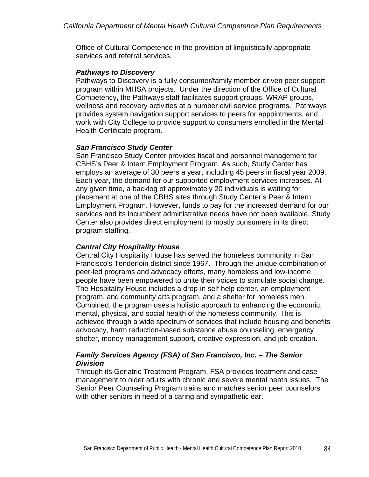Office of Cultural Competence in the provision of linguistically appropriate services and referral services.

#### *Pathways to Discovery*

Pathways to Discovery is a fully consumer/family member-driven peer support program within MHSA projects. Under the direction of the Office of Cultural Competency**,** the Pathways staff facilitates support groups, WRAP groups, wellness and recovery activities at a number civil service programs. Pathways provides system navigation support services to peers for appointments, and work with City College to provide support to consumers enrolled in the Mental Health Certificate program.

#### *San Francisco Study Center*

San Francisco Study Center provides fiscal and personnel management for CBHS's Peer & Intern Employment Program. As such, Study Center has employs an average of 30 peers a year, including 45 peers in fiscal year 2009. Each year, the demand for our supported employment services increases. At any given time, a backlog of approximately 20 individuals is waiting for placement at one of the CBHS sites through Study Center's Peer & Intern Employment Program. However, funds to pay for the increased demand for our services and its incumbent administrative needs have not been available. Study Center also provides direct employment to mostly consumers in its direct program staffing.

## *Central City Hospitality House*

Central City Hospitality House has served the homeless community in San Francisco's Tenderloin district since 1967. Through the unique combination of peer-led programs and advocacy efforts, many homeless and low-income people have been empowered to unite their voices to stimulate social change. The Hospitality House includes a drop-in self help center, an employment program, and community arts program, and a shelter for homeless men. Combined, the program uses a holistic approach to enhancing the economic, mental, physical, and social health of the homeless community. This is achieved through a wide spectrum of services that include housing and benefits advocacy, harm reduction-based substance abuse counseling, emergency shelter, money management support, creative expression, and job creation.

#### *Family Services Agency (FSA) of San Francisco, Inc. – The Senior Division*

Through its Geriatric Treatment Program, FSA provides treatment and case management to older adults with chronic and severe mental heath issues. The Senior Peer Counseling Program trains and matches senior peer counselors with other seniors in need of a caring and sympathetic ear.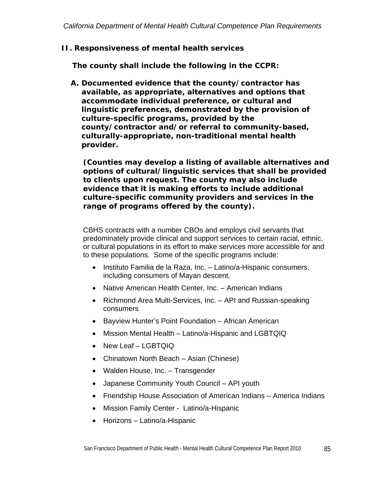*II. Responsiveness of mental health services* 

*The county shall include the following in the CCPR:* 

*A. Documented evidence that the county/contractor has available, as appropriate, alternatives and options that accommodate individual preference, or cultural and linguistic preferences, demonstrated by the provision of culture-specific programs, provided by the county/contractor and/or referral to community-based, culturally-appropriate, non-traditional mental health provider.* 

*(Counties may develop a listing of available alternatives and options of cultural/linguistic services that shall be provided to clients upon request. The county may also include evidence that it is making efforts to include additional culture-specific community providers and services in the range of programs offered by the county).* 

CBHS contracts with a number CBOs and employs civil servants that predominately provide clinical and support services to certain racial, ethnic, or cultural populations in its effort to make services more accessible for and to these populations. Some of the specific programs include:

- Instituto Familia de la Raza, Inc. Latino/a-Hispanic consumers, including consumers of Mayan descent.
- Native American Health Center, Inc. American Indians
- Richmond Area Multi-Services, Inc. API and Russian-speaking consumers
- Bayview Hunter's Point Foundation African American
- Mission Mental Health Latino/a-Hispanic and LGBTQIQ
- New Leaf LGBTQIQ
- Chinatown North Beach Asian (Chinese)
- Walden House, Inc. Transgender
- Japanese Community Youth Council API youth
- Friendship House Association of American Indians America Indians
- Mission Family Center Latino/a-Hispanic
- Horizons Latino/a-Hispanic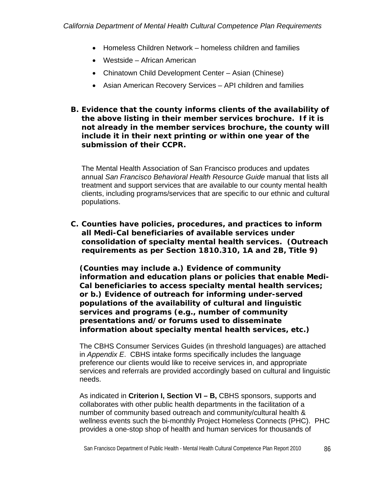- Homeless Children Network homeless children and families
- Westside African American
- Chinatown Child Development Center Asian (Chinese)
- Asian American Recovery Services API children and families
- *B. Evidence that the county informs clients of the availability of the above listing in their member services brochure. If it is not already in the member services brochure, the county will include it in their next printing or within one year of the submission of their CCPR.*

The Mental Health Association of San Francisco produces and updates annual *San Francisco Behavioral Health Resource Guide* manual that lists all treatment and support services that are available to our county mental health clients, including programs/services that are specific to our ethnic and cultural populations.

*C. Counties have policies, procedures, and practices to inform all Medi-Cal beneficiaries of available services under consolidation of specialty mental health services. (Outreach requirements as per Section 1810.310, 1A and 2B, Title 9)* 

*(Counties may include a.) Evidence of community information and education plans or policies that enable Medi-Cal beneficiaries to access specialty mental health services; or b.) Evidence of outreach for informing under-served populations of the availability of cultural and linguistic services and programs (e.g., number of community presentations and/or forums used to disseminate information about specialty mental health services, etc.)* 

The CBHS Consumer Services Guides (in threshold languages) are attached in *Appendix E*. CBHS intake forms specifically includes the language preference our clients would like to receive services in, and appropriate services and referrals are provided accordingly based on cultural and linguistic needs.

As indicated in **Criterion I, Section VI – B,** CBHS sponsors, supports and collaborates with other public health departments in the facilitation of a number of community based outreach and community/cultural health & wellness events such the bi-monthly Project Homeless Connects (PHC). PHC provides a one-stop shop of health and human services for thousands of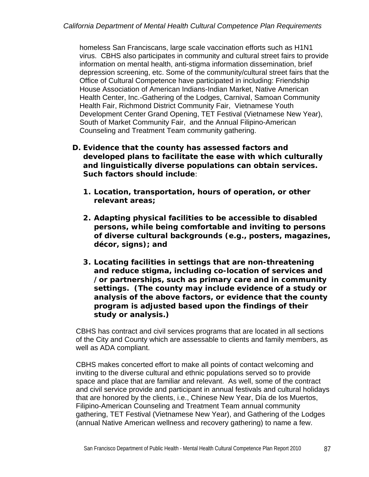homeless San Franciscans, large scale vaccination efforts such as H1N1 virus. CBHS also participates in community and cultural street fairs to provide information on mental health, anti-stigma information dissemination, brief depression screening, etc. Some of the community/cultural street fairs that the Office of Cultural Competence have participated in including: Friendship House Association of American Indians-Indian Market, Native American Health Center, Inc.-Gathering of the Lodges, Carnival, Samoan Community Health Fair, Richmond District Community Fair, Vietnamese Youth Development Center Grand Opening, TET Festival (Vietnamese New Year), South of Market Community Fair, and the Annual Filipino-American Counseling and Treatment Team community gathering.

- *D. Evidence that the county has assessed factors and developed plans to facilitate the ease with which culturally and linguistically diverse populations can obtain services. Such factors should include:* 
	- *1. Location, transportation, hours of operation, or other relevant areas;*
	- *2. Adapting physical facilities to be accessible to disabled persons, while being comfortable and inviting to persons of diverse cultural backgrounds (e.g., posters, magazines, décor, signs); and*
	- *3. Locating facilities in settings that are non-threatening and reduce stigma, including co-location of services and /or partnerships, such as primary care and in community settings. (The county may include evidence of a study or analysis of the above factors, or evidence that the county program is adjusted based upon the findings of their study or analysis.)*

CBHS has contract and civil services programs that are located in all sections of the City and County which are assessable to clients and family members, as well as ADA compliant.

CBHS makes concerted effort to make all points of contact welcoming and inviting to the diverse cultural and ethnic populations served so to provide space and place that are familiar and relevant. As well, some of the contract and civil service provide and participant in annual festivals and cultural holidays that are honored by the clients, i.e., Chinese New Year, Día de los Muertos, Filipino-American Counseling and Treatment Team annual community gathering, TET Festival (Vietnamese New Year), and Gathering of the Lodges (annual Native American wellness and recovery gathering) to name a few.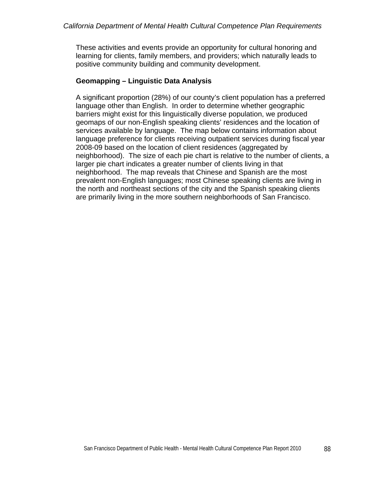These activities and events provide an opportunity for cultural honoring and learning for clients, family members, and providers; which naturally leads to positive community building and community development.

## **Geomapping – Linguistic Data Analysis**

A significant proportion (28%) of our county's client population has a preferred language other than English. In order to determine whether geographic barriers might exist for this linguistically diverse population, we produced geomaps of our non-English speaking clients' residences and the location of services available by language. The map below contains information about language preference for clients receiving outpatient services during fiscal year 2008-09 based on the location of client residences (aggregated by neighborhood). The size of each pie chart is relative to the number of clients, a larger pie chart indicates a greater number of clients living in that neighborhood. The map reveals that Chinese and Spanish are the most prevalent non-English languages; most Chinese speaking clients are living in the north and northeast sections of the city and the Spanish speaking clients are primarily living in the more southern neighborhoods of San Francisco.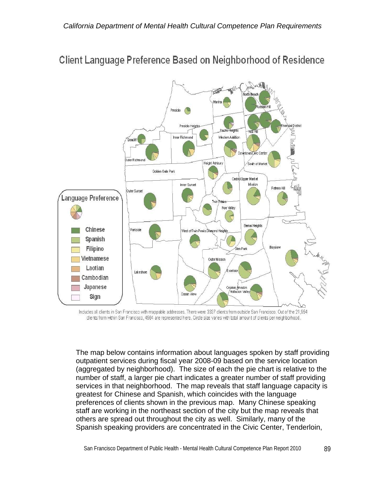

# **Client Language Preference Based on Neighborhood of Residence**

Includes all clients in San Francisco with mappable addresses. There were 3337 clients from outside San Francisco. Out of the 21,954 clients from within San Francisco, 4564 are represented here. Circle size varies with total amount of clients per neighborhood.

The map below contains information about languages spoken by staff providing outpatient services during fiscal year 2008-09 based on the service location (aggregated by neighborhood). The size of each the pie chart is relative to the number of staff, a larger pie chart indicates a greater number of staff providing services in that neighborhood. The map reveals that staff language capacity is greatest for Chinese and Spanish, which coincides with the language preferences of clients shown in the previous map. Many Chinese speaking staff are working in the northeast section of the city but the map reveals that others are spread out throughout the city as well. Similarly, many of the Spanish speaking providers are concentrated in the Civic Center, Tenderloin,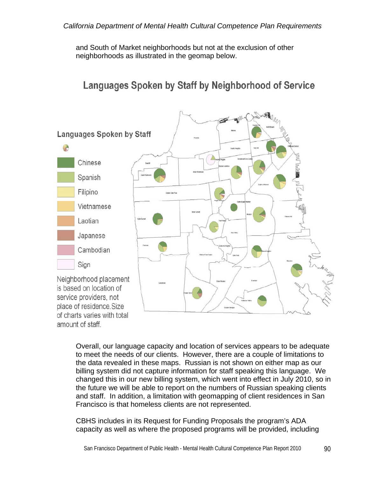and South of Market neighborhoods but not at the exclusion of other neighborhoods as illustrated in the geomap below.

# Languages Spoken by Staff by Neighborhood of Service



Overall, our language capacity and location of services appears to be adequate to meet the needs of our clients. However, there are a couple of limitations to the data revealed in these maps. Russian is not shown on either map as our billing system did not capture information for staff speaking this language. We changed this in our new billing system, which went into effect in July 2010, so in the future we will be able to report on the numbers of Russian speaking clients and staff. In addition, a limitation with geomapping of client residences in San Francisco is that homeless clients are not represented.

CBHS includes in its Request for Funding Proposals the program's ADA capacity as well as where the proposed programs will be provided, including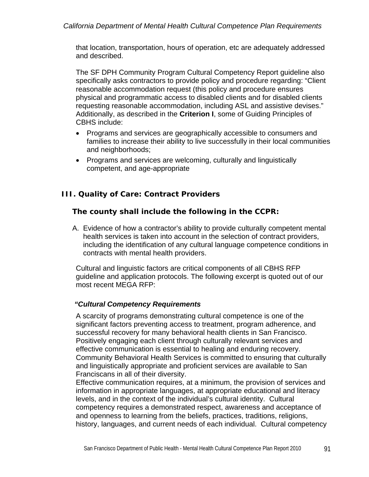that location, transportation, hours of operation, etc are adequately addressed and described.

The SF DPH Community Program Cultural Competency Report guideline also specifically asks contractors to provide policy and procedure regarding: "Client reasonable accommodation request (this policy and procedure ensures physical and programmatic access to disabled clients and for disabled clients requesting reasonable accommodation, including ASL and assistive devises." Additionally, as described in the **Criterion I**, some of Guiding Principles of CBHS include:

- Programs and services are geographically accessible to consumers and families to increase their ability to live successfully in their local communities and neighborhoods;
- Programs and services are welcoming, culturally and linguistically competent, and age-appropriate

# *III. Quality of Care: Contract Providers*

## *The county shall include the following in the CCPR:*

A. Evidence of how a contractor's ability to provide culturally competent mental health services is taken into account in the selection of contract providers, including the identification of any cultural language competence conditions in contracts with mental health providers.

Cultural and linguistic factors are critical components of all CBHS RFP guideline and application protocols. The following excerpt is quoted out of our most recent MEGA RFP:

## *"Cultural Competency Requirements*

A scarcity of programs demonstrating cultural competence is one of the significant factors preventing access to treatment, program adherence, and successful recovery for many behavioral health clients in San Francisco. Positively engaging each client through culturally relevant services and effective communication is essential to healing and enduring recovery. Community Behavioral Health Services is committed to ensuring that culturally and linguistically appropriate and proficient services are available to San Franciscans in all of their diversity.

Effective communication requires, at a minimum, the provision of services and information in appropriate languages, at appropriate educational and literacy levels, and in the context of the individual's cultural identity. Cultural competency requires a demonstrated respect, awareness and acceptance of and openness to learning from the beliefs, practices, traditions, religions, history, languages, and current needs of each individual. Cultural competency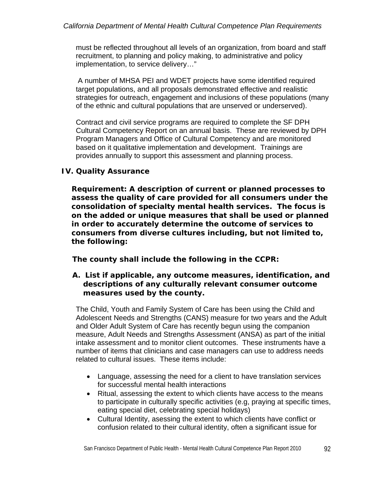must be reflected throughout all levels of an organization, from board and staff recruitment, to planning and policy making, to administrative and policy implementation, to service delivery…"

 A number of MHSA PEI and WDET projects have some identified required target populations, and all proposals demonstrated effective and realistic strategies for outreach, engagement and inclusions of these populations (many of the ethnic and cultural populations that are unserved or underserved).

Contract and civil service programs are required to complete the SF DPH Cultural Competency Report on an annual basis. These are reviewed by DPH Program Managers and Office of Cultural Competency and are monitored based on it qualitative implementation and development. Trainings are provides annually to support this assessment and planning process.

# *IV. Quality Assurance*

*Requirement: A description of current or planned processes to assess the quality of care provided for all consumers under the consolidation of specialty mental health services. The focus is on the added or unique measures that shall be used or planned in order to accurately determine the outcome of services to consumers from diverse cultures including, but not limited to, the following:* 

## *The county shall include the following in the CCPR:*

## *A. List if applicable, any outcome measures, identification, and descriptions of any culturally relevant consumer outcome measures used by the county.*

The Child, Youth and Family System of Care has been using the Child and Adolescent Needs and Strengths (CANS) measure for two years and the Adult and Older Adult System of Care has recently begun using the companion measure, Adult Needs and Strengths Assessment (ANSA) as part of the initial intake assessment and to monitor client outcomes. These instruments have a number of items that clinicians and case managers can use to address needs related to cultural issues. These items include:

- Language, assessing the need for a client to have translation services for successful mental health interactions
- Ritual, assessing the extent to which clients have access to the means to participate in culturally specific activities (e.g, praying at specific times, eating special diet, celebrating special holidays)
- Cultural Identity, asessing the extent to which clients have conflict or confusion related to their cultural identity, often a significant issue for